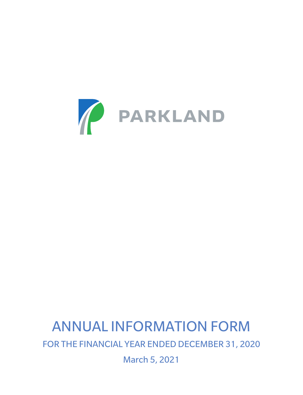

# ANNUAL INFORMATION FORM FOR THE FINANCIAL YEAR ENDED DECEMBER 31, 2020

March 5, 2021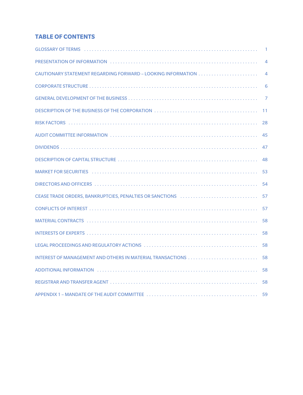# **TABLE OF CONTENTS**

|                                                                                                                                                                                                                                | $\overline{1}$ |
|--------------------------------------------------------------------------------------------------------------------------------------------------------------------------------------------------------------------------------|----------------|
|                                                                                                                                                                                                                                | $\overline{4}$ |
|                                                                                                                                                                                                                                | $\overline{4}$ |
|                                                                                                                                                                                                                                | 6              |
|                                                                                                                                                                                                                                |                |
|                                                                                                                                                                                                                                | $-11$          |
|                                                                                                                                                                                                                                | 28             |
|                                                                                                                                                                                                                                | 45             |
|                                                                                                                                                                                                                                | 47             |
|                                                                                                                                                                                                                                | 48             |
| MARKET FOR SECURITIES You contain a state of the container and container and container and container and container and container and container and container and container and container and container and container and conta | 53             |
|                                                                                                                                                                                                                                | 54             |
| CEASE TRADE ORDERS, BANKRUPTCIES, PENALTIES OR SANCTIONS                                                                                                                                                                       | 57             |
|                                                                                                                                                                                                                                | 57             |
|                                                                                                                                                                                                                                | 58             |
|                                                                                                                                                                                                                                | 58             |
|                                                                                                                                                                                                                                | 58             |
|                                                                                                                                                                                                                                | 58             |
| ADDITIONAL INFORMATION (1000) (1000) (1000) (1000) (1000) (1000) (1000) (1000) (1000) (1000) (1000) (1000) (1000) (1000) (1000) (1000) (1000) (1000) (1000) (1000) (1000) (1000) (1000) (1000) (1000) (1000) (1000) (1000) (10 | 58             |
|                                                                                                                                                                                                                                | 58             |
|                                                                                                                                                                                                                                |                |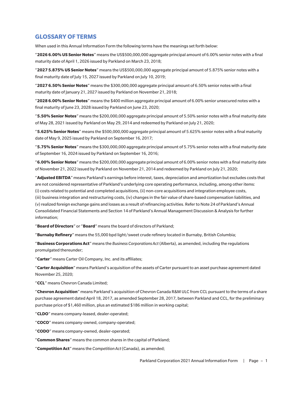# **GLOSSARY OF TERMS**

When used in this Annual Information Form the following terms have the meanings set forth below:

"**2026 6.00% US Senior Notes**" means the US\$500,000,000 aggregate principal amount of 6.00% senior notes with a final maturity date of April 1, 2026 issued by Parkland on March 23, 2018;

"**2027 5.875% US Senior Notes**" means the US\$500,000,000 aggregate principal amount of 5.875% senior notes with a final maturity date of July 15, 2027 issued by Parkland on July 10, 2019;

"**2027 6.50% Senior Notes**" means the \$300,000,000 aggregate principal amount of 6.50% senior notes with a final maturity date of January 21, 2027 issued by Parkland on November 21, 2018;

"**2028 6.00% Senior Notes**" means the \$400 million aggregate principal amount of 6.00% senior unsecured notes with a final maturity of June 23, 2028 issued by Parkland on June 23, 2020;

"**5.50% Senior Notes**" means the \$200,000,000 aggregate principal amount of 5.50% senior notes with a final maturity date of May 28, 2021 issued by Parkland on May 29, 2014 and redeemed by Parkland on July 21, 2020;

"**5.625% Senior Notes**" means the \$500,000,000 aggregate principal amount of 5.625% senior notes with a final maturity date of May 9, 2025 issued by Parkland on September 16, 2017;

"**5.75% Senior Notes**" means the \$300,000,000 aggregate principal amount of 5.75% senior notes with a final maturity date of September 16, 2024 issued by Parkland on September 16, 2016;

"**6.00% Senior Notes**" means the \$200,000,000 aggregate principal amount of 6.00% senior notes with a final maturity date of November 21, 2022 issued by Parkland on November 21, 2014 and redeemed by Parkland on July 21, 2020;

"**Adjusted EBITDA**" means Parkland's earnings before interest, taxes, depreciation and amortization but excludes costs that are not considered representative of Parkland's underlying core operating performance, including, among other items: (i) costs related to potential and completed acquisitions, (ii) non-core acquisitions and integration employee costs,

(iii) business integration and restructuring costs, (iv) changes in the fair value of share-based compensation liabilities, and (v) realized foreign exchange gains and losses as a result of refinancing activities. Refer to Note 24 of Parkland's Annual Consolidated Financial Statements and Section 14 of Parkland's Annual Management Discussion & Analysis for further information;

"**Board of Directors**" or "**Board**" means the board of directors of Parkland;

"**Burnaby Refinery**" means the 55,000 bpd light/sweet crude refinery located in Burnaby, British Columbia;

"**Business Corporations Act**" means the *Business Corporations Act* (Alberta), as amended, including the regulations promulgated thereunder;

"**Carter**" means Carter Oil Company, Inc. and its affiliates;

"**Carter Acquisition**" means Parkland's acquisition of the assets of Carter pursuant to an asset purchase agreement dated November 25, 2020;

"**CCL**" means Chevron Canada Limited;

"**Chevron Acquisition**" means Parkland's acquisition of Chevron Canada R&M ULC from CCL pursuant to the terms of a share purchase agreement dated April 18, 2017, as amended September 28, 2017, between Parkland and CCL, for the preliminary purchase price of \$1,460 million, plus an estimated \$186 million in working capital;

"**CLDO**" means company-leased, dealer-operated;

"**COCO**" means company-owned, company-operated;

"**CODO**" means company-owned, dealer-operated;

"**Common Shares**" means the common shares in the capital of Parkland;

"**Competition Act**" means the *Competition Act* (Canada), as amended;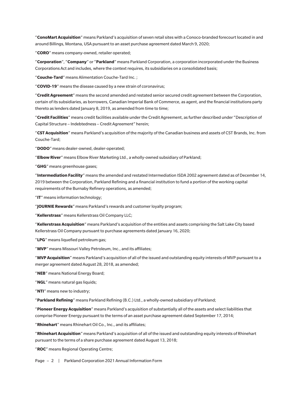"**ConoMart Acquisition**" means Parkland's acquisition of seven retail sites with a Conoco-branded forecourt located in and around Billings, Montana, USA pursuant to an asset purchase agreement dated March 9, 2020;

"**CORO**" means company-owned, retailer operated;

"**Corporation**", "**Company**" or "**Parkland**" means Parkland Corporation, a corporation incorporated under the Business Corporations Act and includes, where the context requires, its subsidiaries on a consolidated basis;

"**Couche-Tard**" means Alimentation Couche-Tard Inc. ;

"**COVID-19**" means the disease caused by a new strain of coronavirus;

"**Credit Agreement**" means the second amended and restated senior secured credit agreement between the Corporation, certain of its subsidiaries, as borrowers, Canadian Imperial Bank of Commerce, as agent, and the financial institutions party thereto as lenders dated January 8, 2019, as amended from time to time;

"**Credit Facilities**" means credit facilities available under the Credit Agreement, as further described under "Description of Capital Structure – Indebtedness – Credit Agreement" herein;

"**CST Acquisition**" means Parkland's acquisition of the majority of the Canadian business and assets of CST Brands, Inc. from Couche-Tard;

"**DODO**" means dealer-owned, dealer-operated;

"**Elbow River**" means Elbow River Marketing Ltd., a wholly-owned subsidiary of Parkland;

"**GHG**" means greenhouse gases;

"**Intermediation Facility**" means the amended and restated Intermediation ISDA 2002 agreement dated as of December 14, 2019 between the Corporation, Parkland Refining and a financial institution to fund a portion of the working capital requirements of the Burnaby Refinery operations, as amended;

"**IT**" means information technology;

"**JOURNIE Rewards**" means Parkland's rewards and customer loyalty program;

"**Kellerstrass**" means Kellerstrass Oil Company LLC;

"**Kellerstrass Acquisition**" means Parkland's acquisition of the entities and assets comprising the Salt Lake City based Kellerstrass Oil Company pursuant to purchase agreements dated January 16, 2020;

"**LPG**" means liquefied petroleum gas;

"**MVP**" means Missouri Valley Petroleum, Inc., and its affiliates;

"**MVP Acquisition**" means Parkland's acquisition of all of the issued and outstanding equity interests of MVP pursuant to a merger agreement dated August 28, 2018, as amended;

"**NEB**" means National Energy Board;

"**NGL**" means natural gas liquids;

"**NTI**" means new to industry;

"**Parkland Refining**" means Parkland Refining (B.C.) Ltd., a wholly-owned subsidiary of Parkland;

"**Pioneer Energy Acquisition**" means Parkland's acquisition of substantially all of the assets and select liabilities that comprise Pioneer Energy pursuant to the terms of an asset purchase agreement dated September 17, 2014;

"**Rhinehart**" means Rhinehart Oil Co., Inc., and its affiliates;

"**Rhinehart Acquisition**" means Parkland's acquisition of all of the issued and outstanding equity interests of Rhinehart pursuant to the terms of a share purchase agreement dated August 13, 2018;

"**ROC**" means Regional Operating Centre;

Page - 2 | Parkland Corporation 2021 Annual Information Form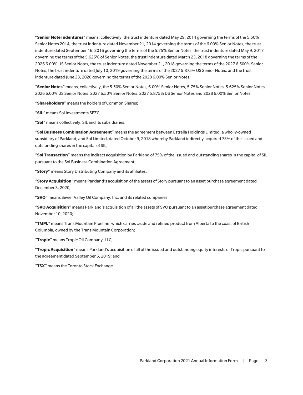"**Senior Note Indentures**" means, collectively, the trust indenture dated May 29, 2014 governing the terms of the 5.50% Senior Notes 2014, the trust indenture dated November 21, 2014 governing the terms of the 6.00% Senior Notes, the trust indenture dated September 16, 2016 governing the terms of the 5.75% Senior Notes, the trust indenture dated May 9, 2017 governing the terms of the 5.625% of Senior Notes, the trust indenture dated March 23, 2018 governing the terms of the 2026 6.00% US Senior Notes, the trust indenture dated November 21, 2018 governing the terms of the 2027 6.500% Senior Notes, the trust indenture dated July 10, 2019 governing the terms of the 2027 5.875% US Senior Notes, and the trust indenture dated June 23, 2020 governing the terms of the 2028 6.00% Senior Notes;

"**Senior Notes**" means, collectively, the 5.50% Senior Notes, 6.00% Senior Notes, 5.75% Senior Notes, 5.625% Senior Notes, 2026 6.00% US Senior Notes, 2027 6.50% Senior Notes, 2027 5.875% US Senior Notes and 2028 6.00% Senior Notes;

"**Shareholders**" means the holders of Common Shares;

"**SIL**" means Sol Investments SEZC;

"**Sol**" means collectively, SIL and its subsidiaries;

"**Sol Business Combination Agreement**" means the agreement between Estrella Holdings Limited, a wholly-owned subsidiary of Parkland, and Sol Limited, dated October 9, 2018 whereby Parkland indirectly acquired 75% of the issued and outstanding shares in the capital of SIL;

"**Sol Transaction**" means the indirect acquisition by Parkland of 75% of the issued and outstanding shares in the capital of SIL pursuant to the Sol Business Combination Agreement;

"**Story**" means Story Distributing Company and its affiliates;

"**Story Acquisition**" means Parkland's acquisition of the assets of Story pursuant to an asset purchase agreement dated December 3, 2020;

"**SVO**" means Sevier Valley Oil Company, Inc. and its related companies;

"**SVO Acquisition**" means Parkland's acquisition of all the assets of SVO pursuant to an asset purchase agreement dated November 10, 2020;

"**TMPL**" means Trans Mountain Pipeline, which carries crude and refined product from Alberta to the coast of British Columbia, owned by the Trans Mountain Corporation;

"**Tropic**" means Tropic Oil Company, LLC;

"**Tropic Acquisition**" means Parkland's acquisition of all of the issued and outstanding equity interests of Tropic pursuant to the agreement dated September 5, 2019; and

"**TSX**" means the Toronto Stock Exchange.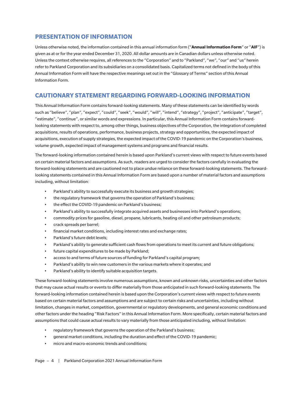# **PRESENTATION OF INFORMATION**

Unless otherwise noted, the information contained in this annual information form ("**Annual Information Form**" or "**AIF**") is given as at or for the year ended December 31, 2020. All dollar amounts are in Canadian dollars unless otherwise noted. Unless the context otherwise requires, all references to the "Corporation" and to "Parkland", "we", "our" and "us" herein refer to Parkland Corporation and its subsidiaries on a consolidated basis. Capitalized terms not defined in the body of this Annual Information Form will have the respective meanings set out in the "Glossary of Terms" section of this Annual Information Form.

# **CAUTIONARY STATEMENT REGARDING FORWARD-LOOKING INFORMATION**

This Annual Information Form contains forward-looking statements. Many of these statements can be identified by words such as "believe", "plan", "expect", "could", "seek", "would", "will", "intend", "strategy", "project", "anticipate", "target", "estimate", "continue", or similar words and expressions. In particular, this Annual Information Form contains forwardlooking statements with respect to, among other things, business objectives of the Corporation, the integration of completed acquisitions, results of operations, performance, business projects, strategy and opportunities, the expected impact of acquisitions, execution of supply strategies, the expected impact of the COVID-19 pandemic on the Corporation's business, volume growth, expected impact of management systems and programs and financial results.

The forward-looking information contained herein is based upon Parkland's current views with respect to future events based on certain material factors and assumptions. As such, readers are urged to consider the factors carefully in evaluating the forward-looking statements and are cautioned not to place undue reliance on these forward-looking statements. The forwardlooking statements contained in this Annual Information Form are based upon a number of material factors and assumptions including, without limitation:

- Parkland's ability to successfully execute its business and growth strategies;
- the regulatory framework that governs the operation of Parkland's business;
- the effect the COVID-19 pandemic on Parkland's business;
- Parkland's ability to successfully integrate acquired assets and businesses into Parkland's operations;
- commodity prices for gasoline, diesel, propane, lubricants, heating oil and other petroleum products;
- crack spreads per barrel;
- financial market conditions, including interest rates and exchange rates;
- Parkland's future debt levels;
- Parkland's ability to generate sufficient cash flows from operations to meet its current and future obligations;
- future capital expenditures to be made by Parkland;
- access to and terms of future sources of funding for Parkland's capital program;
- Parkland's ability to win new customers in the various markets where it operates; and
- Parkland's ability to identify suitable acquisition targets.

These forward-looking statements involve numerous assumptions, known and unknown risks, uncertainties and other factors that may cause actual results or events to differ materially from those anticipated in such forward-looking statements. The forward-looking information contained herein is based upon the Corporation's current views with respect to future events based on certain material factors and assumptions and are subject to certain risks and uncertainties, including without limitation, changes in market, competition, governmental or regulatory developments, and general economic conditions and other factors under the heading "Risk Factors" in this Annual Information Form. More specifically, certain material factors and assumptions that could cause actual results to vary materially from those anticipated including, without limitation:

- regulatory framework that governs the operation of the Parkland's business;
- general market conditions, including the duration and effect of the COVID-19 pandemic;
- micro and macro-economic trends and conditions;

Page - 4 | Parkland Corporation 2021 Annual Information Form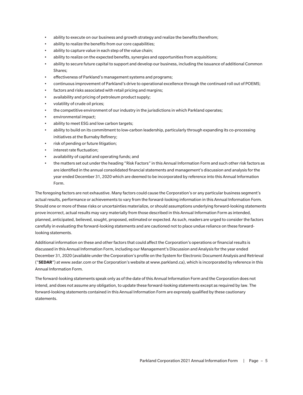- ability to execute on our business and growth strategy and realize the benefits therefrom;
- ability to realize the benefits from our core capabilities;
- ability to capture value in each step of the value chain;
- ability to realize on the expected benefits, synergies and opportunities from acquisitions;
- ability to secure future capital to support and develop our business, including the issuance of additional Common Shares;
- effectiveness of Parkland's management systems and programs;
- continuous improvement of Parkland's drive to operational excellence through the continued roll out of POEMS;
- factors and risks associated with retail pricing and margins;
- availability and pricing of petroleum product supply;
- volatility of crude oil prices;
- the competitive environment of our industry in the jurisdictions in which Parkland operates;
- environmental impact;
- ability to meet ESG and low carbon targets;
- ability to build on its commitment to low-carbon leadership, particularly through expanding its co-processing initiatives at the Burnaby Refinery;
- risk of pending or future litigation;
- interest rate fluctuation;
- availability of capital and operating funds; and
- the matters set out under the heading "Risk Factors" in this Annual Information Form and such other risk factors as are identified in the annual consolidated financial statements and management's discussion and analysis for the year ended December 31, 2020 which are deemed to be incorporated by reference into this Annual Information Form.

The foregoing factors are not exhaustive. Many factors could cause the Corporation's or any particular business segment's actual results, performance or achievements to vary from the forward-looking information in this Annual Information Form. Should one or more of these risks or uncertainties materialize, or should assumptions underlying forward-looking statements prove incorrect, actual results may vary materially from those described in this Annual Information Form as intended, planned, anticipated, believed, sought, proposed, estimated or expected. As such, readers are urged to consider the factors carefully in evaluating the forward-looking statements and are cautioned not to place undue reliance on these forwardlooking statements.

Additional information on these and other factors that could affect the Corporation's operations or financial results is discussed in this Annual Information Form, including our Management's Discussion and Analysis for the year ended December 31, 2020 (available under the Corporation's profile on the System for Electronic Document Analysis and Retrieval ("**SEDAR**") at www.sedar.com or the Corporation's website at www.parkland.ca), which is incorporated by reference in this Annual Information Form.

The forward-looking statements speak only as of the date of this Annual Information Form and the Corporation does not intend, and does not assume any obligation, to update these forward-looking statements except as required by law. The forward-looking statements contained in this Annual Information Form are expressly qualified by these cautionary statements.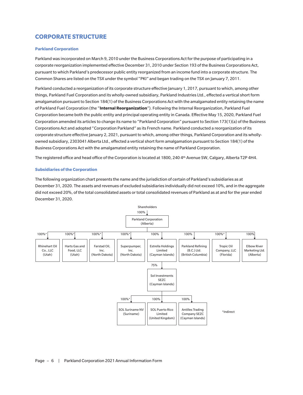# **CORPORATE STRUCTURE**

## **Parkland Corporation**

Parkland was incorporated on March 9, 2010 under the Business Corporations Act for the purpose of participating in a corporate reorganization implemented effective December 31, 2010 under Section 193 of the Business Corporations Act, pursuant to which Parkland's predecessor public entity reorganized from an income fund into a corporate structure. The Common Shares are listed on the TSX under the symbol "PKI" and began trading on the TSX on January 7, 2011.

Parkland conducted a reorganization of its corporate structure effective January 1, 2017, pursuant to which, among other things, Parkland Fuel Corporation and its wholly-owned subsidiary, Parkland Industries Ltd., effected a vertical short form amalgamation pursuant to Section 184(1) of the Business Corporations Act with the amalgamated entity retaining the name of Parkland Fuel Corporation (the "**Internal Reorganization**"). Following the Internal Reorganization, Parkland Fuel Corporation became both the public entity and principal operating entity in Canada. Effective May 15, 2020, Parkland Fuel Corporation amended its articles to change its name to "Parkland Corporation" pursuant to Section 173(1)(a) of the Business Corporations Act and adopted "Corporation Parkland" as its French name. Parkland conducted a reorganization of its corporate structure effective January 2, 2021, pursuant to which, among other things, Parkland Corporation and its whollyowned subsidiary, 2303041 Alberta Ltd., effected a vertical short form amalgamation pursuant to Section 184(1) of the Business Corporations Act with the amalgamated entity retaining the name of Parkland Corporation.

The registered office and head office of the Corporation is located at 1800, 240 4th Avenue SW, Calgary, Alberta T2P 4H4.

## **Subsidiaries of the Corporation**

The following organization chart presents the name and the jurisdiction of certain of Parkland's subsidiaries as at December 31, 2020. The assets and revenues of excluded subsidiaries individually did not exceed 10%, and in the aggregate did not exceed 20%, of the total consolidated assets or total consolidated revenues of Parkland as at and for the year ended December 31, 2020.

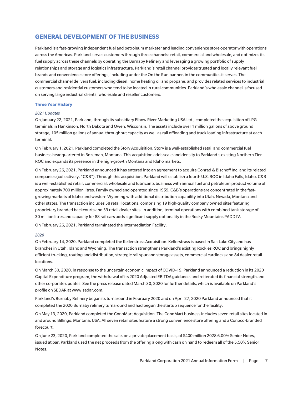# **GENERAL DEVELOPMENT OF THE BUSINESS**

Parkland is a fast-growing independent fuel and petroleum marketer and leading convenience store operator with operations across the Americas. Parkland serves customers through three channels: retail, commercial and wholesale, and optimizes its fuel supply across these channels by operating the Burnaby Refinery and leveraging a growing portfolio of supply relationships and storage and logistics infrastructure. Parkland's retail channel provides trusted and locally relevant fuel brands and convenience store offerings, including under the On the Run banner, in the communities it serves. The commercial channel delivers fuel, including diesel, home heating oil and propane, and provides related services to industrial customers and residential customers who tend to be located in rural communities. Parkland's wholesale channel is focused on serving large industrial clients, wholesale and reseller customers.

## **Three Year History**

## *2021 Updates*

On January 22, 2021, Parkland, through its subsidiary Elbow River Marketing USA Ltd., completed the acquisition of LPG terminals in Hankinson, North Dakota and Owen, Wisconsin. The assets include over 1 million gallons of above ground storage, 105 million gallons of annual throughput capacity as well as rail offloading and truck loading infrastructure at each terminal.

On February 1, 2021, Parkland completed the Story Acquisition. Story is a well-established retail and commercial fuel business headquartered in Bozeman, Montana. This acquisition adds scale and density to Parkland's existing Northern Tier ROC and expands its presence in the high-growth Montana and Idaho markets.

On February 26, 2021, Parkland announced it has entered into an agreement to acquire Conrad & Bischoff Inc. and its related companies (collectively, "C&B"). Through this acquisition, Parkland will establish a fourth U.S. ROC in Idaho Falls, Idaho. C&B is a well-established retail, commercial, wholesale and lubricants business with annual fuel and petroleum product volume of approximately 700 million litres. Family owned and operated since 1959, C&B's operations are concentrated in the fastgrowing markets of Idaho and western Wyoming with additional distribution capability into Utah, Nevada, Montana and other states. The transaction includes 58 retail locations, comprising 19 high-quality company owned sites featuring proprietary branded backcourts and 39 retail dealer sites. In addition, terminal operations with combined tank storage of 30 million litres and capacity for 88 rail cars adds significant supply optionality in the Rocky Mountains PADD IV.

On February 26, 2021, Parkland terminated the Intermediation Facility.

## *2020*

On February 14, 2020, Parkland completed the Kellerstrass Acquisition. Kellerstrass is based in Salt Lake City and has branches in Utah, Idaho and Wyoming. The transaction strengthens Parkland's existing Rockies ROC and brings highly efficient trucking, routing and distribution, strategic rail spur and storage assets, commercial cardlocks and 84 dealer retail locations.

On March 30, 2020, in response to the uncertain economic impact of COVID-19, Parkland announced a reduction in its 2020 Capital Expenditure program, the withdrawal of its 2020 Adjusted EBITDA guidance, and reiterated its financial strength and other corporate updates. See the press release dated March 30, 2020 for further details, which is available on Parkland's profile on SEDAR at www.sedar.com.

Parkland's Burnaby Refinery began its turnaround in February 2020 and on April 27, 2020 Parkland announced that it completed the 2020 Burnaby refinery turnaround and had begun the startup sequence for the facility.

On May 13, 2020, Parkland completed the ConoMart Acquisition. The ConoMart business includes seven retail sites located in and around Billings, Montana, USA. All seven retail sites feature a strong convenience store offering and a Conoco-branded forecourt.

On June 23, 2020, Parkland completed the sale, on a private placement basis, of \$400 million 2028 6.00% Senior Notes, issued at par. Parkland used the net proceeds from the offering along with cash on hand to redeem all of the 5.50% Senior Notes.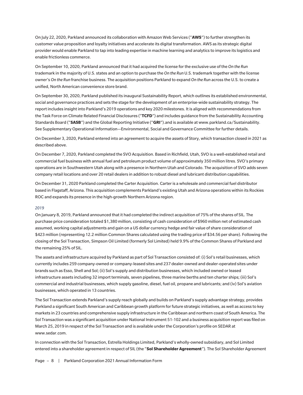On July 22, 2020, Parkland announced its collaboration with Amazon Web Services ("**AWS**") to further strengthen its customer value proposition and loyalty initiatives and accelerate its digital transformation. AWS as its strategic digital provider would enable Parkland to tap into leading expertise in machine learning and analytics to improve its logistics and enable frictionless commerce.

On September 10, 2020, Parkland announced that it had acquired the license for the exclusive use of the *On the Run* trademark in the majority of U.S. states and an option to purchase the *On the Run* U.S. trademark together with the license owner's *On the Run* franchise business. The acquisition positions Parkland to expand *On the Run* across the U.S. to create a unified, North American convenience store brand.

On September 30, 2020, Parkland published its inaugural Sustainability Report, which outlines its established environmental, social and governance practices and sets the stage for the development of an enterprise-wide sustainability strategy. The report includes insight into Parkland's 2019 operations and key 2020 milestones. It is aligned with recommendations from the Task Force on Climate Related Financial Disclosures ("**TCFD**") and includes guidance from the Sustainability Accounting Standards Board ("**SASB**") and the Global Reporting Initiative ("**GRI**").and is available at www.parkland.ca/Sustainability. See Supplementary Operational Information—Environmental, Social and Governance Committee for further details.

On December 3, 2020, Parkland entered into an agreement to acquire the assets of Story, which transaction closed in 2021 as described above.

On December 7, 2020, Parkland completed the SVO Acquisition. Based in Richfield, Utah, SVO is a well-established retail and commercial fuel business with annual fuel and petroleum product volume of approximately 350 million litres. SVO's primary operations are in Southwestern Utah along with a presence in Northern Utah and Colorado. The acquisition of SVO adds seven company retail locations and over 20 retail dealers in addition to robust diesel and lubricant distribution capabilities.

On December 31, 2020 Parkland completed the Carter Acquisition. Carter is a wholesale and commercial fuel distributor based in Flagstaff, Arizona. This acquisition complements Parkland's existing Utah and Arizona operations within its Rockies ROC and expands its presence in the high-growth Northern Arizona region.

#### *2019*

On January 8, 2019, Parkland announced that it had completed the indirect acquisition of 75% of the shares of SIL. The purchase price consideration totaled \$1,380 million, consisting of cash consideration of \$960 million net of estimated cash assumed, working capital adjustments and gain on a US dollar currency hedge and fair value of share consideration of \$423 million (representing 12.2 million Common Shares calculated using the trading price of \$34.56 per share). Following the closing of the Sol Transaction, Simpson Oil Limited (formerly Sol Limited) held 9.9% of the Common Shares of Parkland and the remaining 25% of SIL.

The assets and infrastructure acquired by Parkland as part of Sol Transaction consisted of: (i) Sol's retail businesses, which currently includes 259 company-owned or company-leased sites and 237 dealer-owned and dealer-operated sites under brands such as Esso, Shell and Sol; (ii) Sol's supply and distribution businesses, which included owned or leased infrastructure assets including 32 import terminals, seven pipelines, three marine berths and ten charter ships; (iii) Sol's commercial and industrial businesses, which supply gasoline, diesel, fuel oil, propane and lubricants; and (iv) Sol's aviation businesses, which operated in 13 countries.

The Sol Transaction extends Parkland's supply reach globally and builds on Parkland's supply advantage strategy, provides Parkland a significant South American and Caribbean growth platform for future strategic initiatives, as well as access to key markets in 23 countries and comprehensive supply infrastructure in the Caribbean and northern coast of South America. The Sol Transaction was a significant acquisition under National Instrument 51-102 and a business acquisition report was filed on March 25, 2019 in respect of the Sol Transaction and is available under the Corporation's profile on SEDAR at www.sedar.com.

In connection with the Sol Transaction, Estrella Holdings Limited, Parkland's wholly-owned subsidiary, and Sol Limited entered into a shareholder agreement in respect of SIL (the "**Sol Shareholder Agreement**"). The Sol Shareholder Agreement

Page - 8 | Parkland Corporation 2021 Annual Information Form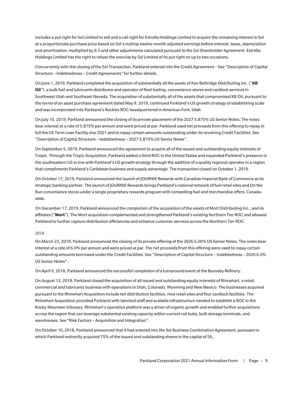includes a put right for Sol Limited to sell and a call right for Estrella Holdings Limited to acquire the remaining interest in Sol at a proportionate purchase price based on Sol's trailing-twelve-month adjusted earnings before interest, taxes, depreciation and amortization, multiplied by 8.5 and other adjustments calculated pursuant to the Sol Shareholder Agreement. Estrella Holdings Limited has the right to refuse the exercise by Sol Limited of its put right on up to two occasions.

Concurrently with the closing of the Sol Transaction, Parkland entered into the Credit Agreement – See "Description of Capital Structure – Indebtedness – Credit Agreements" for further details.

On June 1, 2019, Parkland completed the acquisition of substantially all the assets of Ken Bettridge Distributing Inc. ("**KB Oil**"), a bulk fuel and lubricants distributor and operator of fleet fueling, convenience stores and cardlock services in Southwest Utah and Southeast Nevada. The acquisition of substantially all of the assets that compromised KB Oil, pursuant to the terms of an asset purchase agreement dated May 9, 2019, continued Parkland's US growth strategy of establishing scale and was incorporated into Parkland's Rockies ROC headquartered in American Fork, Utah.

On July 10, 2019, Parkland announced the closing of its private placement of the 2027 5.875% US Senior Notes. The notes bear interest at a rate of 5.875% per annum and were priced at par. Parkland used net proceeds from this offering to repay in full the US Term Loan Facility due 2021 and to repay certain amounts outstanding under its revolving Credit Facilities. See "Description of Capital Structure – Indebtedness – 2027 5.875% US Senior Notes".

On September 5, 2019, Parkland announced the agreement to acquire all of the issued and outstanding equity interests of Tropic. Through the Tropic Acquisition, Parkland added a third ROC in the United States and expanded Parkland's presence in the southeastern US in line with Parkland's US growth strategy through the addition of a quality regional operator in a region that compliments Parkland's Caribbean business and supply advantage. The transaction closed on October 1, 2019.

On October 17, 2019, Parkland announced the launch of JOURNIE Rewards with Canadian Imperial Bank of Commerce as its strategic banking partner. The launch of JOURNIE Rewards brings Parkland's national network of fuel retail sites and On the Run convenience stores under a single proprietary rewards program with compelling fuel and merchandise offers, Canadawide.

On December 17, 2019, Parkland announced the completion of the acquisition of the assets of Mort Distributing Inc., and its affiliates ("**Mort**"). The Mort acquisition complemented and strengthened Parkland's existing Northern Tier ROC and allowed Parkland to further capture distribution efficiencies and enhance customer services across the Northern Tier ROC.

## *2018*

On March 23, 2018, Parkland announced the closing of its private offering of the 2026 6.00% US Senior Notes. The notes bear interest at a rate of 6.0% per annum and were priced at par. The net proceeds from this offering were used to repay certain outstanding amounts borrowed under the Credit Facilities. See "Description of Capital Structure – Indebtedness – 2026 6.0% US Senior Notes".

On April 9, 2018, Parkland announced the successful completion of a turnaround event at the Burnaby Refinery.

On August 13, 2018, Parkland closed the acquisition of all issued and outstanding equity interests of Rhinehart, a retail, commercial and lubricants business with operations in Utah, Colorado, Wyoming and New Mexico. The businesses acquired pursuant to the Rhinehart Acquisition include ten distribution facilities, nine retail sites and four cardlock facilities. The Rhinehart Acquisition provided Parkland with talented staff and scalable infrastructure needed to establish a ROC in the Rocky Mountain tributary. Rhinehart's operation platform was a driver of organic growth and enabled further acquisitions across the region that can leverage substantial existing capacity within current rail hubs, bulk storage terminals, and warehouses. See "Risk Factors – Acquisition and Integration".

On October 10, 2018, Parkland announced that it had entered into the Sol Business Combination Agreement, pursuant to which Parkland indirectly acquired 75% of the issued and outstanding shares in the capital of SIL.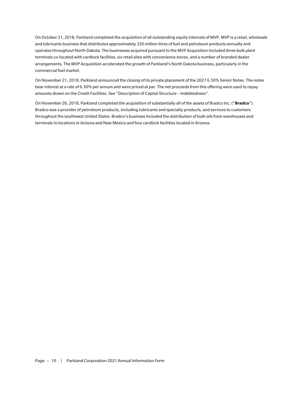On October 31, 2018, Parkland completed the acquisition of all outstanding equity interests of MVP. MVP is a retail, wholesale and lubricants business that distributes approximately 320 million litres of fuel and petroleum products annually and operates throughout North Dakota. The businesses acquired pursuant to the MVP Acquisition included three bulk plant terminals co-located with cardlock facilities, six retail sites with convenience stores, and a number of branded dealer arrangements. The MVP Acquisition accelerated the growth of Parkland's North Dakota business, particularly in the commercial fuel market.

On November 21, 2018, Parkland announced the closing of its private placement of the 2027 6.50% Senior Notes. The notes bear interest at a rate of 6.50% per annum and were priced at par. The net proceeds from this offering were used to repay amounts drawn on the Credit Facilities. See "Description of Capital Structure – Indebtedness".

On November 26, 2018, Parkland completed the acquisition of substantially all of the assets of Bradco Inc. ("**Bradco**"). Bradco was a provider of petroleum products, including lubricants and specialty products, and services to customers throughout the southwest United States. Bradco's business included the distribution of bulk oils from warehouses and terminals to locations in Arizona and New Mexico and four cardlock facilities located in Arizona.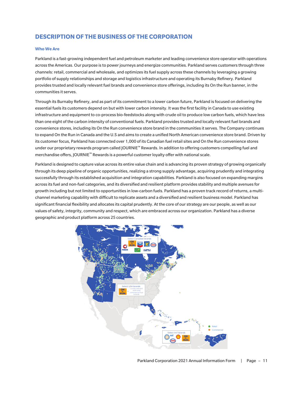# **DESCRIPTION OF THE BUSINESS OF THE CORPORATION**

## **Who We Are**

Parkland is a fast-growing independent fuel and petroleum marketer and leading convenience store operator with operations across the Americas. Our purpose is to power journeys and energize communities. Parkland serves customers through three channels: retail, commercial and wholesale, and optimizes its fuel supply across these channels by leveraging a growing portfolio of supply relationships and storage and logistics infrastructure and operating its Burnaby Refinery. Parkland provides trusted and locally relevant fuel brands and convenience store offerings, including its On the Run banner, in the communities it serves.

Through its Burnaby Refinery, and as part of its commitment to a lower carbon future, Parkland is focused on delivering the essential fuels its customers depend on but with lower carbon intensity. It was the first facility in Canada to use existing infrastructure and equipment to co-process bio-feedstocks along with crude oil to produce low carbon fuels, which have less than one eight of the carbon intensity of conventional fuels. Parkland provides trusted and locally relevant fuel brands and convenience stores, including its On the Run convenience store brand in the communities it serves. The Company continues to expand On the Run in Canada and the U.S and aims to create a unified North American convenience store brand. Driven by its customer focus, Parkland has connected over 1,000 of its Canadian fuel retail sites and On the Run convenience stores under our proprietary rewards program called JOURNIE™ Rewards. In addition to offering customers compelling fuel and merchandise offers, JOURNIE™ Rewards is a powerful customer loyalty offer with national scale.

Parkland is designed to capture value across its entire value chain and is advancing its proven strategy of growing organically through its deep pipeline of organic opportunities, realizing a strong supply advantage, acquiring prudently and integrating successfully through its established acquisition and integration capabilities. Parkland is also focused on expanding margins across its fuel and non-fuel categories, and its diversified and resilient platform provides stability and multiple avenues for growth including but not limited to opportunities in low-carbon fuels. Parkland has a proven track record of returns, a multichannel marketing capability with difficult to replicate assets and a diversified and resilient business model. Parkland has significant financial flexibility and allocates its capital prudently. At the core of our strategy are our people, as well as our values of safety, integrity, community and respect, which are embraced across our organization. Parkland has a diverse geographic and product platform across 25 countries.

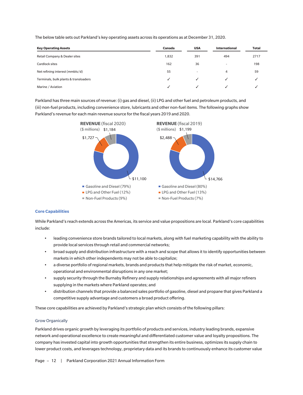The below table sets out Parkland's key operating assets across its operations as at December 31, 2020.

| <b>Key Operating Assets</b>           | Canada | <b>USA</b>               | <b>International</b>     | <b>Total</b> |
|---------------------------------------|--------|--------------------------|--------------------------|--------------|
| Retail Company & Dealer sites         | 1,832  | 391                      | 494                      | 2717         |
| Cardlock sites                        | 162    | 36                       | $\overline{\phantom{a}}$ | 198          |
| Net refining interest (mmbls/d)       | 55     | $\overline{\phantom{a}}$ | 4                        | 59           |
| Terminals, bulk plants & transloaders |        | $\checkmark$             |                          |              |
| Marine / Aviation                     |        |                          |                          |              |

Parkland has three main sources of revenue: (i) gas and diesel, (ii) LPG and other fuel and petroleum products, and (iii) non-fuel products, including convenience store, lubricants and other non-fuel items. The following graphs show Parkland's revenue for each main revenue source for the fiscal years 2019 and 2020.



## **Core Capabilities**

While Parkland's reach extends across the Americas, its service and value propositions are local. Parkland's core capabilities include:

- leading convenience store brands tailored to local markets, along with fuel marketing capability with the ability to provide local services through retail and commercial networks;
- broad supply and distribution infrastructure with a reach and scope that allows it to identify opportunities between markets in which other independents may not be able to capitalize;
- a diverse portfolio of regional markets, brands and products that help mitigate the risk of market, economic, operational and environmental disruptions in any one market;
- supply security through the Burnaby Refinery and supply relationships and agreements with all major refiners supplying in the markets where Parkland operates; and
- distribution channels that provide a balanced sales portfolio of gasoline, diesel and propane that gives Parkland a competitive supply advantage and customers a broad product offering.

These core capabilities are achieved by Parkland's strategic plan which consists of the following pillars:

## Grow Organically

Parkland drives organic growth by leveraging its portfolio of products and services, industry leading brands, expansive network and operational excellence to create meaningful and differentiated customer value and loyalty propositions. The company has invested capital into growth opportunities that strengthen its entire business, optimizes its supply chain to lower product costs, and leverages technology, proprietary data and its brands to continuously enhance its customer value

Page - 12 | Parkland Corporation 2021 Annual Information Form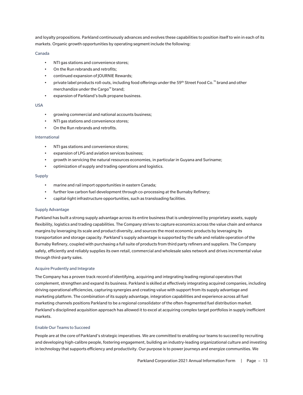and loyalty propositions. Parkland continuously advances and evolves these capabilities to position itself to win in each of its markets. Organic growth opportunities by operating segment include the following:

## Canada

- NTI gas stations and convenience stores;
- On the Run rebrands and retrofits;
- continued expansion of JOURNIE Rewards;
- private label products roll-outs, including food offerings under the 59th Street Food Co.™ brand and other merchandize under the Cargo™ brand;
- expansion of Parkland's bulk propane business.

## USA

- growing commercial and national accounts business;
- NTI gas stations and convenience stores;
- On the Run rebrands and retrofits.

## International

- NTI gas stations and convenience stores;
- expansion of LPG and aviation services business;
- growth in servicing the natural resources economies, in particular in Guyana and Suriname;
- optimization of supply and trading operations and logistics.

## Supply

- marine and rail import opportunities in eastern Canada;
- further low carbon fuel development through co-processing at the Burnaby Refinery;
- capital-light infrastructure opportunities, such as transloading facilities.

## Supply Advantage

Parkland has built a strong supply advantage across its entire business that is underpinned by proprietary assets, supply flexibility, logistics and trading capabilities. The Company strives to capture economics across the value chain and enhance margins by leveraging its scale and product diversity, and sources the most economic products by leveraging its transportation and storage capacity. Parkland's supply advantage is supported by the safe and reliable operation of the Burnaby Refinery, coupled with purchasing a full suite of products from third party refiners and suppliers. The Company safely, efficiently and reliably supplies its own retail, commercial and wholesale sales network and drives incremental value through third-party sales.

## Acquire Prudently and Integrate

The Company has a proven track record of identifying, acquiring and integrating leading regional operators that complement, strengthen and expand its business. Parkland is skilled at effectively integrating acquired companies, including driving operational efficiencies, capturing synergies and creating value with support from its supply advantage and marketing platform. The combination of its supply advantage, integration capabilities and experience across all fuel marketing channels positions Parkland to be a regional consolidator of the often-fragmented fuel distribution market. Parkland's disciplined acquisition approach has allowed it to excel at acquiring complex target portfolios in supply inefficient markets.

## Enable Our Teams to Succeed

People are at the core of Parkland's strategic imperatives. We are committed to enabling our teams to succeed by recruiting and developing high-calibre people, fostering engagement, building an industry-leading organizational culture and investing in technology that supports efficiency and productivity. Our purpose is to power journeys and energize communities. We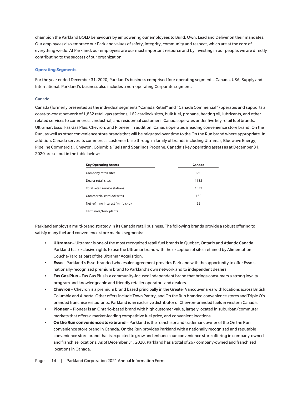champion the Parkland BOLD behaviours by empowering our employees to Build, Own, Lead and Deliver on their mandates. Our employees also embrace our Parkland values of safety, integrity, community and respect, which are at the core of everything we do. At Parkland, our employees are our most important resource and by investing in our people, we are directly contributing to the success of our organization.

## **Operating Segments**

For the year ended December 31, 2020, Parkland's business comprised four operating segments: Canada, USA, Supply and International. Parkland's business also includes a non-operating Corporate segment.

## Canada

Canada (formerly presented as the individual segments "Canada Retail" and "Canada Commercial") operates and supports a coast-to-coast network of 1,832 retail gas stations, 162 cardlock sites, bulk fuel, propane, heating oil, lubricants, and other related services to commercial, industrial, and residential customers. Canada operates under five key retail fuel brands: Ultramar, Esso, Fas Gas Plus, Chevron, and Pioneer. In addition, Canada operates a leading convenience store brand, On the Run, as well as other convenience store brands that will be migrated over time to the On the Run brand where appropriate. In addition, Canada serves its commercial customer base through a family of brands including Ultramar, Bluewave Energy, Pipeline Commercial, Chevron, Columbia Fuels and Sparlings Propane. Canada's key operating assets as at December 31, 2020 are set out in the table below:

| <b>Key Operating Assets</b>     | Canada |
|---------------------------------|--------|
| Company retail sites            | 650    |
| Dealer retail sites             | 1182   |
| Total retail service stations   | 1832   |
| Commercial cardlock sites       | 162    |
| Net refining interest (mmbls/d) | 55     |
| Terminals/bulk plants           | 5      |

Parkland employs a multi-brand strategy in its Canada retail business. The following brands provide a robust offering to satisfy many fuel and convenience store market segments:

- **Ultramar** Ultramar is one of the most recognized retail fuel brands in Quebec, Ontario and Atlantic Canada. Parkland has exclusive rights to use the Ultramar brand with the exception of sites retained by Alimentation Couche-Tard as part of the Ultramar Acquisition.
- **Esso** Parkland's Esso-branded wholesaler agreement provides Parkland with the opportunity to offer Esso's nationally-recognized premium brand to Parkland's own network and to independent dealers.
- **Fas Gas Plus** Fas Gas Plus is a community-focused independent brand that brings consumers a strong loyalty program and knowledgeable and friendly retailer operators and dealers.
- **Chevron** Chevron is a premium brand based principally in the Greater Vancouver area with locations across British Columbia and Alberta. Other offers include Town Pantry, and On the Run branded convenience stores and Triple O's branded franchise restaurants. Parkland is an exclusive distributor of Chevron-branded fuels in western Canada.
- **Pioneer** Pioneer is an Ontario-based brand with high customer value, largely located in suburban/commuter markets that offers a market-leading competitive fuel price, and convenient locations.
- **On the Run convenience store brand** Parkland is the franchisor and trademark owner of the On the Run convenience store brand in Canada. On the Run provides Parkland with a nationally recognized and reputable convenience store brand that is expected to grow and enhance our convenience store offering in company-owned and franchise locations. As of December 31, 2020, Parkland has a total of 267 company-owned and franchised locations in Canada.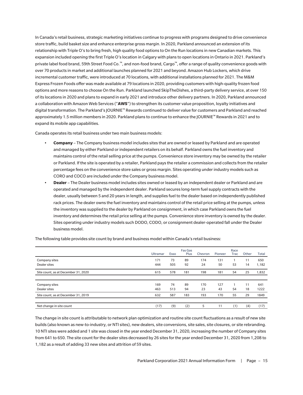In Canada's retail business, strategic marketing initiatives continue to progress with programs designed to drive convenience store traffic, build basket size and enhance enterprise gross margin. In 2020, Parkland announced an extension of its relationship with Triple O's to bring fresh, high quality food options to On the Run locations in new Canadian markets. This expansion included opening the first Triple O's location in Calgary with plans to open locations in Ontario in 2021. Parkland's private label food brand, 59th Street Food Co.™, and non-food brand, Cargo™, offer a range of quality convenience goods with over 70 products in market and additional launches planned for 2021 and beyond. Amazon Hub Lockers, which drive incremental customer traffic, were introduced at 70 locations, with additional installations planned for 2021. The M&M Express Frozen Foods offer was made available at 79 locations in 2020, providing customers with high-quality frozen food options and more reasons to choose On the Run. Parkland launched SkipTheDishes, a third-party delivery service, at over 150 of its locations in 2020 and plans to expand in early 2021 and introduce other delivery partners. In 2020, Parkland announced a collaboration with Amazon Web Services ("**AWS**") to strengthen its customer value proposition, loyalty initiatives and digital transformation. The Parkland's JOURNIE™ Rewards continued to deliver value for customers and Parkland and reached approximately 1.5 million members in 2020. Parkland plans to continue to enhance the JOURNIE™ Rewards in 2021 and to expand its mobile app capabilities.

Canada operates its retail business under two main business models:

- **Company** The Company business model includes sites that are owned or leased by Parkland and are operated and managed by either Parkland or independent retailers on its behalf. Parkland owns the fuel inventory and maintains control of the retail selling price at the pumps. Convenience store inventory may be owned by the retailer or Parkland. If the site is operated by a retailer, Parkland pays the retailer a commission and collects from the retailer percentage fees on the convenience store sales or gross margin. Sites operating under industry models such as CORO and COCO are included under the Company business model.
- **Dealer** The Dealer business model includes sites owned or leased by an independent dealer or Parkland and are operated and managed by the independent dealer. Parkland secures long-term fuel supply contracts with the dealer, usually between 5 and 20 years in length, and supplies fuel to the dealer based on independently published rack prices. The dealer owns the fuel inventory and maintains control of the retail price selling at the pumps, unless the inventory was supplied to the dealer by Parkland on consignment, in which case Parkland owns the fuel inventory and determines the retail price selling at the pumps. Convenience store inventory is owned by the dealer. Sites operating under industry models such DODO, CODO, or consignment dealer-operated fall under the Dealer business model.

|                                     | <b>Ultramar</b> | Esso | <b>Fas Gas</b><br>Plus | Chevron | Pioneer | Race<br>Trac | Other | Total |
|-------------------------------------|-----------------|------|------------------------|---------|---------|--------------|-------|-------|
| Company sites                       | 171             | 73   | 89                     | 174     | 131     |              | 11    | 650   |
| Dealer sites                        | 444             | 505  | 92                     | 24      | 50      | 53           | 14    | 1,182 |
| Site count, as at December 31, 2020 | 615             | 578  | 181                    | 198     | 181     | 54           | 25    | 1,832 |
|                                     |                 |      |                        |         |         |              |       |       |
| Company sites                       | 169             | 74   | 89                     | 170     | 127     |              | 11    | 641   |
| Dealer sites                        | 463             | 513  | 94                     | 23      | 43      | 54           | 18    | 1222  |
| Site count, as at December 31, 2019 | 632             | 587  | 183                    | 193     | 170     | 55           | 29    | 1849  |
|                                     |                 |      |                        |         |         |              |       |       |
| Net change in site count            | (17)            | (9)  | (2)                    | 5       | 11      | (1)          | (4)   | (17)  |

The following table provides site count by brand and business model within Canada's retail business:

The change in site count is attributable to network plan optimization and routine site count fluctuations as a result of new site builds (also known as new-to-industry, or NTI sites), new dealers, site conversions, site sales, site closures, or site rebranding. 10 NTI sites were added and 1 site was closed in the year ended December 31, 2020, increasing the number of Company sites from 641 to 650. The site count for the dealer sites decreased by 26 sites for the year ended December 31, 2020 from 1,208 to 1,182 as a result of adding 33 new sites and attrition of 59 sites.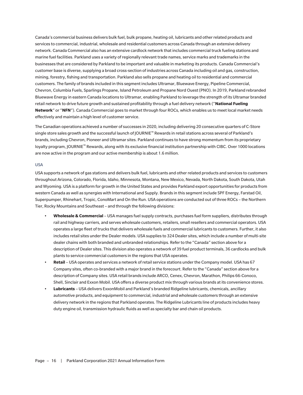Canada's commercial business delivers bulk fuel, bulk propane, heating oil, lubricants and other related products and services to commercial, industrial, wholesale and residential customers across Canada through an extensive delivery network. Canada Commercial also has an extensive cardlock network that includes commercial truck fueling stations and marine fuel facilities. Parkland uses a variety of regionally relevant trade names, service marks and trademarks in the businesses that are considered by Parkland to be important and valuable in marketing its products. Canada Commercial's customer base is diverse, supplying a broad cross-section of industries across Canada including oil and gas, construction, mining, forestry, fishing and transportation. Parkland also sells propane and heating oil to residential and commercial customers. The family of brands included in this segment includes Ultramar, Bluewave Energy, Pipeline Commercial, Chevron, Columbia Fuels, Sparlings Propane, Island Petroleum and Propane Nord Ouest (PNO). In 2019, Parkland rebranded Bluewave Energy in eastern Canada locations to Ultramar, enabling Parkland to leverage the strength of its Ultramar branded retail network to drive future growth and sustained profitability through a fuel delivery network ("**National Fueling Network**" or "**NFN**"). Canada Commercial goes to market through four ROCs, which enables us to meet local market needs effectively and maintain a high level of customer service.

The Canadian operations achieved a number of successes in 2020, including delivering 20 consecutive quarters of C-Store single store sales growth and the successful launch of JOURNIE™ Rewards in retail stations across several of Parkland's brands, including Chevron, Pioneer and Ultramar sites. Parkland continues to have strong momentum from its proprietary loyalty program, JOURNIE™ Rewards, along with its exclusive financial institution partnership with CIBC. Over 1000 locations are now active in the program and our active membership is about 1.6 million.

## USA

USA supports a network of gas stations and delivers bulk fuel, lubricants and other related products and services to customers throughout Arizona, Colorado, Florida, Idaho, Minnesota, Montana, New Mexico, Nevada, North Dakota, South Dakota, Utah and Wyoming. USA is a platform for growth in the United States and provides Parkland export opportunities for products from western Canada as well as synergies with International and Supply. Brands in this segment include SPF Energy, Farstad Oil, Superpumper, Rhinehart, Tropic, ConoMart and On the Run. USA operations are conducted out of three ROCs – the Northern Tier, Rocky Mountains and Southeast – and through the following divisions:

- **Wholesale & Commercial** USA manages fuel supply contracts, purchases fuel form suppliers, distributes through rail and highway carriers, and serves wholesale customers, retailers, small resellers and commercial operators. USA operates a large fleet of trucks that delivers wholesale fuels and commercial lubricants to customers. Further, it also includes retail sites under the Dealer models. USA supplies to 324 Dealer sites, which include a number of multi-site dealer chains with both branded and unbranded relationships. Refer to the "Canada" section above for a description of Dealer sites. This division also operates a network of 39 fuel product terminals, 36 cardlocks and bulk plants to service commercial customers in the regions that USA operates.
- **Retail** USA operates and services a network of retail service stations under the Company model. USA has 67 Company sites, often co-branded with a major brand in the forecourt. Refer to the "Canada" section above for a description of Company sites. USA retail brands include ARCO, Cenex, Chevron, Marathon, Philips 66-Conoco, Shell, Sinclair and Exxon Mobil. USA offers a diverse product mix through various brands at its convenience stores.
- **Lubricants** USA delivers ExxonMobil and Parkland's branded Ridgeline lubricants, chemicals, ancillary automotive products, and equipment to commercial, industrial and wholesale customers through an extensive delivery network in the regions that Parkland operates. The Ridgeline Lubricants line of products includes heavy duty engine oil, transmission hydraulic fluids as well as specialty bar and chain oil products.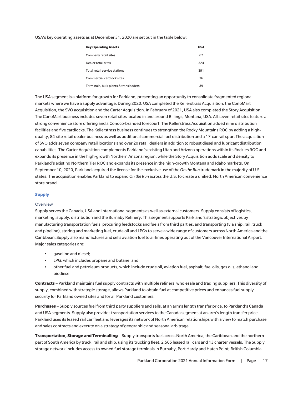USA's key operating assets as at December 31, 2020 are set out in the table below:

| <b>Key Operating Assets</b>           | <b>USA</b> |
|---------------------------------------|------------|
| Company retail sites                  | 67         |
| Dealer retail sites                   | 324        |
| Total retail service stations         | 391        |
| Commercial cardlock sites             | 36         |
| Terminals, bulk plants & transloaders | 39         |

The USA segment is a platform for growth for Parkland, presenting an opportunity to consolidate fragmented regional markets where we have a supply advantage. During 2020, USA completed the Kellerstrass Acquisition, the ConoMart Acquisition, the SVO acquisition and the Carter Acquisition. In February of 2021, USA also completed the Story Acquisition. The ConoMart business includes seven retail sites located in and around Billings, Montana, USA. All seven retail sites feature a strong convenience store offering and a Conoco-branded forecourt. The Kellerstrass Acquisition added nine distribution facilities and five cardlocks. The Kellerstrass business continues to strengthen the Rocky Mountains ROC by adding a highquality, 84-site retail dealer business as well as additional commercial fuel distribution and a 17-car rail spur. The acquisition of SVO adds seven company retail locations and over 20 retail dealers in addition to robust diesel and lubricant distribution capabilities. The Carter Acquisition complements Parkland's existing Utah and Arizona operations within its Rockies ROC and expands its presence in the high-growth Northern Arizona region, while the Story Acquisition adds scale and density to Parkland's existing Northern Tier ROC and expands its presence in the high-growth Montana and Idaho markets. On September 10, 2020, Parkland acquired the license for the exclusive use of the *On the Run* trademark in the majority of U.S. states. The acquisition enables Parkland to expand *On the Run* across the U.S. to create a unified, North American convenience store brand.

## **Supply**

## **Overview**

Supply serves the Canada, USA and International segments as well as external customers. Supply consists of logistics, marketing, supply, distribution and the Burnaby Refinery. This segment supports Parkland's strategic objectives by manufacturing transportation fuels, procuring feedstocks and fuels from third parties, and transporting (via ship, rail, truck and pipeline), storing and marketing fuel, crude oil and LPGs to serve a wide range of customers across North America and the Caribbean. Supply also manufactures and sells aviation fuel to airlines operating out of the Vancouver International Airport. Major sales categories are:

- gasoline and diesel;
- LPG, which includes propane and butane; and
- other fuel and petroleum products, which include crude oil, aviation fuel, asphalt, fuel oils, gas oils, ethanol and biodiesel.

**Contracts** – Parkland maintains fuel supply contracts with multiple refiners, wholesale and trading suppliers. This diversity of supply, combined with strategic storage, allows Parkland to obtain fuel at competitive prices and enhances fuel supply security for Parkland owned sites and for all Parkland customers.

**Purchases** – Supply sources fuel from third party suppliers and sells, at an arm's length transfer price, to Parkland's Canada and USA segments. Supply also provides transportation services to the Canada segment at an arm's length transfer price. Parkland uses its leased rail car fleet and leverages its network of North American relationships with a view to match purchase and sales contracts and execute on a strategy of geographic and seasonal arbitrage.

**Transportation, Storage and Terminalling** – Supply transports fuel across North America, the Caribbean and the northern part of South America by truck, rail and ship, using its trucking fleet, 2,565 leased rail cars and 13 charter vessels. The Supply storage network includes access to owned fuel storage terminals in Burnaby, Port Hardy and Hatch Point, British Columbia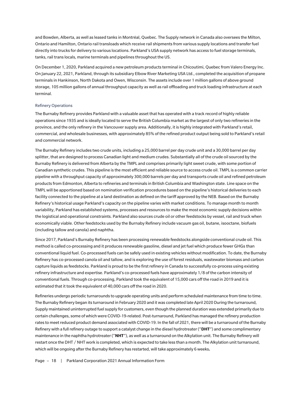and Bowden, Alberta, as well as leased tanks in Montréal, Quebec. The Supply network in Canada also oversees the Milton, Ontario and Hamilton, Ontario rail transloads which receive rail shipments from various supply locations and transfer fuel directly into trucks for delivery to various locations. Parkland's USA supply network has access to fuel storage terminals, tanks, rail trans locals, marine terminals and pipelines throughout the US.

On December 1, 2020, Parkland acquired a new petroleum products terminal in Chicoutimi, Quebec from Valero Energy Inc. On January 22, 2021, Parkland, through its subsidiary Elbow River Marketing USA Ltd., completed the acquisition of propane terminals in Hankinson, North Dakota and Owen, Wisconsin. The assets include over 1 million gallons of above ground storage, 105 million gallons of annual throughput capacity as well as rail offloading and truck loading infrastructure at each terminal.

## Refinery Operations

The Burnaby Refinery provides Parkland with a valuable asset that has operated with a track record of highly reliable operations since 1935 and is ideally located to serve the British Columbia market as the largest of only two refineries in the province, and the only refinery in the Vancouver supply area. Additionally, it is highly integrated with Parkland's retail, commercial, and wholesale businesses, with approximately 85% of the refined product output being sold to Parkland's retail and commercial network.

The Burnaby Refinery includes two crude units, including a 25,000 barrel per day crude unit and a 30,000 barrel per day splitter, that are designed to process Canadian light and medium crudes. Substantially all of the crude oil sourced by the Burnaby Refinery is delivered from Alberta by the TMPL and comprises primarily light sweet crude, with some portion of Canadian synthetic crudes. This pipeline is the most efficient and reliable source to access crude oil. TMPL is a common carrier pipeline with a throughput capacity of approximately 300,000 barrels per day and transports crude oil and refined petroleum products from Edmonton, Alberta to refineries and terminals in British Columbia and Washington state. Line space on the TMPL will be apportioned based on nomination verification procedures based on the pipeline's historical deliveries to each facility connected to the pipeline at a land destination as defined on the tariff approved by the NEB. Based on the Burnaby Refinery's historical usage Parkland's capacity on the pipeline varies with market conditions. To manage month to month variability, Parkland has established systems, processes and resources to make the most economic supply decisions within the logistical and operational constraints. Parkland also sources crude oil or other feedstocks by vessel, rail and truck when economically viable. Other feedstocks used by the Burnaby Refinery include vacuum gas oil, butane, isooctane, biofuels (including tallow and canola) and naphtha.

Since 2017, Parkland's Burnaby Refinery has been processing renewable feedstocks alongside conventional crude oil. This method is called co-processing and it produces renewable gasoline, diesel and jet fuel which produce fewer GHGs than conventional liquid fuel. Co-processed fuels can be safely used in existing vehicles without modification. To date, the Burnaby Refinery has co-processed canola oil and tallow, and is exploring the use of forest residuals, wastewater biomass and carbon capture liquids as feedstocks. Parkland is proud to be the first refinery in Canada to successfully co-process using existing refinery infrastructure and expertise. Parkland's co-processed fuels have approximately 1/8 of the carbon intensity of conventional fuels. Through co-processing, Parkland took the equivalent of 15,000 cars off the road in 2019 and it is estimated that it took the equivalent of 40,000 cars off the road in 2020.

Refineries undergo periodic turnarounds to upgrade operating units and perform scheduled maintenance from time to time. The Burnaby Refinery began its turnaround in February 2020 and it was completed late April 2020 During the turnaround, Supply maintained uninterrupted fuel supply for customers, even though the planned duration was extended primarily due to certain challenges, some of which were COVID-19-related. Post-turnaround, Parkland has managed the refinery production rates to meet reduced product demand associated with COVID-19. In the fall of 2021, there will be a turnaround of the Burnaby Refinery with a full refinery outage to support a catalyst change in the diesel hydrotreater ("**DHT**") and some complimentary maintenance in the naphtha hydrotreater ("**NHT**"), as well as a turnaround on the Alkylation unit. The Burnaby Refinery will restart once the DHT / NHT work is completed, which is expected to take less than a month. The Alkylation unit turnaround, which will be ongoing after the Burnaby Refinery has restarted, will take approximately 6 weeks**.**

Page - 18 | Parkland Corporation 2021 Annual Information Form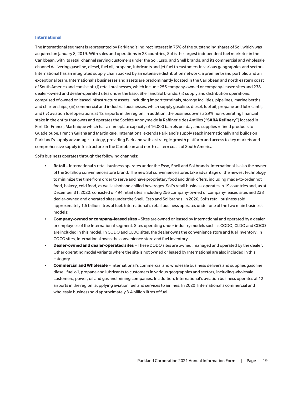#### **International**

The International segment is represented by Parkland's indirect interest in 75% of the outstanding shares of Sol, which was acquired on January 8, 2019. With sales and operations in 23 countries, Sol is the largest independent fuel marketer in the Caribbean, with its retail channel serving customers under the Sol, Esso, and Shell brands, and its commercial and wholesale channel delivering gasoline, diesel, fuel oil, propane, lubricants and jet fuel to customers in various geographies and sectors. International has an integrated supply chain backed by an extensive distribution network, a premier brand portfolio and an exceptional team. International's businesses and assets are predominantly located in the Caribbean and north eastern coast of South America and consist of: (i) retail businesses, which include 256 company-owned or company-leased sites and 238 dealer-owned and dealer-operated sites under the Esso, Shell and Sol brands; (ii) supply and distribution operations, comprised of owned or leased infrastructure assets, including import terminals, storage facilities, pipelines, marine berths and charter ships; (iii) commercial and industrial businesses, which supply gasoline, diesel, fuel oil, propane and lubricants; and (iv) aviation fuel operations at 12 airports in the region. In addition, the business owns a 29% non-operating financial stake in the entity that owns and operates the Société Anonyme de la Raffinerie des Antilles ("**SARA Refinery**") located in Fort-De-France, Martinique which has a nameplate capacity of 16,000 barrels per day and supplies refined products to Guadeloupe, French Guiana and Martinique. International extends Parkland's supply reach internationally and builds on Parkland's supply advantage strategy, providing Parkland with a strategic growth platform and access to key markets and comprehensive supply infrastructure in the Caribbean and north eastern coast of South America.

Sol's business operates through the following channels:

- **Retail** International's retail business operates under the Esso, Shell and Sol brands. International is also the owner of the Sol Shop convenience store brand. The new Sol convenience stores take advantage of the newest technology to minimize the time from order to serve and have proprietary food and drink offers, including made-to-order hot food, bakery, cold food, as well as hot and chilled beverages. Sol's retail business operates in 19 countries and, as at December 31, 2020, consisted of 494 retail sites, including 256 company-owned or company-leased sites and 238 dealer-owned and operated sites under the Shell, Esso and Sol brands. In 2020, Sol's retail business sold approximately 1.5 billion litres of fuel. International's retail business operates under one of the two main business models:
- **Company-owned or company-leased sites** Sites are owned or leased by International and operated by a dealer or employees of the International segment. Sites operating under industry models such as CODO, CLDO and COCO are included in this model. In CODO and CLDO sites, the dealer owns the convenience store and fuel inventory. In COCO sites, International owns the convenience store and fuel inventory.
- **Dealer-owned and dealer-operated sites** These DODO sites are owned, managed and operated by the dealer. Other operating model variants where the site is not owned or leased by International are also included in this category.
- **Commercial and Wholesale** International's commercial and wholesale business delivers and supplies gasoline, diesel, fuel oil, propane and lubricants to customers in various geographies and sectors, including wholesale customers, power, oil and gas and mining companies. In addition, International's aviation business operates at 12 airports in the region, supplying aviation fuel and services to airlines. In 2020, International's commercial and wholesale business sold approximately 3.4 billion litres of fuel.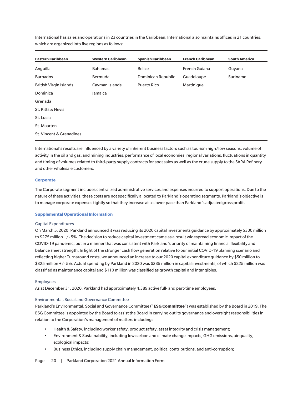International has sales and operations in 23 countries in the Caribbean. International also maintains offices in 21 countries, which are organized into five regions as follows:

| <b>Eastern Caribbean</b>      | <b>Western Caribbean</b> | <b>Spanish Caribbean</b> | <b>French Caribbean</b> | <b>South America</b> |
|-------------------------------|--------------------------|--------------------------|-------------------------|----------------------|
| Anguilla                      | <b>Bahamas</b>           | <b>Belize</b>            | French Guiana           | Guyana               |
| <b>Barbados</b>               | Bermuda                  | Dominican Republic       | Guadeloupe              | Suriname             |
| <b>British Virgin Islands</b> | Cayman Islands           | Puerto Rico              | Martinique              |                      |
| Dominica                      | lamaica                  |                          |                         |                      |
| Grenada                       |                          |                          |                         |                      |
| St. Kitts & Nevis             |                          |                          |                         |                      |
| St. Lucia                     |                          |                          |                         |                      |
| St. Maarten                   |                          |                          |                         |                      |
| St. Vincent & Grenadines      |                          |                          |                         |                      |

International's results are influenced by a variety of inherent business factors such as tourism high/low seasons, volume of activity in the oil and gas, and mining industries, performance of local economies, regional variations, fluctuations in quantity and timing of volumes related to third-party supply contracts for spot sales as well as the crude supply to the SARA Refinery and other wholesale customers.

#### **Corporate**

The Corporate segment includes centralized administrative services and expenses incurred to support operations. Due to the nature of these activities, these costs are not specifically allocated to Parkland's operating segments. Parkland's objective is to manage corporate expenses tightly so that they increase at a slower pace than Parkland's adjusted gross profit.

## **Supplemental Operational Information**

#### Capital Expenditures

On March 5, 2020, Parkland announced it was reducing its 2020 capital investments guidance by approximately \$300 million to \$275 million +/- 5%. The decision to reduce capital investment came as a result widespread economic impact of the COVID-19 pandemic, but in a manner that was consistent with Parkland's priority of maintaining financial flexibility and balance sheet strength. In light of the stronger cash flow generation relative to our initial COVID-19 planning scenario and reflecting higher Turnaround costs, we announced an increase to our 2020 capital expenditure guidance by \$50 million to \$325 million +/- 5%. Actual spending by Parkland in 2020 was \$335 million in capital investments, of which \$225 million was classified as maintenance capital and \$110 million was classified as growth capital and intangibles.

## Employees

As at December 31, 2020, Parkland had approximately 4,389 active full- and part-time employees.

## Environmental, Social and Governance Committee

Parkland's Environmental, Social and Governance Committee ("**ESG Committee**") was established by the Board in 2019. The ESG Committee is appointed by the Board to assist the Board in carrying out its governance and oversight responsibilities in relation to the Corporation's management of matters including:

- Health & Safety, including worker safety, product safety, asset integrity and crisis management;
- Environment & Sustainability, including low carbon and climate change impacts, GHG emissions, air quality, ecological impacts;
- Business Ethics, including supply chain management, political contributions, and anti-corruption;

#### Page - 20 | Parkland Corporation 2021 Annual Information Form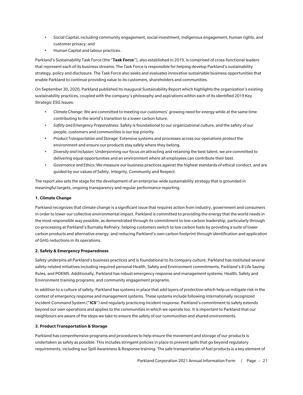- Social Capital, including community engagement, social investment, Indigenous engagement, human rights, and customer privacy; and
- Human Capital and labour practices.

Parkland's Sustainability Task Force (the "**Task Force**"), also established in 2019, is comprised of cross-functional leaders that represent each of its business streams. The Task Force is responsible for helping develop Parkland's sustainability strategy, policy and disclosure. The Task Force also seeks and evaluates innovative sustainable business opportunities that enable Parkland to continue providing value to its customers, shareholders and communities.

On September 30, 2020, Parkland published its inaugural Sustainability Report which highlights the organization's existing sustainability practices, coupled with the company's philosophy and aspirations within each of its identified 2019 Key Strategic ESG Issues:

- *Climate Change*: We are committed to meeting our customers' growing need for energy while at the same time contributing to the world's transition to a lower carbon future.
- *Safety and Emergency Preparedness*: Safety is foundational to our organizational culture, and the safety of our people, customers and communities is our top priority.
- *Product Transportation and Storage*: Extensive systems and processes across our operations protect the environment and ensure our products stay safely where they belong.
- *Diversity and Inclusion*: Underpinning our focus on attracting and retaining the best talent, we are committed to delivering equal opportunities and an environment where all employees can contribute their best.
- *Governance and Ethics*: We measure our business practices against the highest standards of ethical conduct, and are guided by our values of Safety, Integrity, Community and Respect.

The report also sets the stage for the development of an enterprise-wide sustainability strategy that is grounded in meaningful targets, ongoing transparency and regular performance reporting.

## **1. Climate Change**

Parkland recognizes that climate change is a significant issue that requires action from industry, government and consumers in order to lower our collective environmental impact. Parkland is committed to providing the energy that the world needs in the most responsible way possible, as demonstrated through its commitment to low-carbon leadership, particularly through co-processing at Parkland's Burnaby Refinery; helping customers switch to low carbon fuels by providing a suite of lower carbon products and alternative energy; and reducing Parkland's own carbon footprint through identification and application of GHG reductions in its operations.

## **2. Safety & Emergency Preparedness**

Safety underpins all Parkland's business practices and is foundational to its company culture. Parkland has instituted several safety-related initiatives including required personal Health, Safety and Environment commitments, Parkland's 8 Life Saving Rules, and POEMS. Additionally, Parkland has robust emergency response and management systems; Health, Safety and Environment training programs; and community engagement programs.

In addition to a culture of safety, Parkland has systems in place that add layers of protection which help us mitigate risk in the context of emergency response and management systems. These systems include following internationally recognized Incident Command System ("**ICS**") and regularly practicing incident response. Parkland's commitment to safety extends beyond our own operations and applies to the communities in which we operate too. It is important to Parkland that our neighbours are aware of the steps we take to ensure the safety of our communities and shared environments.

## **3. Product Transportation & Storage**

Parkland has comprehensive programs and procedures to help ensure the movement and storage of our products is undertaken as safely as possible. This includes stringent policies in place to prevent spills that go beyond regulatory requirements, including our Spill Awareness & Response training. The safe transportation of fuel products is a key element of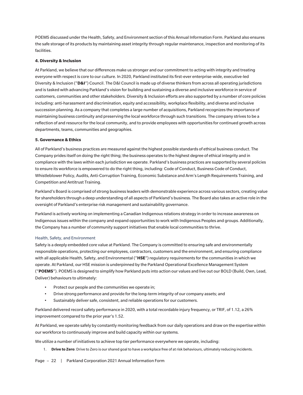POEMS discussed under the Health, Safety, and Environment section of this Annual Information Form. Parkland also ensures the safe storage of its products by maintaining asset integrity through regular maintenance, inspection and monitoring of its facilities.

## **4. Diversity & Inclusion**

At Parkland, we believe that our differences make us stronger and our commitment to acting with integrity and treating everyone with respect is core to our culture. In 2020, Parkland instituted its first-ever enterprise-wide, executive-led Diversity & Inclusion ("**D&I**") Council. The D&I Council is made up of diverse thinkers from across all operating jurisdictions and is tasked with advancing Parkland's vision for building and sustaining a diverse and inclusive workforce in service of customers, communities and other stakeholders. Diversity & Inclusion efforts are also supported by a number of core policies including: anti-harassment and discrimination, equity and accessibility, workplace flexibility, and diverse and inclusive succession planning. As a company that completes a large number of acquisitions, Parkland recognizes the importance of maintaining business continuity and preserving the local workforce through such transitions. The company strives to be a reflection of and resource for the local community, and to provide employees with opportunities for continued growth across departments, teams, communities and geographies.

## **5. Governance & Ethics**

All of Parkland's business practices are measured against the highest possible standards of ethical business conduct. The Company prides itself on doing the right thing; the business operates to the highest degree of ethical integrity and in compliance with the laws within each jurisdiction we operate. Parkland's business practices are supported by several policies to ensure its workforce is empowered to do the right thing, including: Code of Conduct, Business Code of Conduct, Whistleblower Policy, Audits, Anti-Corruption Training, Economic Substance and Arm's Length Requirements Training, and Competition and Antitrust Training.

Parkland's Board is comprised of strong business leaders with demonstrable experience across various sectors, creating value for shareholders through a deep understanding of all aspects of Parkland's business. The Board also takes an active role in the oversight of Parkland's enterprise risk management and sustainability governance.

Parkland is actively working on implementing a Canadian Indigenous relations strategy in order to increase awareness on Indigenous issues within the company and expand opportunities to work with Indigenous Peoples and groups. Additionally, the Company has a number of community support initiatives that enable local communities to thrive.

#### Health, Safety, and Environment

Safety is a deeply embedded core value at Parkland. The Company is committed to ensuring safe and environmentally responsible operations, protecting our employees, contractors, customers and the environment, and ensuring compliance with all applicable Health, Safety, and Environmental ("**HSE**") regulatory requirements for the communities in which we operate. At Parkland, our HSE mission is underpinned by the Parkland Operational Excellence Management System ("**POEMS**"). POEMS is designed to simplify how Parkland puts into action our values and live out our BOLD (Build, Own, Lead, Deliver) behaviours to ultimately:

- Protect our people and the communities we operate in;
- Drive strong performance and provide for the long-term integrity of our company assets; and
- Sustainably deliver safe, consistent, and reliable operations for our customers.

Parkland delivered record safety performance in 2020, with a total recordable injury frequency, or TRIF, of 1.12, a 26% improvement compared to the prior year's 1.52.

At Parkland, we operate safely by constantly monitoring feedback from our daily operations and draw on the expertise within our workforce to continuously improve and build capacity within our systems.

We utilize a number of initiatives to achieve top tier performance everywhere we operate, including:

1. **Drive to Zero**: Drive to Zero is our shared goal to have a workplace free of at risk behaviours, ultimately reducing incidents.

Page - 22 | Parkland Corporation 2021 Annual Information Form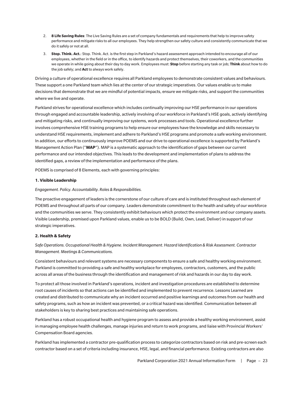- 2. **8 Life Saving Rules**: The Live Saving Rules are a set of company fundamentals and requirements that help to improve safety performance and mitigate risks to all our employees. They help strengthen our safety culture and consistently communicate that we do it safely or not at all.
- 3. **Stop. Think. Act.**: Stop. Think. Act. is the first step in Parkland's hazard assessment approach intended to encourage all of our employees, whether in the field or in the office, to identify hazards and protect themselves, their coworkers, and the communities we operate in while going about their day to day work. Employees must: **Stop** before starting any task or job; **Think** about how to do the job safely; and **Act**to always work safely.

Driving a culture of operational excellence requires all Parkland employees to demonstrate consistent values and behaviours. These support a one Parkland team which lies at the center of our strategic imperatives. Our values enable us to make decisions that demonstrate that we are mindful of potential impacts, ensure we mitigate risks, and support the communities where we live and operate.

Parkland strives for operational excellence which includes continually improving our HSE performance in our operations through engaged and accountable leadership, actively involving of our workforce in Parkland's HSE goals, actively identifying and mitigating risks, and continually improving our systems, work processes and tools. Operational excellence further involves comprehensive HSE training programs to help ensure our employees have the knowledge and skills necessary to understand HSE requirements, implement and adhere to Parkland's HSE programs and promote a safe working environment. In addition, our efforts to continuously improve POEMS and our drive to operational excellence is supported by Parkland's Management Action Plan ("**MAP**"). MAP is a systematic approach to the identification of gaps between our current performance and our intended objectives. This leads to the development and implementation of plans to address the identified gaps, a review of the implementation and performance of the plans.

POEMS is comprised of 8 Elements, each with governing principles:

## **1. Visible Leadership**

*Engagement. Policy. Accountability. Roles & Responsibilities.*

The proactive engagement of leaders is the cornerstone of our culture of care and is instituted throughout each element of POEMS and throughout all parts of our company. Leaders demonstrate commitment to the health and safety of our workforce and the communities we serve. They consistently exhibit behaviours which protect the environment and our company assets. Visible Leadership, premised upon Parkland values, enable us to be BOLD (Build, Own, Lead, Deliver) in support of our strategic imperatives.

## **2. Health & Safety**

*Safe Operations. Occupational Health & Hygiene. Incident Management. Hazard Identification & Risk Assessment. Contractor Management. Meetings & Communications.*

Consistent behaviours and relevant systems are necessary components to ensure a safe and healthy working environment. Parkland is committed to providing a safe and healthy workplace for employees, contractors, customers, and the public across all areas of the business through the identification and management of risk and hazards in our day to day work.

To protect all those involved in Parkland's operations, incident and investigation procedures are established to determine root causes of incidents so that actions can be identified and implemented to prevent recurrence. Lessons Learned are created and distributed to communicate why an incident occurred and positive learnings and outcomes from our health and safety programs, such as how an incident was prevented, or a critical hazard was identified. Communication between all stakeholders is key to sharing best practices and maintaining safe operations.

Parkland has a robust occupational health and hygiene program to assess and provide a healthy working environment, assist in managing employee health challenges, manage injuries and return to work programs, and liaise with Provincial Workers' Compensation Board agencies.

Parkland has implemented a contractor pre-qualification process to categorize contractors based on risk and pre-screen each contractor based on a set of criteria including insurance, HSE, legal, and financial performance. Existing contractors are also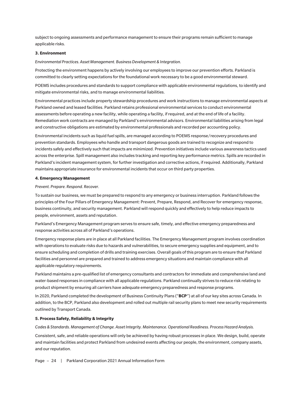subject to ongoing assessments and performance management to ensure their programs remain sufficient to manage applicable risks.

## **3. Environment**

*Environmental Practices. Asset Management. Business Development & Integration.*

Protecting the environment happens by actively involving our employees to improve our prevention efforts. Parkland is committed to clearly setting expectations for the foundational work necessary to be a good environmental steward.

POEMS includes procedures and standards to support compliance with applicable environmental regulations, to identify and mitigate environmental risks, and to manage environmental liabilities.

Environmental practices include property stewardship procedures and work instructions to manage environmental aspects at Parkland owned and leased facilities. Parkland retains professional environmental services to conduct environmental assessments before operating a new facility, while operating a facility, if required, and at the end of life of a facility. Remediation work contracts are managed by Parkland's environmental advisors. Environmental liabilities arising from legal and constructive obligations are estimated by environmental professionals and recorded per accounting policy.

Environmental incidents such as liquid fuel spills, are managed according to POEMS response/recovery procedures and prevention standards. Employees who handle and transport dangerous goods are trained to recognize and respond to incidents safely and effectively such that impacts are minimized. Prevention initiatives include various awareness tactics used across the enterprise. Spill management also includes tracking and reporting key performance metrics. Spills are recorded in Parkland's incident management system, for further investigation and corrective actions, if required. Additionally, Parkland maintains appropriate insurance for environmental incidents that occur on third party properties.

#### **4. Emergency Management**

*Prevent. Prepare. Respond. Recover.*

To sustain our business, we must be prepared to respond to any emergency or business interruption. Parkland follows the principles of the Four Pillars of Emergency Management: Prevent, Prepare, Respond, and Recover for emergency response, business continuity, and security management. Parkland will respond quickly and effectively to help reduce impacts to people, environment, assets and reputation.

Parkland's Emergency Management program serves to ensure safe, timely, and effective emergency preparedness and response activities across all of Parkland's operations.

Emergency response plans are in place at all Parkland facilities. The Emergency Management program involves coordination with operations to evaluate risks due to hazards and vulnerabilities, to secure emergency supplies and equipment, and to ensure scheduling and completion of drills and training exercises. Overall goals of this program are to ensure that Parkland facilities and personnel are prepared and trained to address emergency situations and maintain compliance with all applicable regulatory requirements.

Parkland maintains a pre-qualified list of emergency consultants and contractors for immediate and comprehensive land and water-based responses in compliance with all applicable regulations. Parkland continually strives to reduce risk relating to product shipment by ensuring all carriers have adequate emergency preparedness and response programs.

In 2020, Parkland completed the development of Business Continuity Plans ("**BCP**") at all of our key sites across Canada. In addition, to the BCP, Parkland also development and rolled out multiple rail security plans to meet new security requirements outlined by Transport Canada.

#### **5. Process Safety, Reliability & Integrity**

*Codes & Standards. Management of Change. Asset Integrity. Maintenance. Operational Readiness. Process Hazard Analysis.*

Consistent, safe, and reliable operations will only be achieved by having robust processes in place. We design, build, operate and maintain facilities and protect Parkland from undesired events affecting our people, the environment, company assets, and our reputation.

Page - 24 | Parkland Corporation 2021 Annual Information Form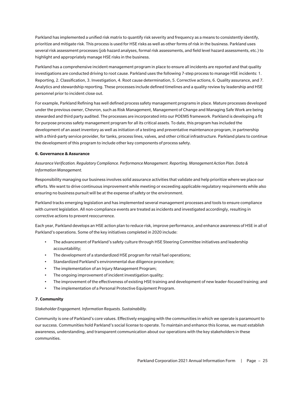Parkland has implemented a unified risk matrix to quantify risk severity and frequency as a means to consistently identify, prioritize and mitigate risk. This process is used for HSE risks as well as other forms of risk in the business. Parkland uses several risk assessment processes (job hazard analyses, formal risk assessments, and field level hazard assessments, etc.) to highlight and appropriately manage HSE risks in the business.

Parkland has a comprehensive incident management program in place to ensure all incidents are reported and that quality investigations are conducted driving to root cause. Parkland uses the following 7-step process to manage HSE incidents: 1. Reporting, 2. Classification, 3. Investigation, 4. Root cause determination, 5. Corrective actions, 6. Quality assurance, and 7. Analytics and stewardship reporting. These processes include defined timelines and a quality review by leadership and HSE personnel prior to incident close out.

For example, Parkland Refining has well defined process safety management programs in place. Mature processes developed under the previous owner, Chevron, such as Risk Management, Management of Change and Managing Safe Work are being stewarded and third party audited. The processes are incorporated into our POEMS framework. Parkland is developing a fit for purpose process safety management program for all its critical assets. To date, this program has included the development of an asset inventory as well as initiation of a testing and preventative maintenance program, in partnership with a third-party service provider, for tanks, process lines, valves, and other critical infrastructure. Parkland plans to continue the development of this program to include other key components of process safety.

## **6. Governance & Assurance**

*Assurance Verification. Regulatory Compliance. Performance Management. Reporting. Management Action Plan. Data & Information Management.*

Responsibility managing our business involves solid assurance activities that validate and help prioritize where we place our efforts. We want to drive continuous improvement while meeting or exceeding applicable regulatory requirements while also ensuring no business pursuit will be at the expense of safety or the environment.

Parkland tracks emerging legislation and has implemented several management processes and tools to ensure compliance with current legislation. All non-compliance events are treated as incidents and investigated accordingly, resulting in corrective actions to prevent reoccurrence.

Each year, Parkland develops an HSE action plan to reduce risk, improve performance, and enhance awareness of HSE in all of Parkland's operations. Some of the key initiatives completed in 2020 include:

- The advancement of Parkland's safety culture through HSE Steering Committee initiatives and leadership accountability;
- The development of a standardized HSE program for retail fuel operations;
- Standardized Parkland's environmental due diligence procedure;
- The implementation of an Injury Management Program;
- The ongoing improvement of incident investigation quality;
- The improvement of the effectiveness of existing HSE training and development of new leader-focused training; and
- The implementation of a Personal Protective Equipment Program.

## **7. Community**

*Stakeholder Engagement. Information Requests. Sustainability.*

Community is one of Parkland's core values. Effectively engaging with the communities in which we operate is paramount to our success. Communities hold Parkland's social license to operate. To maintain and enhance this license, we must establish awareness, understanding, and transparent communication about our operations with the key stakeholders in these communities.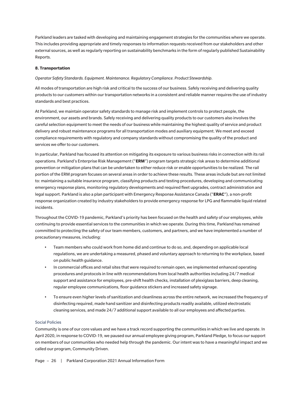Parkland leaders are tasked with developing and maintaining engagement strategies for the communities where we operate. This includes providing appropriate and timely responses to information requests received from our stakeholders and other external sources, as well as regularly reporting on sustainability benchmarks in the form of regularly published Sustainability Reports.

## **8. Transportation**

*Operator Safety Standards. Equipment. Maintenance. Regulatory Compliance. Product Stewardship.*

All modes of transportation are high risk and critical to the success of our business. Safely receiving and delivering quality products to our customers within our transportation networks in a consistent and reliable manner requires the use of industry standards and best practices.

At Parkland, we maintain operator safety standards to manage risk and implement controls to protect people, the environment, our assets and brands. Safely receiving and delivering quality products to our customers also involves the careful selection equipment to meet the needs of our business while maintaining the highest quality of service and product delivery and robust maintenance programs for all transportation modes and auxiliary equipment. We meet and exceed compliance requirements with regulatory and company standards without compromising the quality of the product and services we offer to our customers.

In particular, Parkland has focused its attention on mitigating its exposure to various business risks in connection with its rail operations. Parkland's Enterprise Risk Management ("**ERM**") program targets strategic risk areas to determine additional prevention or mitigation plans that can be undertaken to either reduce risk or enable opportunities to be realized. The rail portion of the ERM program focuses on several areas in order to achieve these results. These areas include but are not limited to: maintaining a suitable insurance program, classifying products and testing procedures, developing and communicating emergency response plans, monitoring regulatory developments and required fleet upgrades, contract administration and legal support. Parkland is also a plan participant with Emergency Response Assistance Canada ("**ERAC**"), a non-profit response organization created by industry stakeholders to provide emergency response for LPG and flammable liquid related incidents.

Throughout the COVID-19 pandemic, Parkland's priority has been focused on the health and safety of our employees, while continuing to provide essential services to the communities in which we operate. During this time, Parkland has remained committed to protecting the safety of our team members, customers, and partners, and we have implemented a number of precautionary measures, including:

- Team members who could work from home did and continue to do so, and, depending on applicable local regulations, we are undertaking a measured, phased and voluntary approach to returning to the workplace, based on public health guidance.
- In commercial offices and retail sites that were required to remain open, we implemented enhanced operating procedures and protocols in line with recommendations from local health authorities including 24/7 medical support and assistance for employees, pre-shift health checks, installation of plexiglass barriers, deep cleaning, regular employee communications, floor guidance stickers and increased safety signage.
- To ensure even higher levels of sanitization and cleanliness across the entire network, we increased the frequency of disinfecting required, made hand sanitizer and disinfecting products readily available, utilized electrostatic cleaning services, and made 24/7 additional support available to all our employees and affected parties.

## Social Policies

Community is one of our core values and we have a track record supporting the communities in which we live and operate. In April 2020, in response to COVID-19, we paused our annual employee giving program, Parkland Pledge, to focus our support on members of our communities who needed help through the pandemic. Our intent was to have a meaningful impact and we called our program, Community Driven.

Page - 26 | Parkland Corporation 2021 Annual Information Form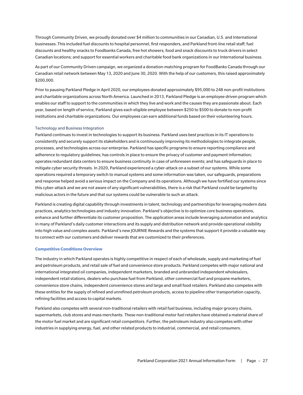Through Community Driven, we proudly donated over \$4 million to communities in our Canadian, U.S. and International businesses. This included fuel discounts to hospital personnel, first responders, and Parkland front-line retail staff; fuel discounts and healthy snacks to Foodbanks Canada, free hot showers, food and snack discounts to truck drivers in select Canadian locations; and support for essential workers and charitable food bank organizations in our International business.

As part of our Community Driven campaign, we organized a donation-matching program for FoodBanks Canada through our Canadian retail network between May 13, 2020 and June 30, 2020. With the help of our customers, this raised approximately \$200,000.

Prior to pausing Parkland Pledge in April 2020, our employees donated approximately \$95,000 to 248 non-profit institutions and charitable organizations across North America. Launched in 2013, Parkland Pledge is an employee driven program which enables our staff to support to the communities in which they live and work and the causes they are passionate about. Each year, based on length of service, Parkland gives each eligible employee between \$250 to \$500 to donate to non-profit institutions and charitable organizations. Our employees can earn additional funds based on their volunteering hours.

## Technology and Business Integration

Parkland continues to invest in technologies to support its business. Parkland uses best practices in its IT operations to consistently and securely support its stakeholders and is continuously improving its methodologies to integrate people, processes, and technologies across our enterprise. Parkland has specific programs to ensure reporting compliance and adherence to regulatory guidelines; has controls in place to ensure the privacy of customer and payment information; operates redundant data centers to ensure business continuity in case of unforeseen events; and has safeguards in place to mitigate cyber security threats. In 2020, Parkland experienced a cyber-attack on a subset of our systems. While some operations required a temporary switch to manual systems and some information was taken, our safeguards, preparations and response helped avoid a serious impact on the Company and its operations. Although we have fortified our systems since this cyber-attack and we are not aware of any significant vulnerabilities, there is a risk that Parkland could be targeted by malicious actors in the future and that our systems could be vulnerable to such an attack.

Parkland is creating digital capability through investments in talent, technology and partnerships for leveraging modern data practices, analytics technologies and industry innovation. Parkland's objective is to optimize core business operations, enhance and further differentiate its customer proposition. The application areas include leveraging automation and analytics in many of Parkland's daily customer interactions and its supply and distribution network and provide operational visibility into high value and complex assets. Parkland's new JOURNIE Rewards and the systems that support it provide a valuable way to connect with our customers and deliver rewards that are customized to their preferences.

## **Competitive Conditions Overview**

The industry in which Parkland operates is highly competitive in respect of each of wholesale, supply and marketing of fuel and petroleum products, and retail sale of fuel and convenience store products. Parkland competes with major national and international integrated oil companies, independent marketers, branded and unbranded independent wholesalers, independent retail stations, dealers who purchase fuel from Parkland, other commercial fuel and propane marketers, convenience store chains, independent convenience stores and large and small food retailers. Parkland also competes with these entities for the supply of refined and unrefined petroleum products, access to pipeline other transportation capacity, refining facilities and access to capital markets.

Parkland also competes with several non-traditional retailers with retail fuel business, including major grocery chains, supermarkets, club stores and mass merchants. These non-traditional motor fuel retailers have obtained a material share of the motor fuel market and are significant retail competitors. Further, the petroleum industry also competes with other industries in supplying energy, fuel, and other related products to industrial, commercial, and retail consumers.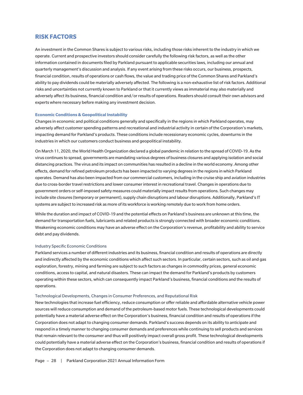# **RISK FACTORS**

An investment in the Common Shares is subject to various risks, including those risks inherent to the industry in which we operate. Current and prospective investors should consider carefully the following risk factors, as well as the other information contained in documents filed by Parkland pursuant to applicable securities laws, including our annual and quarterly management's discussion and analysis. If any event arising from these risks occurs, our business, prospects, financial condition, results of operations or cash flows, the value and trading price of the Common Shares and Parkland's ability to pay dividends could be materially adversely affected. The following is a non-exhaustive list of risk factors. Additional risks and uncertainties not currently known to Parkland or that it currently views as immaterial may also materially and adversely affect its business, financial condition and/or results of operations. Readers should consult their own advisors and experts where necessary before making any investment decision.

## **Economic Conditions & Geopolitical Instability**

Changes in economic and political conditions generally and specifically in the regions in which Parkland operates, may adversely affect customer spending patterns and recreational and industrial activity in certain of the Corporation's markets, impacting demand for Parkland's products. These conditions include recessionary economic cycles, downturns in the industries in which our customers conduct business and geopolitical instability.

On March 11, 2020, the World Health Organization declared a global pandemic in relation to the spread of COVID-19. As the virus continues to spread, governments are mandating various degrees of business closures and applying isolation and social distancing practices. The virus and its impact on communities has resulted in a decline in the world economy. Among other effects, demand for refined petroleum products has been impacted to varying degrees in the regions in which Parkland operates. Demand has also been impacted from our commercial customers, including in the cruise ship and aviation industries due to cross-border travel restrictions and lower consumer interest in recreational travel. Changes in operations due to government orders or self-imposed safety measures could materially impact results from operations. Such changes may include site closures (temporary or permanent), supply chain disruptions and labour disruptions. Additionally, Parkland's IT systems are subject to increased risk as more of its workforce is working remotely due to work from home orders.

While the duration and impact of COVID-19 and the potential effects on Parkland's business are unknown at this time, the demand for transportation fuels, lubricants and related products is strongly connected with broader economic conditions. Weakening economic conditions may have an adverse effect on the Corporation's revenue, profitability and ability to service debt and pay dividends.

## Industry Specific Economic Conditions

Parkland services a number of different industries and its business, financial condition and results of operations are directly and indirectly affected by the economic conditions which affect such sectors. In particular, certain sectors, such as oil and gas exploration, forestry, mining and farming are subject to such factors as changes in commodity prices, general economic conditions, access to capital, and natural disasters. These can impact the demand for Parkland's products by customers operating within these sectors, which can consequently impact Parkland's business, financial conditions and the results of operations.

#### Technological Developments, Changes in Consumer Preferences, and Reputational Risk

New technologies that increase fuel efficiency, reduce consumption or offer reliable and affordable alternative vehicle power sources will reduce consumption and demand of the petroleum-based motor fuels. These technological developments could potentially have a material adverse effect on the Corporation's business, financial condition and results of operations if the Corporation does not adapt to changing consumer demands. Parkland's success depends on its ability to anticipate and respond in a timely manner to changing consumer demands and preferences while continuing to sell products and services that remain relevant to the consumer and thus will positively impact overall gross profit. These technological developments could potentially have a material adverse effect on the Corporation's business, financial condition and results of operations if the Corporation does not adapt to changing consumer demands.

Page - 28 | Parkland Corporation 2021 Annual Information Form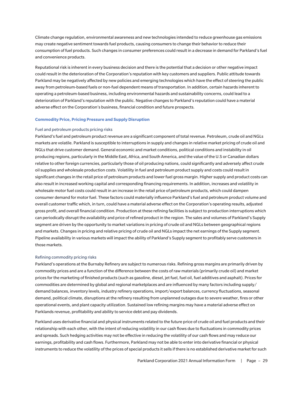Climate change regulation, environmental awareness and new technologies intended to reduce greenhouse gas emissions may create negative sentiment towards fuel products, causing consumers to change their behavior to reduce their consumption of fuel products. Such changes in consumer preferences could result in a decrease in demand for Parkland's fuel and convenience products.

Reputational risk is inherent in every business decision and there is the potential that a decision or other negative impact could result in the deterioration of the Corporation's reputation with key customers and suppliers. Public attitude towards Parkland may be negatively affected by new policies and emerging technologies which have the effect of steering the public away from petroleum-based fuels or non-fuel dependent means of transportation. In addition, certain hazards inherent to operating a petroleum-based business, including environmental hazards and sustainability concerns, could lead to a deterioration of Parkland's reputation with the public. Negative changes to Parkland's reputation could have a material adverse effect on the Corporation's business, financial condition and future prospects.

## **Commodity Price, Pricing Pressure and Supply Disruption**

## Fuel and petroleum products pricing risks

Parkland's fuel and petroleum product revenue are a significant component of total revenue. Petroleum, crude oil and NGLs markets are volatile. Parkland is susceptible to interruptions in supply and changes in relative market pricing of crude oil and NGLs that drive customer demand. General economic and market conditions, political conditions and instability in oil producing regions, particularly in the Middle East, Africa, and South America, and the value of the U.S or Canadian dollars relative to other foreign currencies, particularly those of oil producing nations, could significantly and adversely affect crude oil supplies and wholesale production costs. Volatility in fuel and petroleum product supply and costs could result in significant changes in the retail price of petroleum products and lower fuel gross margin. Higher supply and product costs can also result in increased working capital and corresponding financing requirements. In addition, increases and volatility in wholesale motor fuel costs could result in an increase in the retail price of petroleum products, which could dampen consumer demand for motor fuel. These factors could materially influence Parkland's fuel and petroleum product volume and overall customer traffic which, in turn, could have a material adverse effect on the Corporation's operating results, adjusted gross profit, and overall financial condition. Production at these refining facilities is subject to production interruptions which can periodically disrupt the availability and price of refined product in the region. The sales and volumes of Parkland's Supply segment are driven by the opportunity to market variations in pricing of crude oil and NGLs between geographical regions and markets. Changes in pricing and relative pricing of crude oil and NGLs impact the net earnings of the Supply segment. Pipeline availability in various markets will impact the ability of Parkland's Supply segment to profitably serve customers in those markets.

#### Refining commodity pricing risks

Parkland's operations at the Burnaby Refinery are subject to numerous risks. Refining gross margins are primarily driven by commodity prices and are a function of the difference between the costs of raw materials (primarily crude oil) and market prices for the marketing of finished products (such as gasoline, diesel, jet fuel, fuel oil, fuel additives and asphalt). Prices for commodities are determined by global and regional marketplaces and are influenced by many factors including supply/ demand balances, inventory levels, industry refinery operations, import/export balances, currency fluctuations, seasonal demand, political climate, disruptions at the refinery resulting from unplanned outages due to severe weather, fires or other operational events, and plant capacity utilization. Sustained low refining margins may have a material adverse effect on Parklands revenue, profitability and ability to service debt and pay dividends.

Parkland uses derivative financial and physical instruments related to the future price of crude oil and fuel products and their relationship with each other, with the intent of reducing volatility in our cash flows due to fluctuations in commodity prices and spreads. Such hedging activities may not be effective in reducing the volatility of our cash flows and may reduce our earnings, profitability and cash flows. Furthermore, Parkland may not be able to enter into derivative financial or physical instruments to reduce the volatility of the prices of special products it sells if there is no established derivative market for such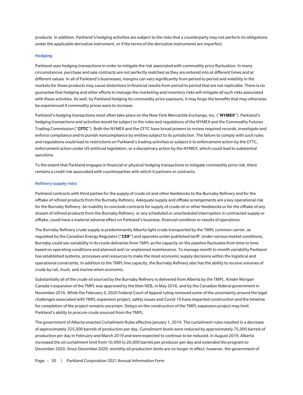products. In addition, Parkland's hedging activities are subject to the risks that a counterparty may not perform its obligations under the applicable derivative instrument, or if the terms of the derivative instruments are imperfect.

#### **Hedging**

Parkland uses hedging transactions in order to mitigate the risk associated with commodity price fluctuation. In many circumstances, purchase and sale contracts are not perfectly matched as they are entered into at different times and at different values. In all of Parkland's businesses, margins can vary significantly from period to period and volatility in the markets for these products may cause distortions in financial results from period to period that are not replicable. There is no guarantee that hedging and other efforts to manage the marketing and inventory risks will mitigate all such risks associated with these activities. As well, by Parkland hedging its commodity price exposure, it may forgo the benefits that may otherwise be experienced if commodity prices were to increase.

Parkland's hedging transactions most often take place on the New York Mercantile Exchange, Inc. ("**NYMEX**"). Parkland's hedging transactions and activities would be subject to the rules and regulations of the NYMEX and the Commodity Futures Trading Commission ("**CFTC**"). Both the NYMEX and the CFTC have broad powers to review required records, investigate and enforce compliance and to punish noncompliance by entities subject to its jurisdiction. The failure to comply with such rules and regulations could lead to restrictions on Parkland's trading activities or subject it to enforcement action by the CFTC, enforcement action under US antitrust legislation, or a disciplinary action by the NYMEX, which could lead to substantial sanctions.

To the extent that Parkland engages in financial or physical hedging transactions to mitigate commodity price risk, there remains a credit risk associated with counterparties with which it partners or contracts.

#### **Refinery supply risks**

Parkland contracts with third parties for the supply of crude oil and other feedstocks to the Burnaby Refinery and for the offtake of refined products from the Burnaby Refinery. Adequate supply and offtake arrangements are a key operational risk for the Burnaby Refinery. An inability to conclude contracts for supply of crude oil or other feedstocks or for the offtake of any stream of refined products from the Burnaby Refinery, or any scheduled or unscheduled interruption in contracted supply or offtake, could have a material adverse effect on Parkland's business, financial condition or results of operations.

The Burnaby Refinery crude supply is predominantly Alberta light crude transported by the TMPL common carrier, as regulated by the Canadian Energy Regulator ("**CER**") and operates under published tariff. Under various market conditions, Burnaby could see variability in its crude deliveries from TMPL as the capacity on the pipeline fluctuates from time to time based on operating conditions and planned and/or unplanned maintenance. To manage month to month variability Parkland has established systems, processes and resources to make the most economic supply decisions within the logistical and operational constraints. In addition to the TMPL line capacity, the Burnaby Refinery also has the ability to receive volumes of crude by rail, truck, and marine when economic.

Substantially all of the crude oil sourced by the Burnaby Refinery is delivered from Alberta by the TMPL. Kinder Morgan Canada's expansion of the TMPL was approved by the then NEB, in May 2016, and by the Canadian federal government in November 2016. While the February 4, 2020 Federal Court of Appeal ruling removed some of the uncertainty around the legal challenges associated with TMPL expansion project, safety issues and Covid-19 have impacted construction and the timeline for completion of the project remains uncertain. Delays on the construction of the TMPL expansion project may limit Parkland's ability to procure crude sourced from the TMPL.

The government of Alberta enacted Curtailment Rules effective January 1, 2019. The curtailment rules resulted in a decrease of approximately 325,000 barrels of production per day. Curtailment levels were reduced by approximately 75,000 barrels of production per day in February and March 2019 and were expected to continue to be reduced. In August 2019, Alberta increased the oil curtailment limit from 10,000 to 20,000 barrels per producer per day and extended the program to December 2020. Since December 2020, monthly oil production limits are no longer in effect, however, the government of

Page – 30 | Parkland Corporation 2021 Annual Information Form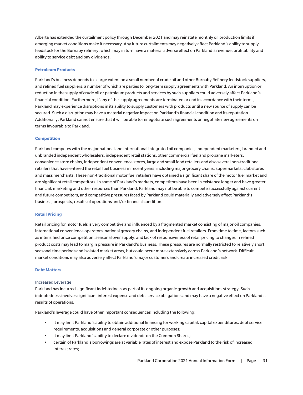Alberta has extended the curtailment policy through December 2021 and may reinstate monthly oil production limits if emerging market conditions make it necessary. Any future curtailments may negatively affect Parkland's ability to supply feedstock for the Burnaby refinery, which may in turn have a material adverse effect on Parkland's revenue, profitability and ability to service debt and pay dividends.

## **Petroleum Products**

Parkland's business depends to a large extent on a small number of crude oil and other Burnaby Refinery feedstock suppliers, and refined fuel suppliers, a number of which are parties to long-term supply agreements with Parkland. An interruption or reduction in the supply of crude oil or petroleum products and services by such suppliers could adversely affect Parkland's financial condition. Furthermore, if any of the supply agreements are terminated or end in accordance with their terms, Parkland may experience disruptions in its ability to supply customers with products until a new source of supply can be secured. Such a disruption may have a material negative impact on Parkland's financial condition and its reputation. Additionally, Parkland cannot ensure that it will be able to renegotiate such agreements or negotiate new agreements on terms favourable to Parkland.

#### **Competition**

Parkland competes with the major national and international integrated oil companies, independent marketers, branded and unbranded independent wholesalers, independent retail stations, other commercial fuel and propane marketers, convenience store chains, independent convenience stores, large and small food retailers and also several non-traditional retailers that have entered the retail fuel business in recent years, including major grocery chains, supermarkets, club stores and mass merchants. These non-traditional motor fuel retailers have obtained a significant share of the motor fuel market and are significant retail competitors. In some of Parkland's markets, competitors have been in existence longer and have greater financial, marketing and other resources than Parkland. Parkland may not be able to compete successfully against current and future competitors, and competitive pressures faced by Parkland could materially and adversely affect Parkland's business, prospects, results of operations and/or financial condition.

#### **Retail Pricing**

Retail pricing for motor fuels is very competitive and influenced by a fragmented market consisting of major oil companies, international convenience operators, national grocery chains, and independent fuel retailers. From time to time, factors such as intensified price competition, seasonal over supply, and lack of responsiveness of retail pricing to changes in refined product costs may lead to margin pressure in Parkland's business. These pressures are normally restricted to relatively short, seasonal time periods and isolated market areas, but could occur more extensively across Parkland's network. Difficult market conditions may also adversely affect Parkland's major customers and create increased credit risk.

#### **Debt Matters**

#### Increased Leverage

Parkland has incurred significant indebtedness as part of its ongoing organic growth and acquisitions strategy. Such indebtedness involves significant interest expense and debt service obligations and may have a negative effect on Parkland's results of operations.

Parkland's leverage could have other important consequences including the following:

- it may limit Parkland's ability to obtain additional financing for working capital, capital expenditures, debt service requirements, acquisitions and general corporate or other purposes;
- it may limit Parkland's ability to declare dividends on the Common Shares;
- certain of Parkland's borrowings are at variable rates of interest and expose Parkland to the risk of increased interest rates;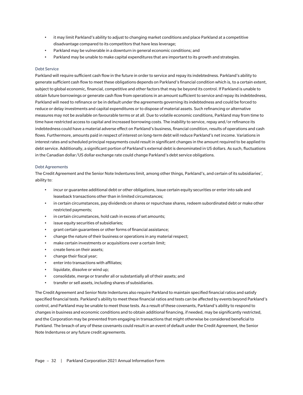- it may limit Parkland's ability to adjust to changing market conditions and place Parkland at a competitive disadvantage compared to its competitors that have less leverage;
- Parkland may be vulnerable in a downturn in general economic conditions; and
- Parkland may be unable to make capital expenditures that are important to its growth and strategies.

## Debt Service

Parkland will require sufficient cash flow in the future in order to service and repay its indebtedness. Parkland's ability to generate sufficient cash flow to meet these obligations depends on Parkland's financial condition which is, to a certain extent, subject to global economic, financial, competitive and other factors that may be beyond its control. If Parkland is unable to obtain future borrowings or generate cash flow from operations in an amount sufficient to service and repay its indebtedness, Parkland will need to refinance or be in default under the agreements governing its indebtedness and could be forced to reduce or delay investments and capital expenditures or to dispose of material assets. Such refinancing or alternative measures may not be available on favourable terms or at all. Due to volatile economic conditions, Parkland may from time to time have restricted access to capital and increased borrowing costs. The inability to service, repay and/or refinance its indebtedness could have a material adverse effect on Parkland's business, financial condition, results of operations and cash flows. Furthermore, amounts paid in respect of interest on long-term debt will reduce Parkland's net income. Variations in interest rates and scheduled principal repayments could result in significant changes in the amount required to be applied to debt service. Additionally, a significant portion of Parkland's external debt is denominated in US dollars. As such, fluctuations in the Canadian dollar/US dollar exchange rate could change Parkland's debt service obligations.

## Debt Agreements

The Credit Agreement and the Senior Note Indentures limit, among other things, Parkland's, and certain of its subsidiaries', ability to:

- incur or guarantee additional debt or other obligations, issue certain equity securities or enter into sale and leaseback transactions other than in limited circumstances;
- in certain circumstances, pay dividends on shares or repurchase shares, redeem subordinated debt or make other restricted payments;
- in certain circumstances, hold cash in excess of set amounts;
- issue equity securities of subsidiaries;
- grant certain guarantees or other forms of financial assistance;
- change the nature of their business or operations in any material respect;
- make certain investments or acquisitions over a certain limit;
- create liens on their assets;
- change their fiscal year;
- enter into transactions with affiliates;
- liquidate, dissolve or wind up;
- consolidate, merge or transfer all or substantially all of their assets; and
- transfer or sell assets, including shares of subsidiaries.

The Credit Agreement and Senior Note Indentures also require Parkland to maintain specified financial ratios and satisfy specified financial tests. Parkland's ability to meet these financial ratios and tests can be affected by events beyond Parkland's control, and Parkland may be unable to meet those tests. As a result of these covenants, Parkland's ability to respond to changes in business and economic conditions and to obtain additional financing, if needed, may be significantly restricted, and the Corporation may be prevented from engaging in transactions that might otherwise be considered beneficial to Parkland. The breach of any of these covenants could result in an event of default under the Credit Agreement, the Senior Note Indentures or any future credit agreements.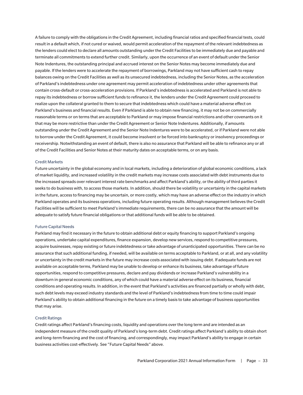A failure to comply with the obligations in the Credit Agreement, including financial ratios and specified financial tests, could result in a default which, if not cured or waived, would permit acceleration of the repayment of the relevant indebtedness as the lenders could elect to declare all amounts outstanding under the Credit Facilities to be immediately due and payable and terminate all commitments to extend further credit. Similarly, upon the occurrence of an event of default under the Senior Note Indentures, the outstanding principal and accrued interest on the Senior Notes may become immediately due and payable. If the lenders were to accelerate the repayment of borrowings, Parkland may not have sufficient cash to repay balances owing on the Credit Facilities as well as its unsecured indebtedness, including the Senior Notes, as the acceleration of Parkland's indebtedness under one agreement may permit acceleration of indebtedness under other agreements that contain cross-default or cross-acceleration provisions. If Parkland's indebtedness is accelerated and Parkland is not able to repay its indebtedness or borrow sufficient funds to refinance it, the lenders under the Credit Agreement could proceed to realize upon the collateral granted to them to secure that indebtedness which could have a material adverse effect on Parkland's business and financial results. Even if Parkland is able to obtain new financing, it may not be on commercially reasonable terms or on terms that are acceptable to Parkland or may impose financial restrictions and other covenants on it that may be more restrictive than under the Credit Agreement or Senior Note Indentures. Additionally, if amounts outstanding under the Credit Agreement and the Senior Note Indentures were to be accelerated, or if Parkland were not able to borrow under the Credit Agreement, it could become insolvent or be forced into bankruptcy or insolvency proceedings or receivership. Notwithstanding an event of default, there is also no assurance that Parkland will be able to refinance any or all of the Credit Facilities and Senior Notes at their maturity dates on acceptable terms, or on any basis.

## Credit Markets

Future uncertainty in the global economy and in local markets, including a deterioration of global economic conditions, a lack of market liquidity, and increased volatility in the credit markets may increase costs associated with debt instruments due to the increased spreads over relevant interest rate benchmarks and affect Parkland's ability, or the ability of third parties it seeks to do business with, to access those markets. In addition, should there be volatility or uncertainty in the capital markets in the future, access to financing may be uncertain, or more costly, which may have an adverse effect on the industry in which Parkland operates and its business operations, including future operating results. Although management believes the Credit Facilities will be sufficient to meet Parkland's immediate requirements, there can be no assurance that the amount will be adequate to satisfy future financial obligations or that additional funds will be able to be obtained.

#### Future Capital Needs

Parkland may find it necessary in the future to obtain additional debt or equity financing to support Parkland's ongoing operations, undertake capital expenditures, finance expansion, develop new services, respond to competitive pressures, acquire businesses, repay existing or future indebtedness or take advantage of unanticipated opportunities. There can be no assurance that such additional funding, if needed, will be available on terms acceptable to Parkland, or at all, and any volatility or uncertainty in the credit markets in the future may increase costs associated with issuing debt. If adequate funds are not available on acceptable terms, Parkland may be unable to develop or enhance its business, take advantage of future opportunities, respond to competitive pressures, declare and pay dividends or increase Parkland's vulnerability in a downturn in general economic conditions, any of which could have a material adverse effect on its business, financial conditions and operating results. In addition, in the event that Parkland's activities are financed partially or wholly with debt, such debt levels may exceed industry standards and the level of Parkland's indebtedness from time to time could impair Parkland's ability to obtain additional financing in the future on a timely basis to take advantage of business opportunities that may arise.

#### Credit Ratings

Credit ratings affect Parkland's financing costs, liquidity and operations over the long term and are intended as an independent measure of the credit quality of Parkland's long-term debt. Credit ratings affect Parkland's ability to obtain short and long-term financing and the cost of financing, and correspondingly, may impact Parkland's ability to engage in certain business activities cost-effectively. See "Future Capital Needs" above.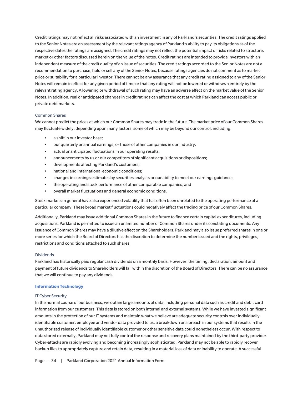Credit ratings may not reflect all risks associated with an investment in any of Parkland's securities. The credit ratings applied to the Senior Notes are an assessment by the relevant ratings agency of Parkland's ability to pay its obligations as of the respective dates the ratings are assigned. The credit ratings may not reflect the potential impact of risks related to structure, market or other factors discussed herein on the value of the notes. Credit ratings are intended to provide investors with an independent measure of the credit quality of an issue of securities. The credit ratings accorded to the Senior Notes are not a recommendation to purchase, hold or sell any of the Senior Notes, because ratings agencies do not comment as to market price or suitability for a particular investor. There cannot be any assurance that any credit rating assigned to any of the Senior Notes will remain in effect for any given period of time or that any rating will not be lowered or withdrawn entirely by the relevant rating agency. A lowering or withdrawal of such rating may have an adverse effect on the market value of the Senior Notes. In addition, real or anticipated changes in credit ratings can affect the cost at which Parkland can access public or private debt markets.

## Common Shares

We cannot predict the prices at which our Common Shares may trade in the future. The market price of our Common Shares may fluctuate widely, depending upon many factors, some of which may be beyond our control, including:

- a shift in our investor base;
- our quarterly or annual earnings, or those of other companies in our industry;
- actual or anticipated fluctuations in our operating results;
- announcements by us or our competitors of significant acquisitions or dispositions;
- developments affecting Parkland's customers;
- national and international economic conditions;
- changes in earnings estimates by securities analysts or our ability to meet our earnings guidance;
- the operating and stock performance of other comparable companies; and
- overall market fluctuations and general economic conditions.

Stock markets in general have also experienced volatility that has often been unrelated to the operating performance of a particular company. These broad market fluctuations could negatively affect the trading price of our Common Shares.

Additionally, Parkland may issue additional Common Shares in the future to finance certain capital expenditures, including acquisitions. Parkland is permitted to issue an unlimited number of Common Shares under its constating documents. Any issuance of Common Shares may have a dilutive effect on the Shareholders. Parkland may also issue preferred shares in one or more series for which the Board of Directors has the discretion to determine the number issued and the rights, privileges, restrictions and conditions attached to such shares.

#### **Dividends**

Parkland has historically paid regular cash dividends on a monthly basis. However, the timing, declaration, amount and payment of future dividends to Shareholders will fall within the discretion of the Board of Directors. There can be no assurance that we will continue to pay any dividends.

## **Information Technology**

#### IT Cyber Security

In the normal course of our business, we obtain large amounts of data, including personal data such as credit and debit card information from our customers. This data is stored on both internal and external systems. While we have invested significant amounts in the protection of our IT systems and maintain what we believe are adequate security controls over individually identifiable customer, employee and vendor data provided to us, a breakdown or a breach in our systems that results in the unauthorized release of individually identifiable customer or other sensitive data could nonetheless occur. With respect to data stored externally, Parkland may not fully control the response and recovery plans maintained by the third-party provider. Cyber-attacks are rapidly evolving and becoming increasingly sophisticated. Parkland may not be able to rapidly recover backup files to appropriately capture and retain data, resulting in a material loss of data or inability to operate. A successful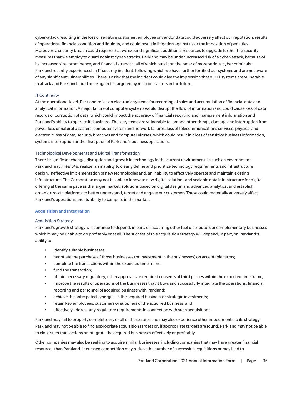cyber-attack resulting in the loss of sensitive customer, employee or vendor data could adversely affect our reputation, results of operations, financial condition and liquidity, and could result in litigation against us or the imposition of penalties. Moreover, a security breach could require that we expend significant additional resources to upgrade further the security measures that we employ to guard against cyber-attacks. Parkland may be under increased risk of a cyber-attack, because of its increased size, prominence, and financial strength, all of which puts it on the radar of more serious cyber criminals. Parkland recently experienced an IT security incident, following which we have further fortified our systems and are not aware of any significant vulnerabilities. There is a risk that the incident could give the impression that our IT systems are vulnerable to attack and Parkland could once again be targeted by malicious actors in the future.

## IT Continuity

At the operational level, Parkland relies on electronic systems for recording of sales and accumulation of financial data and analytical information. A major failure of computer systems would disrupt the flow of information and could cause loss of data records or corruption of data, which could impact the accuracy of financial reporting and management information and Parkland's ability to operate its business. These systems are vulnerable to, among other things, damage and interruption from power loss or natural disasters, computer system and network failures, loss of telecommunications services, physical and electronic loss of data, security breaches and computer viruses, which could result in a loss of sensitive business information, systems interruption or the disruption of Parkland's business operations.

## Technological Developments and Digital Transformation

There is significant change, disruption and growth in technology in the current environment. In such an environment, Parkland may, *inter alia*, realize: an inability to clearly define and prioritize technology requirements and infrastructure design, ineffective implementation of new technologies and, an inability to effectively operate and maintain existing infrastructure. The Corporation may not be able to innovate new digital solutions and scalable data infrastructure for digital offering at the same pace as the larger market. solutions based on digital design and advanced analytics; and establish organic growth platforms to better understand, target and engage our customers These could materially adversely affect Parkland's operations and its ability to compete in the market.

## **Acquisition and Integration**

## Acquisition Strategy

Parkland's growth strategy will continue to depend, in part, on acquiring other fuel distributors or complementary businesses which it may be unable to do profitably or at all. The success of this acquisition strategy will depend, in part, on Parkland's ability to:

- identify suitable businesses;
- negotiate the purchase of those businesses (or investment in the businesses) on acceptable terms;
- complete the transactions within the expected time frame;
- fund the transaction;
- obtain necessary regulatory, other approvals or required consents of third parties within the expected time frame;
- improve the results of operations of the businesses that it buys and successfully integrate the operations, financial reporting and personnel of acquired business with Parkland;
- achieve the anticipated synergies in the acquired business or strategic investments;
- retain key employees, customers or suppliers of the acquired business; and
- effectively address any regulatory requirements in connection with such acquisitions.

Parkland may fail to properly complete any or all of these steps and may also experience other impediments to its strategy. Parkland may not be able to find appropriate acquisition targets or, if appropriate targets are found, Parkland may not be able to close such transactions or integrate the acquired businesses effectively or profitably.

Other companies may also be seeking to acquire similar businesses, including companies that may have greater financial resources than Parkland. Increased competition may reduce the number of successful acquisitions or may lead to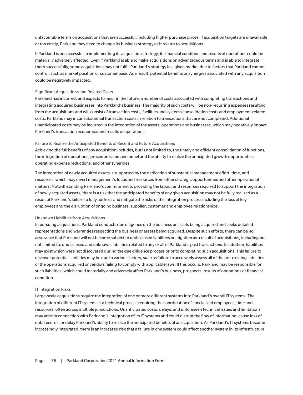unfavourable terms on acquisitions that are successful, including higher purchase prices. If acquisition targets are unavailable or too costly, Parkland may need to change its business strategy as it relates to acquisitions.

If Parkland is unsuccessful in implementing its acquisition strategy, its financial condition and results of operations could be materially adversely affected. Even if Parkland is able to make acquisitions on advantageous terms and is able to integrate them successfully, some acquisitions may not fulfill Parkland's strategy in a given market due to factors that Parkland cannot control, such as market position or customer base. As a result, potential benefits or synergies associated with any acquisition could be negatively impacted.

#### Significant Acquisitions and Related Costs

Parkland has incurred, and expects to incur in the future, a number of costs associated with completing transactions and integrating acquired businesses into Parkland's business. The majority of such costs will be non-recurring expenses resulting from the acquisitions and will consist of transaction costs, facilities and systems consolidation costs and employment-related costs. Parkland may incur substantial transaction costs in relation to transactions that are not completed. Additional unanticipated costs may be incurred in the integration of the assets, operations and businesses, which may negatively impact Parkland's transaction economics and results of operations.

## Failure to Realize the Anticipated Benefits of Recent and Future Acquisitions

Achieving the full benefits of any acquisition includes, but is not limited to, the timely and efficient consolidation of functions, the integration of operations, procedures and personnel and the ability to realize the anticipated growth opportunities, operating expense reductions, and other synergies.

The integration of newly acquired assets is supported by the dedication of substantial management effort, time, and resources, which may divert management's focus and resources from other strategic opportunities and other operational matters. Notwithstanding Parkland's commitment to providing the labour and resources required to support the integration of newly acquired assets, there is a risk that the anticipated benefits of any given acquisition may not be fully realized as a result of Parkland's failure to fully address and mitigate the risks of the integration process including the loss of key employees and the disruption of ongoing business, supplier, customer and employee relationships.

#### Unknown Liabilities from Acquisitions

In pursuing acquisitions, Parkland conducts due diligence on the business or assets being acquired and seeks detailed representations and warranties respecting the business or assets being acquired. Despite such efforts, there can be no assurance that Parkland will not become subject to undisclosed liabilities or litigation as a result of acquisitions, including but not limited to, undisclosed and unknown liabilities related to any or all of Parkland's past transactions. In addition, liabilities may exist which were not discovered during the due diligence process prior to completing such acquisitions. This failure to discover potential liabilities may be due to various factors, such as failure to accurately assess all of the pre-existing liabilities of the operations acquired or vendors failing to comply with applicable laws. If this occurs, Parkland may be responsible for such liabilities, which could materially and adversely affect Parkland's business, prospects, results of operations or financial condition.

#### IT Integration Risks

Large-scale acquisitions require the integration of one or more different systems into Parkland's overall IT systems. The integration of different IT systems is a technical process requiring the coordination of specialized employees, time and resources, often across multiple jurisdictions. Unanticipated costs, delays, and unforeseen technical issues and limitations may arise in connection with Parkland's integration of its IT systems and could disrupt the flow of information, cause loss of data records, or delay Parkland's ability to realize the anticipated benefits of an acquisition. As Parkland's IT systems become increasingly integrated, there is an increased risk that a failure in one system could affect another system in its infrastructure.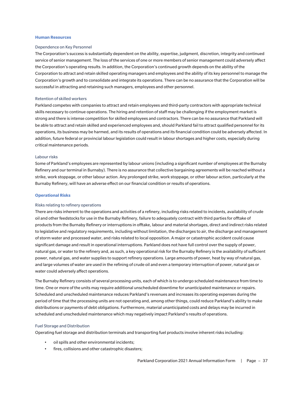#### **Human Resources**

#### Dependence on Key Personnel

The Corporation's success is substantially dependent on the ability, expertise, judgment, discretion, integrity and continued service of senior management. The loss of the services of one or more members of senior management could adversely affect the Corporation's operating results. In addition, the Corporation's continued growth depends on the ability of the Corporation to attract and retain skilled operating managers and employees and the ability of its key personnel to manage the Corporation's growth and to consolidate and integrate its operations. There can be no assurance that the Corporation will be successful in attracting and retaining such managers, employees and other personnel.

## Retention of skilled workers

Parkland competes with companies to attract and retain employees and third-party contractors with appropriate technical skills necessary to continue operations. The hiring and retention of staff may be challenging if the employment market is strong and there is intense competition for skilled employees and contractors. There can be no assurance that Parkland will be able to attract and retain skilled and experienced employees and, should Parkland fail to attract qualified personnel for its operations, its business may be harmed, and its results of operations and its financial condition could be adversely affected. In addition, future federal or provincial labour legislation could result in labour shortages and higher costs, especially during critical maintenance periods.

#### Labour risks

Some of Parkland's employees are represented by labour unions (including a significant number of employees at the Burnaby Refinery and our terminal in Burnaby). There is no assurance that collective bargaining agreements will be reached without a strike, work stoppage, or other labour action. Any prolonged strike, work stoppage, or other labour action, particularly at the Burnaby Refinery, will have an adverse effect on our financial condition or results of operations.

## **Operational Risks**

#### Risks relating to refinery operations

There are risks inherent to the operations and activities of a refinery, including risks related to incidents, availability of crude oil and other feedstocks for use in the Burnaby Refinery, failure to adequately contract with third parties for offtake of products from the Burnaby Refinery or interruptions in offtake, labour and material shortages, direct and indirect risks related to legislative and regulatory requirements, including without limitation, the discharges to air, the discharge and management of storm water and processed water, and risks related to local opposition. A major or catastrophic accident could cause significant damage and result in operational interruptions. Parkland does not have full control over the supply of power, natural gas, or water to the refinery and, as such, a key operational risk for the Burnaby Refinery is the availability of sufficient power, natural gas, and water supplies to support refinery operations. Large amounts of power, heat by way of natural gas, and large volumes of water are used in the refining of crude oil and even a temporary interruption of power, natural gas or water could adversely affect operations.

The Burnaby Refinery consists of several processing units, each of which is to undergo scheduled maintenance from time to time. One or more of the units may require additional unscheduled downtime for unanticipated maintenance or repairs. Scheduled and unscheduled maintenance reduces Parkland's revenues and increases its operating expenses during the period of time that the processing units are not operating and, among other things, could reduce Parkland's ability to make distributions or payments of debt obligations. Furthermore, material unanticipated costs and delays may be incurred in scheduled and unscheduled maintenance which may negatively impact Parkland's results of operations.

#### Fuel Storage and Distribution

Operating fuel storage and distribution terminals and transporting fuel products involve inherent risks including:

- oil spills and other environmental incidents;
- fires, collisions and other catastrophic disasters;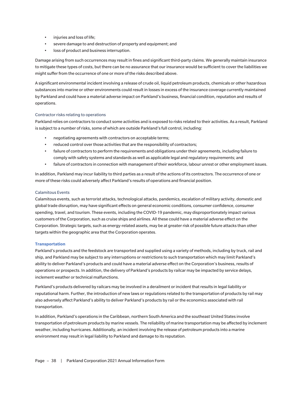- injuries and loss of life;
- severe damage to and destruction of property and equipment; and
- loss of product and business interruption.

Damage arising from such occurrences may result in fines and significant third-party claims. We generally maintain insurance to mitigate these types of costs, but there can be no assurance that our insurance would be sufficient to cover the liabilities we might suffer from the occurrence of one or more of the risks described above.

A significant environmental incident involving a release of crude oil, liquid petroleum products, chemicals or other hazardous substances into marine or other environments could result in losses in excess of the insurance coverage currently maintained by Parkland and could have a material adverse impact on Parkland's business, financial condition, reputation and results of operations.

## Contractor risks relating to operations

Parkland relies on contractors to conduct some activities and is exposed to risks related to their activities. As a result, Parkland is subject to a number of risks, some of which are outside Parkland's full control, including:

- negotiating agreements with contractors on acceptable terms;
- reduced control over those activities that are the responsibility of contractors;
- failure of contractors to perform the requirements and obligations under their agreements, including failure to comply with safety systems and standards as well as applicable legal and regulatory requirements; and
- failure of contractors in connection with management of their workforce, labour unrest or other employment issues.

In addition, Parkland may incur liability to third parties as a result of the actions of its contractors. The occurrence of one or more of these risks could adversely affect Parkland's results of operations and financial position.

## Calamitous Events

Calamitous events, such as terrorist attacks, technological attacks, pandemics, escalation of military activity, domestic and global trade disruption, may have significant effects on general economic conditions, consumer confidence, consumer spending, travel, and tourism. These events, including the COVID-19 pandemic, may disproportionately impact various customers of the Corporation, such as cruise ships and airlines. All these could have a material adverse effect on the Corporation. Strategic targets, such as energy-related assets, may be at greater risk of possible future attacks than other targets within the geographic area that the Corporation operates.

#### **Transportation**

Parkland's products and the feedstock are transported and supplied using a variety of methods, including by truck, rail and ship, and Parkland may be subject to any interruptions or restrictions to such transportation which may limit Parkland's ability to deliver Parkland's products and could have a material adverse effect on the Corporation's business, results of operations or prospects. In addition, the delivery of Parkland's products by railcar may be impacted by service delays, inclement weather or technical malfunctions.

Parkland's products delivered by railcars may be involved in a derailment or incident that results in legal liability or reputational harm. Further, the introduction of new laws or regulations related to the transportation of products by rail may also adversely affect Parkland's ability to deliver Parkland's products by rail or the economics associated with rail transportation.

In addition, Parkland's operations in the Caribbean, northern South America and the southeast United States involve transportation of petroleum products by marine vessels. The reliability of marine transportation may be affected by inclement weather, including hurricanes. Additionally, an incident involving the release of petroleum products into a marine environment may result in legal liability to Parkland and damage to its reputation.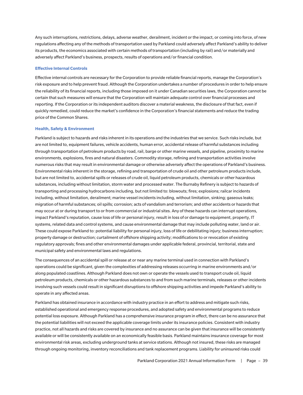Any such interruptions, restrictions, delays, adverse weather, derailment, incident or the impact, or coming into force, of new regulations affecting any of the methods of transportation used by Parkland could adversely affect Parkland's ability to deliver its products, the economics associated with certain methods of transportation (including by rail) and/or materially and adversely affect Parkland's business, prospects, results of operations and/or financial condition.

## **Effective Internal Controls**

Effective internal controls are necessary for the Corporation to provide reliable financial reports, manage the Corporation's risk exposure and to help prevent fraud. Although the Corporation undertakes a number of procedures in order to help ensure the reliability of its financial reports, including those imposed on it under Canadian securities laws, the Corporation cannot be certain that such measures will ensure that the Corporation will maintain adequate control over financial processes and reporting. If the Corporation or its independent auditors discover a material weakness, the disclosure of that fact, even if quickly remedied, could reduce the market's confidence in the Corporation's financial statements and reduce the trading price of the Common Shares.

#### **Health, Safety & Environment**

Parkland is subject to hazards and risks inherent in its operations and the industries that we service. Such risks include, but are not limited to, equipment failures, vehicle accidents, human error, accidental release of harmful substances including through transportation of petroleum products by road, rail, barge or other marine vessels, and pipeline, proximity to marine environments, explosions, fires and natural disasters. Commodity storage, refining and transportation activities involve numerous risks that may result in environmental damage or otherwise adversely affect the operations of Parkland's business. Environmental risks inherent in the storage, refining and transportation of crude oil and other petroleum products include, but are not limited to, accidental spills or releases of crude oil, liquid petroleum products, chemicals or other hazardous substances, including without limitation, storm water and processed water. The Burnaby Refinery is subject to hazards of transporting and processing hydrocarbons including, but not limited to: blowouts; fires; explosions; railcar incidents including, without limitation, derailment; marine vessel incidents including, without limitation, sinking; gaseous leaks; migration of harmful substances; oil spills; corrosion; acts of vandalism and terrorism; and other accidents or hazards that may occur at or during transport to or from commercial or industrial sites. Any of these hazards can interrupt operations, impact Parkland's reputation, cause loss of life or personal injury, result in loss of or damage to equipment, property, IT systems, related data and control systems, and cause environmental damage that may include polluting water, land or air. These could expose Parkland to: potential liability for personal injury, loss of life or debilitating injury; business interruption; property damage or destruction; curtailment of offshore shipping activity; modifications to or revocation of existing regulatory approvals; fines and other environmental damages under applicable federal, provincial, territorial, state and municipal safety and environmental laws and regulations.

The consequences of an accidental spill or release at or near any marine terminal used in connection with Parkland's operations could be significant, given the complexities of addressing releases occurring in marine environments and/or along populated coastlines. Although Parkland does not own or operate the vessels used to transport crude oil, liquid petroleum products, chemicals or other hazardous substances to and from such marine terminals, releases or other incidents involving such vessels could result in significant disruptions to offshore shipping activities and impede Parkland's ability to operate in any affected areas.

Parkland has obtained insurance in accordance with industry practice in an effort to address and mitigate such risks, established operational and emergency response procedures, and adopted safety and environmental programs to reduce potential loss exposure. Although Parkland has a comprehensive insurance program in effect, there can be no assurance that the potential liabilities will not exceed the applicable coverage limits under its insurance policies. Consistent with industry practice, not all hazards and risks are covered by insurance and no assurance can be given that insurance will be consistently available or will be consistently available on an economically feasible basis. Parkland maintains insurance coverage for most environmental risk areas, excluding underground tanks at service stations. Although not insured, these risks are managed through ongoing monitoring, inventory reconciliations and tank replacement programs. Liability for uninsured risks could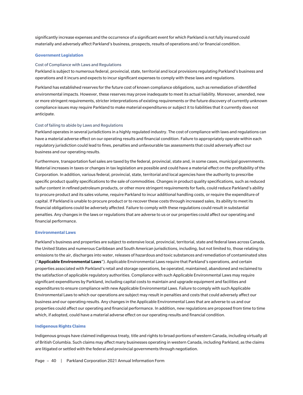significantly increase expenses and the occurrence of a significant event for which Parkland is not fully insured could materially and adversely affect Parkland's business, prospects, results of operations and/or financial condition.

#### **Government Legislation**

## Cost of Compliance with Laws and Regulations

Parkland is subject to numerous federal, provincial, state, territorial and local provisions regulating Parkland's business and operations and it incurs and expects to incur significant expenses to comply with these laws and regulations.

Parkland has established reserves for the future cost of known compliance obligations, such as remediation of identified environmental impacts. However, these reserves may prove inadequate to meet its actual liability. Moreover, amended, new or more stringent requirements, stricter interpretations of existing requirements or the future discovery of currently unknown compliance issues may require Parkland to make material expenditures or subject it to liabilities that it currently does not anticipate.

#### Cost of failing to abide by Laws and Regulations

Parkland operates in several jurisdictions in a highly regulated industry. The cost of compliance with laws and regulations can have a material adverse effect on our operating results and financial condition. Failure to appropriately operate within each regulatory jurisdiction could lead to fines, penalties and unfavourable tax assessments that could adversely affect our business and our operating results.

Furthermore, transportation fuel sales are taxed by the federal, provincial, state and, in some cases, municipal governments. Material increases in taxes or changes in tax legislation are possible and could have a material effect on the profitability of the Corporation. In addition, various federal, provincial, state, territorial and local agencies have the authority to prescribe specific product quality specifications to the sale of commodities. Changes in product quality specifications, such as reduced sulfur content in refined petroleum products, or other more stringent requirements for fuels, could reduce Parkland's ability to procure product and its sales volume, require Parkland to incur additional handling costs, or require the expenditure of capital. If Parkland is unable to procure product or to recover these costs through increased sales, its ability to meet its financial obligations could be adversely affected. Failure to comply with these regulations could result in substantial penalties. Any changes in the laws or regulations that are adverse to us or our properties could affect our operating and financial performance.

#### **Environmental Laws**

Parkland's business and properties are subject to extensive local, provincial, territorial, state and federal laws across Canada, the United States and numerous Caribbean and South American jurisdictions, including, but not limited to, those relating to emissions to the air, discharges into water, releases of hazardous and toxic substances and remediation of contaminated sites ("**Applicable Environmental Laws**"). Applicable Environmental Laws require that Parkland's operations, and certain properties associated with Parkland's retail and storage operations, be operated, maintained, abandoned and reclaimed to the satisfaction of applicable regulatory authorities. Compliance with such Applicable Environmental Laws may require significant expenditures by Parkland, including capital costs to maintain and upgrade equipment and facilities and expenditures to ensure compliance with new Applicable Environmental Laws. Failure to comply with such Applicable Environmental Laws to which our operations are subject may result in penalties and costs that could adversely affect our business and our operating results. Any changes in the Applicable Environmental Laws that are adverse to us and our properties could affect our operating and financial performance. In addition, new regulations are proposed from time to time which, if adopted, could have a material adverse effect on our operating results and financial condition.

#### **Indigenous Rights Claims**

Indigenous groups have claimed indigenous treaty, title and rights to broad portions of western Canada, including virtually all of British Columbia. Such claims may affect many businesses operating in western Canada, including Parkland, as the claims are litigated or settled with the federal and provincial governments through negotiation.

Page - 40 | Parkland Corporation 2021 Annual Information Form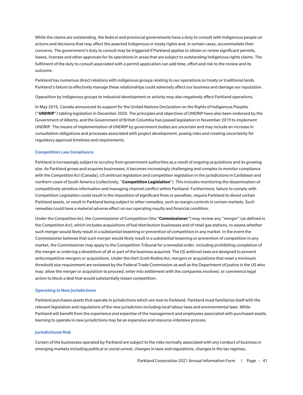While the claims are outstanding, the federal and provincial governments have a duty to consult with Indigenous people on actions and decisions that may affect the asserted Indigenous or treaty rights and, in certain cases, accommodate their concerns. The government's duty to consult may be triggered if Parkland applies to obtain or renew significant permits, leases, licenses and other approvals for its operations in areas that are subject to outstanding Indigenous rights claims. The fulfilment of the duty to consult associated with a permit application can add time, effort and risk to the review and its outcome.

Parkland has numerous direct relations with indigenous groups relating to our operations on treaty or traditional lands. Parkland's failure to effectively manage these relationships could adversely affect our business and damage our reputation.

Opposition by Indigenous groups to industrial development or activity may also negatively affect Parkland operations.

In May 2016, Canada announced its support for the United Nations Declaration on the Rights of Indigenous Peoples ("**UNDRIP**") tabling legislation in December 2020. The principles and objectives of UNDRIP have also been endorsed by the Government of Alberta, and the Government of British Columbia has passed legislation in November 2019 to implement UNDRIP. The means of implementation of UNDRIP by government bodies are uncertain and may include an increase in consultation obligations and processes associated with project development, posing risks and creating uncertainty for regulatory approval timelines and requirements.

## **Competition Law Compliance**

Parkland is increasingly subject to scrutiny from government authorities as a result of ongoing acquisitions and its growing size. As Parkland grows and acquires businesses, it becomes increasingly challenging and complex to monitor compliance with the *Competition Act* (Canada), US antitrust legislation and competition legislation in the jurisdictions in Caribbean and northern coast of South America (collectively, "**Competition Legislation**"). This includes monitoring the dissemination of competitively sensitive information and managing channel conflict within Parkland. Furthermore, failure to comply with Competition Legislation could result in the imposition of significant fines or penalties, require Parkland to divest certain Parkland assets, or result in Parkland being subject to other remedies, such as margin controls in certain markets. Such remedies could have a material adverse effect on our operating results and financial condition.

Under the *Competition Act*, the Commissioner of Competition (the "**Commissioner**") may review any "merger" (as defined in the *Competition Act*), which includes acquisitions of fuel distribution businesses and of retail gas stations, to assess whether such merger would likely result in a substantial lessening or prevention of competition in any market. In the event the Commissioner believes that such merger would likely result in a substantial lessening or prevention of competition in any market, the Commissioner may apply to the Competition Tribunal for a remedial order, including prohibiting completion of the merger or ordering a divestiture of all or part of the business acquired. The US antitrust laws are designed to prevent anticompetitive mergers or acquisitions. Under the *Hart-Scott-Rodino Act*, mergers or acquisitions that meet a minimum threshold size requirement are reviewed by the Federal Trade Commission as well as the Department of Justice in the US who may: allow the merger or acquisition to proceed, enter into settlement with the companies involved, or commence legal action to block a deal that would substantially lessen competition.

#### **Operating in New Jurisdictions**

Parkland purchases assets that operate in jurisdictions which are new to Parkland. Parkland must familiarize itself with the relevant legislation and regulations of the new jurisdiction including local labour laws and environmental laws. While Parkland will benefit from the experience and expertise of the management and employees associated with purchased assets, learning to operate in new jurisdictions may be an expensive and resource-intensive process.

#### **Jurisdictional Risk**

Certain of the businesses operated by Parkland are subject to the risks normally associated with any conduct of business in emerging markets including political or social unrest, changes in laws and regulations, changes in the tax regimes,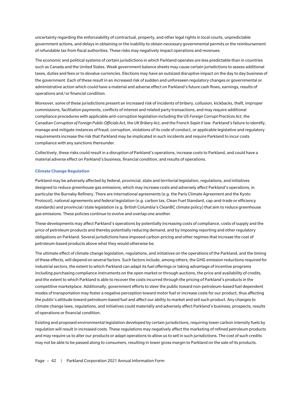uncertainty regarding the enforceability of contractual, property, and other legal rights in local courts, unpredictable government actions, and delays in obtaining or the inability to obtain necessary governmental permits or the reimbursement of refundable tax from fiscal authorities. These risks may negatively impact operations and revenues.

The economic and political systems of certain jurisdictions in which Parkland operates are less predictable than in countries such as Canada and the United States. Weak government balance sheets may cause certain jurisdictions to assess additional taxes, duties and fees or to devalue currencies. Elections may have an outsized disruptive impact on the day to day business of the government. Each of these result in an increased risk of sudden and unforeseen regulatory changes or governmental or administrative action which could have a material and adverse effect on Parkland's future cash flows, earnings, results of operations and/or financial condition.

Moreover, some of these jurisdictions present an increased risk of incidents of bribery, collusion, kickbacks, theft, improper commissions, facilitation payments, conflicts of interest and related party transactions, and may require additional compliance procedures with applicable anti-corruption legislation including the US *Foreign Corrupt Practices Act*, the Canadian *Corruption of Foreign Public Officials Act*, the *UK Bribery Act*, and the French *Sapin II* law. Parkland's failure to identify, manage and mitigate instances of fraud, corruption, violations of its code of conduct, or applicable legislative and regulatory requirements increase the risk that Parkland may be implicated in such incidents and require Parkland to incur costs compliance with any sanctions thereunder.

Collectively, these risks could result in a disruption of Parkland's operations, increase costs to Parkland, and could have a material adverse effect on Parkland's business, financial condition, and results of operations.

#### **Climate Change Regulation**

Parkland may be adversely affected by federal, provincial, state and territorial legislation, regulations, and initiatives designed to reduce greenhouse gas emissions, which may increase costs and adversely affect Parkland's operations, in particular the Burnaby Refinery. There are international agreements (e.g. the Paris Climate Agreement and the Kyoto Protocol), national agreements and federal legislation (e.g. carbon tax, Clean Fuel Standard, cap-and-trade or efficiency standards) and provincial/state legislation (e.g. British Columbia's CleanBC climate policy) that aim to reduce greenhouse gas emissions. These policies continue to evolve and overlap one another.

These developments may affect Parkland's operations by potentially increasing costs of compliance, costs of supply and the price of petroleum products and thereby potentially reducing demand, and by imposing reporting and other regulatory obligations on Parkland. Several jurisdictions have imposed carbon-pricing and other regimes that increase the cost of petroleum-based products above what they would otherwise be.

The ultimate effect of climate change legislation, regulations, and initiatives on the operations of the Parkland, and the timing of these effects, will depend on several factors. Such factors include, among others, the GHG emission reductions required for industrial sectors, the extent to which Parkland can adapt its fuel offerings or taking advantage of incentive programs including purchasing compliance instruments on the open market or through auctions, the price and availability of credits, and the extent to which Parkland is able to recover the costs incurred through the pricing of Parkland's products in the competitive marketplace. Additionally, government efforts to steer the public toward non-petroleum-based fuel dependent modes of transportation may foster a negative perception toward motor fuel or increase costs for our product, thus affecting the public's attitude toward petroleum-based fuel and affect our ability to market and sell such product. Any changes to climate change laws, regulations, and initiatives could materially and adversely affect Parkland's business, prospects, results of operations or financial condition.

Existing and proposed environmental legislation developed by certain jurisdictions, requiring lower carbon intensity fuels by regulation will result in increased costs. These regulations may negatively affect the marketing of refined petroleum products and may require us to alter our products or adapt operations to allow us to sell in such jurisdictions. The cost of such credits may not be able to be passed along to consumers, resulting in lower gross margin to Parkland on the sale of its products.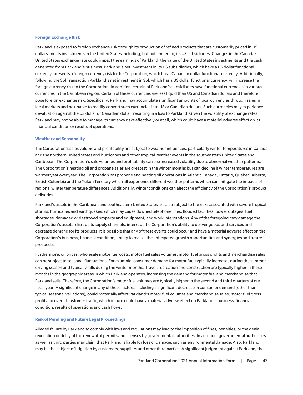#### **Foreign Exchange Risk**

Parkland is exposed to foreign exchange risk through its production of refined products that are customarily priced in US dollars and its investments in the United States including, but not limited to, its US subsidiaries. Changes in the Canada/ United States exchange rate could impact the earnings of Parkland, the value of the United States investments and the cash generated from Parkland's business. Parkland's net investment in its US subsidiaries, which have a US dollar functional currency, presents a foreign currency risk to the Corporation, which has a Canadian dollar functional currency. Additionally, following the Sol Transaction Parkland's net investment in Sol, which has a US dollar functional currency, will increase the foreign currency risk to the Corporation. In addition, certain of Parkland's subsidiaries have functional currencies in various currencies in the Caribbean region. Certain of these currencies are less liquid than US and Canadian dollars and therefore pose foreign exchange risk. Specifically, Parkland may accumulate significant amounts of local currencies through sales in local markets and be unable to readily convert such currencies into US or Canadian dollars. Such currencies may experience devaluation against the US dollar or Canadian dollar, resulting in a loss to Parkland. Given the volatility of exchange rates, Parkland may not be able to manage its currency risks effectively or at all, which could have a material adverse effect on its financial condition or results of operations.

## **Weather and Seasonality**

The Corporation's sales volume and profitability are subject to weather influences, particularly winter temperatures in Canada and the northern United States and hurricanes and other tropical weather events in the southeastern United States and Caribbean. The Corporation's sale volumes and profitability can see increased volatility due to abnormal weather patterns. The Corporation's heating oil and propane sales are greatest in the winter months but can decline if winter temperatures are warmer year over year. The Corporation has propane and heating oil operations in Atlantic Canada, Ontario, Quebec, Alberta, British Columbia and the Yukon Territory which all experience different weather patterns which can mitigate the impacts of regional winter temperature differences. Additionally, winter conditions can affect the efficiency of the Corporation's product deliveries.

Parkland's assets in the Caribbean and southeastern United States are also subject to the risks associated with severe tropical storms, hurricanes and earthquakes, which may cause downed telephone lines, flooded facilities, power outages, fuel shortages, damaged or destroyed property and equipment, and work interruptions. Any of the foregoing may damage the Corporation's assets, disrupt its supply channels, interrupt the Corporation's ability to deliver goods and services and decrease demand for its products. It is possible that any of these events could occur and have a material adverse effect on the Corporation's business, financial condition, ability to realize the anticipated growth opportunities and synergies and future prospects.

Furthermore, oil prices, wholesale motor fuel costs, motor fuel sales volumes, motor fuel gross profits and merchandise sales can be subject to seasonal fluctuations. For example, consumer demand for motor fuel typically increases during the summer driving season and typically falls during the winter months. Travel, recreation and construction are typically higher in these months in the geographic areas in which Parkland operates, increasing the demand for motor fuel and merchandise that Parkland sells. Therefore, the Corporation's motor fuel volumes are typically higher in the second and third quarters of our fiscal year. A significant change in any of these factors, including a significant decrease in consumer demand (other than typical seasonal variations), could materially affect Parkland's motor fuel volumes and merchandise sales, motor fuel gross profit and overall customer traffic, which in turn could have a material adverse effect on Parkland's business, financial condition, results of operations and cash flows.

#### **Risk of Pending and Future Legal Proceedings**

Alleged failure by Parkland to comply with laws and regulations may lead to the imposition of fines, penalties, or the denial, revocation or delay of the renewal of permits and licenses by governmental authorities. In addition, governmental authorities as well as third parties may claim that Parkland is liable for loss or damage, such as environmental damage. Also, Parkland may be the subject of litigation by customers, suppliers and other third parties. A significant judgment against Parkland, the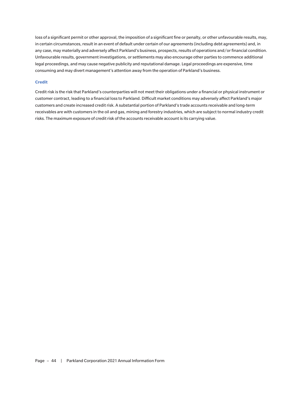loss of a significant permit or other approval, the imposition of a significant fine or penalty, or other unfavourable results, may, in certain circumstances, result in an event of default under certain of our agreements (including debt agreements) and, in any case, may materially and adversely affect Parkland's business, prospects, results of operations and/or financial condition. Unfavourable results, government investigations, or settlements may also encourage other parties to commence additional legal proceedings, and may cause negative publicity and reputational damage. Legal proceedings are expensive, time consuming and may divert management's attention away from the operation of Parkland's business.

## **Credit**

Credit risk is the risk that Parkland's counterparties will not meet their obligations under a financial or physical instrument or customer contract, leading to a financial loss to Parkland. Difficult market conditions may adversely affect Parkland's major customers and create increased credit risk. A substantial portion of Parkland's trade accounts receivable and long-term receivables are with customers in the oil and gas, mining and forestry industries, which are subject to normal industry credit risks. The maximum exposure of credit risk of the accounts receivable account is its carrying value.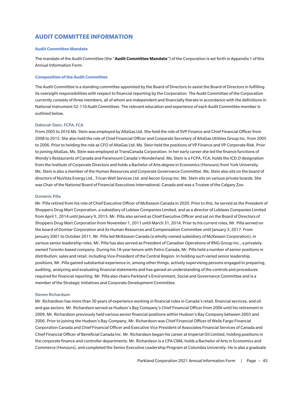# **AUDIT COMMITTEE INFORMATION**

## **Audit Committee Mandate**

The mandate of the Audit Committee (the "**Audit Committee Mandate**") of the Corporation is set forth in Appendix 1 of this Annual Information Form.

## **Composition of the Audit Committee**

The Audit Committee is a standing committee appointed by the Board of Directors to assist the Board of Directors in fulfilling its oversight responsibilities with respect to financial reporting by the Corporation. The Audit Committee of the Corporation currently consists of three members, all of whom are independent and financially literate in accordance with the definitions in National Instrument 52-110 *Audit Committees*. The relevant education and experience of each Audit Committee member is outlined below.

#### Deborah Stein, FCPA, FCA

From 2005 to 2016 Ms. Stein was employed by AltaGas Ltd. She held the role of SVP Finance and Chief Financial Officer from 2008 to 2015. She also held the role of Chief Financial Officer and Corporate Secretary of AltaGas Utilities Group Inc. from 2005 to 2006. Prior to holding the role as CFO of AltaGas Ltd. Ms. Stein held the positions of VP Finance and VP Corporate Risk. Prior to joining AltaGas, Ms. Stein was employed at TransCanada Corporation. In her early career she led the finance functions of Wendy's Restaurants of Canada and Paramount Canada's Wonderland. Ms. Stein is a FCPA, FCA, holds the ICD.D designation from the Institute of Corporate Directors and holds a Bachelor of Arts degree in Economics (Honours) from York University. Ms. Stein is also a member of the Human Resources and Corporate Governance Committee. Ms. Stein also sits on the board of directors of NuVista Energy Ltd., Trican Well Services Ltd. and Aecon Group Inc. Ms. Stein sits on various private boards. She was Chair of the National Board of Financial Executives International, Canada and was a Trustee of the Calgary Zoo.

#### Domenic Pilla

Mr. Pilla retired from his role of Chief Executive Officer of McKesson Canada in 2020. Prior to this, he served as the President of Shoppers Drug Mart Corporation, a subsidiary of Loblaw Companies Limited, and as a director of Loblaws Companies Limited from April 1, 2014 until January 9, 2015. Mr. Pilla also served as Chief Executive Officer and sat on the Board of Directors of Shoppers Drug Mart Corporation from November 1, 2011 until March 31, 2014. Prior to his current roles, Mr. Pilla served on the board of Domtar Corporation and its Human Resources and Compensation Committee until January 3, 2017. From January 2001 to October 2011, Mr. Pilla led McKesson Canada (a wholly-owned subsidiary of McKesson Corporation), in various senior leadership roles. Mr. Pilla has also served as President of Canadian Operations of RNG Group Inc., a privatelyowned Toronto-based company. During his 18-year tenure with Petro-Canada, Mr. Pilla held a number of senior positions in distribution, sales and retail, including Vice-President of the Central Region. In holding such varied senior leadership positions, Mr. Pilla gained substantial experience in, among other things, actively supervising persons engaged in preparing, auditing, analyzing and evaluating financial statements and has gained an understanding of the controls and procedures required for financial reporting. Mr. Pilla also chairs Parkland's Environment, Social and Governance Committee and is a member of the Strategic Initiatives and Corporate Development Committee.

#### Steven Richardson

Mr. Richardson has more than 30 years of experience working in financial roles in Canada's retail, financial services, and oil and gas sectors. Mr. Richardson served as Hudson's Bay Company's Chief Financial Officer from 2006 until his retirement in 2009. Mr. Richardson previously held various senior financial positions within Hudson's Bay Company between 2003 and 2006. Prior to joining the Hudson's Bay Company, Mr. Richardson was Chief Financial Officer of Wells Fargo Financial Corporation Canada and Chief Financial Officer and Executive Vice President of Associates Financial Services of Canada and Chief Financial Officer of Beneficial Canada Inc. Mr. Richardson began his career at Imperial Oil Limited, holding positions in the corporate finance and controller departments. Mr. Richardson is a CPA CMA, holds a Bachelor of Arts in Economics and Commerce (Honours), and completed the Senior Executive Leadership Program at Columbia University. He is also a graduate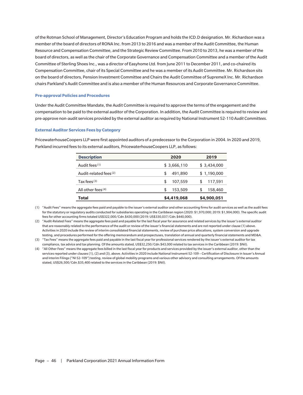of the Rotman School of Management, Director's Education Program and holds the ICD.D designation. Mr. Richardson was a member of the board of directors of RONA Inc. from 2013 to 2016 and was a member of the Audit Committee, the Human Resource and Compensation Committee, and the Strategic Review Committee. From 2010 to 2013, he was a member of the board of directors, as well as the chair of the Corporate Governance and Compensation Committee and a member of the Audit Committee of Sterling Shoes Inc., was a director of Easyhome Ltd. from June 2011 to December 2011, and co-chaired its Compensation Committee, chair of its Special Committee and he was a member of its Audit Committee. Mr. Richardson sits on the board of directors, Pension Investment Committee and Chairs the Audit Committee of SupremeX Inc. Mr. Richardson chairs Parkland's Audit Committee and is also a member of the Human Resources and Corporate Governance Committee.

## **Pre-approval Policies and Procedures**

Under the Audit Committee Mandate, the Audit Committee is required to approve the terms of the engagement and the compensation to be paid to the external auditor of the Corporation. In addition, the Audit Committee is required to review and pre-approve non-audit services provided by the external auditor as required by National Instrument 52-110 *Audit Committees*.

#### **External Auditor Services Fees by Category**

**Description 2020 2019** Audit fees<sup>(1)</sup>  $$3,666,110$   $$3,434,000$ Audit-related fees<sup>(2)</sup>  $$ 491,890$   $$ 1,190,000$ Tax fees<sup>(3)</sup> 5 107,559 5 117,591 All other fees<sup>(4)</sup>  $$ 153,509$   $$ 158,460$ **Total \$4,419,068 \$4,900,051**

PricewaterhouseCoopers LLP were first appointed auditors of a predecessor to the Corporation in 2004. In 2020 and 2019, Parkland incurred fees to its external auditors, PricewaterhouseCoopers LLP, as follows:

(1) "Audit Fees" means the aggregate fees paid and payable to the issuer's external auditor and other accounting firms for audit services as well as the audit fees for the statutory or regulatory audits conducted for subsidiaries operating in the Caribbean region (2020: \$1,970,000; 2019: \$1,904,000). The specific audit fees for other accounting firms totaled US\$322,000/Cdn.\$430,000 (2019: US\$330,037/Cdn.\$440,000).

(2) "Audit-Related Fees" means the aggregate fees paid and payable for the last fiscal year for assurance and related services by the issuer's external auditor that are reasonably related to the performance of the audit or review of the issuer's financial statements and are not reported under clause (1) above. Activities in 2020 include the review of interim consolidated financial statements, review of purchase price allocations, system conversion and upgrade testing, and procedures performed for the offering memorandum and prospectuses, translation of annual and quarterly financial statements and MD&A.

(3) "Tax Fees" means the aggregate fees paid and payable in the last fiscal year for professional services rendered by the issuer's external auditor for tax compliance, tax advice and tax planning. Of the amounts stated, US\$32,250/Cdn.\$43,000 related to tax services in the Caribbean (2019: \$Nil).

(4) "All Other Fees" means the aggregate fees billed in the last fiscal year for products and services provided by the issuer's external auditor, other than the services reported under clauses (1), (2) and (3), above. Activities in 2020 include National Instrument 52-109 – Certification of Disclosure in Issuer's Annual and Interim Filings ("NI 52-109") testing, review of global mobility programs and various other advisory and consulting arrangements. Of the amounts stated, US\$26,500/Cdn.\$35,400 related to the services in the Caribbean (2019: \$Nil).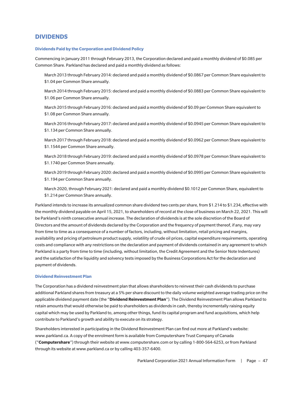# **DIVIDENDS**

## **Dividends Paid by the Corporation and Dividend Policy**

Commencing in January 2011 through February 2013, the Corporation declared and paid a monthly dividend of \$0.085 per Common Share. Parkland has declared and paid a monthly dividend as follows:

March 2013 through February 2014: declared and paid a monthly dividend of \$0.0867 per Common Share equivalent to \$1.04 per Common Share annually.

March 2014 through February 2015: declared and paid a monthly dividend of \$0.0883 per Common Share equivalent to \$1.06 per Common Share annually.

March 2015 through February 2016: declared and paid a monthly dividend of \$0.09 per Common Share equivalent to \$1.08 per Common Share annually.

March 2016 through February 2017: declared and paid a monthly dividend of \$0.0945 per Common Share equivalent to \$1.134 per Common Share annually.

March 2017 through February 2018: declared and paid a monthly dividend of \$0.0962 per Common Share equivalent to \$1.1544 per Common Share annually.

March 2018 through February 2019: declared and paid a monthly dividend of \$0.0978 per Common Share equivalent to \$1.1740 per Common Share annually.

March 2019 through February 2020: declared and paid a monthly dividend of \$0.0995 per Common Share equivalent to \$1.194 per Common Share annually.

March 2020, through February 2021: declared and paid a monthly dividend \$0.1012 per Common Share, equivalent to \$1.214 per Common Share annually.

Parkland intends to increase its annualized common share dividend two cents per share, from \$1.214 to \$1.234, effective with the monthly dividend payable on April 15, 2021, to shareholders of record at the close of business on March 22, 2021. This will be Parkland's ninth consecutive annual increase. The declaration of dividends is at the sole discretion of the Board of Directors and the amount of dividends declared by the Corporation and the frequency of payment thereof, if any, may vary from time to time as a consequence of a number of factors, including, without limitation, retail pricing and margins, availability and pricing of petroleum product supply, volatility of crude oil prices, capital expenditure requirements, operating costs and compliance with any restrictions on the declaration and payment of dividends contained in any agreement to which Parkland is a party from time to time (including, without limitation, the Credit Agreement and the Senior Note Indentures) and the satisfaction of the liquidity and solvency tests imposed by the Business Corporations Act for the declaration and payment of dividends.

#### **Dividend Reinvestment Plan**

The Corporation has a dividend reinvestment plan that allows shareholders to reinvest their cash dividends to purchase additional Parkland shares from treasury at a 5% per share discount to the daily volume weighted average trading price on the applicable dividend payment date (the "**Dividend Reinvestment Plan**"). The Dividend Reinvestment Plan allows Parkland to retain amounts that would otherwise be paid to shareholders as dividends in cash, thereby incrementally raising equity capital which may be used by Parkland to, among other things, fund its capital program and fund acquisitions, which help contribute to Parkland's growth and ability to execute on its strategy.

Shareholders interested in participating in the Dividend Reinvestment Plan can find out more at Parkland's website: www.parkland.ca. A copy of the enrolment form is available from Computershare Trust Company of Canada ("**Computershare**") through their website at www.computershare.com or by calling 1-800-564-6253, or from Parkland through its website at www.parkland.ca or by calling 403-357-6400.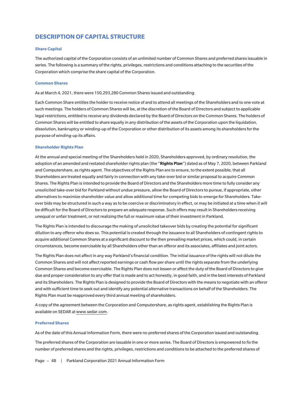# **DESCRIPTION OF CAPITAL STRUCTURE**

## **Share Capital**

The authorized capital of the Corporation consists of an unlimited number of Common Shares and preferred shares issuable in series. The following is a summary of the rights, privileges, restrictions and conditions attaching to the securities of the Corporation which comprise the share capital of the Corporation.

## **Common Shares**

As at March 4, 2021, there were 150,293,280 Common Shares issued and outstanding.

Each Common Share entitles the holder to receive notice of and to attend all meetings of the Shareholders and to one vote at such meetings. The holders of Common Shares will be, at the discretion of the Board of Directors and subject to applicable legal restrictions, entitled to receive any dividends declared by the Board of Directors on the Common Shares. The holders of Common Shares will be entitled to share equally in any distribution of the assets of the Corporation upon the liquidation, dissolution, bankruptcy or winding-up of the Corporation or other distribution of its assets among its shareholders for the purpose of winding-up its affairs.

## **Shareholder Rights Plan**

At the annual and special meeting of the Shareholders held in 2020, Shareholders approved, by ordinary resolution, the adoption of an amended and restated shareholder rights plan (the "**Rights Plan**") dated as of May 7, 2020, between Parkland and Computershare, as rights agent. The objectives of the Rights Plan are to ensure, to the extent possible, that all Shareholders are treated equally and fairly in connection with any take-over bid or similar proposal to acquire Common Shares. The Rights Plan is intended to provide the Board of Directors and the Shareholders more time to fully consider any unsolicited take-over bid for Parkland without undue pressure, allow the Board of Directors to pursue, if appropriate, other alternatives to maximize shareholder value and allow additional time for competing bids to emerge for Shareholders. Takeover bids may be structured in such a way as to be coercive or discriminatory in effect, or may be initiated at a time when it will be difficult for the Board of Directors to prepare an adequate response. Such offers may result in Shareholders receiving unequal or unfair treatment, or not realizing the full or maximum value of their investment in Parkland.

The Rights Plan is intended to discourage the making of unsolicited takeover bids by creating the potential for significant dilution to any offeror who does so. This potential is created through the issuance to all Shareholders of contingent rights to acquire additional Common Shares at a significant discount to the then prevailing market prices, which could, in certain circumstances, become exercisable by all Shareholders other than an offeror and its associates, affiliates and joint actors.

The Rights Plan does not affect in any way Parkland's financial condition. The initial issuance of the rights will not dilute the Common Shares and will not affect reported earnings or cash flow per share until the rights separate from the underlying Common Shares and become exercisable. The Rights Plan does not lessen or affect the duty of the Board of Directors to give due and proper consideration to any offer that is made and to act honestly, in good faith, and in the best interests of Parkland and its Shareholders. The Rights Plan is designed to provide the Board of Directors with the means to negotiate with an offeror and with sufficient time to seek out and identify any potential alternative transactions on behalf of the Shareholders. The Rights Plan must be reapproved every third annual meeting of shareholders.

A copy of the agreement between the Corporation and Computershare, as rights agent, establishing the Rights Plan is available on SEDAR at www.sedar.com.

#### **Preferred Shares**

As of the date of this Annual Information Form, there were no preferred shares of the Corporation issued and outstanding.

The preferred shares of the Corporation are issuable in one or more series. The Board of Directors is empowered to fix the number of preferred shares and the rights, privileges, restrictions and conditions to be attached to the preferred shares of

Page - 48 | Parkland Corporation 2021 Annual Information Form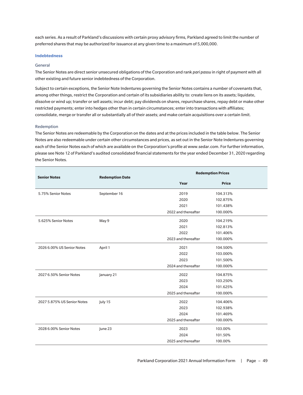each series. As a result of Parkland's discussions with certain proxy advisory firms, Parkland agreed to limit the number of preferred shares that may be authorized for issuance at any given time to a maximum of 5,000,000.

#### **Indebtedness**

#### General

The Senior Notes are direct senior unsecured obligations of the Corporation and rank *pari passu* in right of payment with all other existing and future senior indebtedness of the Corporation.

Subject to certain exceptions, the Senior Note Indentures governing the Senior Notes contains a number of covenants that, among other things, restrict the Corporation and certain of its subsidiaries ability to: create liens on its assets; liquidate, dissolve or wind up; transfer or sell assets; incur debt; pay dividends on shares, repurchase shares, repay debt or make other restricted payments; enter into hedges other than in certain circumstances; enter into transactions with affiliates; consolidate, merge or transfer all or substantially all of their assets; and make certain acquisitions over a certain limit.

#### Redemption

The Senior Notes are redeemable by the Corporation on the dates and at the prices included in the table below. The Senior Notes are also redeemable under certain other circumstances and prices, as set out in the Senior Note Indentures governing each of the Senior Notes each of which are available on the Corporation's profile at www.sedar.com. For further information, please see Note 12 of Parkland's audited consolidated financial statements for the year ended December 31, 2020 regarding the Senior Notes.

| <b>Senior Notes</b>         | <b>Redemption Date</b> | <b>Redemption Prices</b> |              |  |
|-----------------------------|------------------------|--------------------------|--------------|--|
|                             |                        | Year                     | <b>Price</b> |  |
| 5.75% Senior Notes          | September 16           | 2019                     | 104.313%     |  |
|                             |                        | 2020                     | 102.875%     |  |
|                             |                        | 2021                     | 101.438%     |  |
|                             |                        | 2022 and thereafter      | 100.000%     |  |
| 5.625% Senior Notes         | May 9                  | 2020                     | 104.219%     |  |
|                             |                        | 2021                     | 102.813%     |  |
|                             |                        | 2022                     | 101.406%     |  |
|                             |                        | 2023 and thereafter      | 100.000%     |  |
| 2026 6.00% US Senior Notes  | April 1                | 2021                     | 104.500%     |  |
|                             |                        | 2022                     | 103.000%     |  |
|                             |                        | 2023                     | 101.500%     |  |
|                             |                        | 2024 and thereafter      | 100.000%     |  |
| 2027 6.50% Senior Notes     | January 21             | 2022                     | 104.875%     |  |
|                             |                        | 2023                     | 103.250%     |  |
|                             |                        | 2024                     | 101.625%     |  |
|                             |                        | 2025 and thereafter      | 100.000%     |  |
| 2027 5.875% US Senior Notes | July 15                | 2022                     | 104.406%     |  |
|                             |                        | 2023                     | 102.938%     |  |
|                             |                        | 2024                     | 101.469%     |  |
|                             |                        | 2025 and thereafter      | 100.000%     |  |
| 2028 6.00% Senior Notes     | June 23                | 2023                     | 103.00%      |  |
|                             |                        | 2024                     | 101.50%      |  |
|                             |                        | 2025 and thereafter      | 100.00%      |  |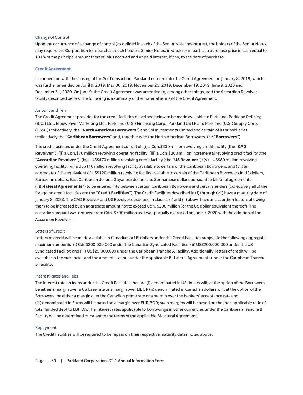## Change of Control

Upon the occurrence of a change of control (as defined in each of the Senior Note Indentures), the holders of the Senior Notes may require the Corporation to repurchase such holder's Senior Notes, in whole or in part, at a purchase price in cash equal to 101% of the principal amount thereof, plus accrued and unpaid interest, if any, to the date of purchase.

#### **Credit Agreement**

In connection with the closing of the Sol Transaction, Parkland entered into the Credit Agreement on January 8, 2019, which was further amended on April 9, 2019, May 30, 2019, November 25, 2019, December 19, 2019, June 9, 2020 and December 31, 2020. On June 9, the Credit Agreement was amended to, among other things, add the Accordion Revolver facility described below. The following is a summary of the material terms of the Credit Agreement:

#### Amount and Term

The Credit Agreement provides for the credit facilities described below to be made available to Parkland, Parkland Refining (B.C.) Ltd., Elbow River Marketing Ltd., Parkland (U.S.) Financing Corp., Parkland US LP and Parkland (U.S.) Supply Corp. (USSC) (collectively, the "**North American Borrowers**") and Sol Investments Limited and certain of its subsidiaries (collectively the "**Caribbean Borrowers**" and, together with the North American Borrowers, the "**Borrowers**").

The credit facilities under the Credit Agreement consist of: (i) a Cdn.\$330 million revolving credit facility (the "**CAD Revolver**"); (ii) a Cdn.\$70 million revolving operating facility, (iii) a Cdn.\$300 million incremental revolving credit facility (the "**Accordion Revolver**"), (iv) a US\$470 million revolving credit facility (the "**US Revolver**"); (v) a US\$80 million revolving operating facility; (vi) a US\$110 million revolving facility available to certain of the Caribbean Borrowers; and (vii) an aggregate of the equivalent of US\$120 million revolving facility available to certain of the Caribbean Borrowers in US dollars, Barbadian dollars, East Caribbean dollars, Guyanese dollars and Surinamese dollars pursuant to bilateral agreements ("**Bi-lateral Agreements**") to be entered into between certain Caribbean Borrowers and certain lenders (collectively all of the foregoing credit facilities are the "**Credit Facilities**"). The Credit Facilities described in (i) through (vii) have a maturity date of January 8, 2023. The CAD Revolver and US Revolver described in clauses (i) and (ii) above have an accordion feature allowing them to be increased by an aggregate amount not to exceed Cdn. \$200 million (or the US dollar equivalent thereof). The accordion amount was reduced from Cdn. \$500 million as it was partially exercised on June 9, 2020 with the addition of the Accordion Revolver.

#### Letters of Credit

Letters of credit will be made available in Canadian or US dollars under the Credit Facilities subject to the following aggregate maximum amounts: (i) Cdn\$200,000,000 under the Canadian Syndicated Facilities; (ii) US\$200,000,000 under the US Syndicated Facility; and (iii) US\$25,000,000 under the Caribbean Tranche A Facility. Additionally, letters of credit will be available in the currencies and the amounts set out under the applicable Bi-Lateral Agreements under the Caribbean Tranche B Facility.

#### Interest Rates and Fees

The interest rate on loans under the Credit Facilities that are (i) denominated in US dollars will, at the option of the Borrowers, be either a margin over a US base rate or a margin over LIBOR (ii) denominated in Canadian dollars will, at the option of the Borrowers, be either a margin over the Canadian prime rate or a margin over the bankers' acceptance rate and (iii) denominated in Euros will be based on a margin over EURIBOR; such margins will be based on the then applicable ratio of total funded debt to EBITDA. The interest rates applicable to borrowings in other currencies under the Caribbean Tranche B Facility will be determined pursuant to the terms of the applicable Bi-Lateral Agreement.

## Repayment

The Credit Facilities will be required to be repaid on their respective maturity dates noted above.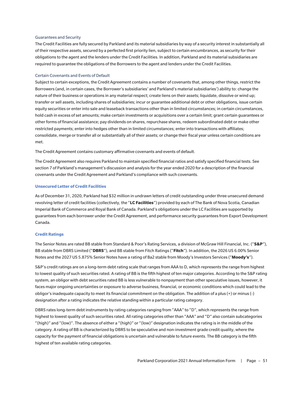#### Guarantees and Security

The Credit Facilities are fully secured by Parkland and its material subsidiaries by way of a security interest in substantially all of their respective assets, secured by a perfected first priority lien, subject to certain encumbrances, as security for their obligations to the agent and the lenders under the Credit Facilities. In addition, Parkland and its material subsidiaries are required to guarantee the obligations of the Borrowers to the agent and lenders under the Credit Facilities.

## Certain Covenants and Events of Default

Subject to certain exceptions, the Credit Agreement contains a number of covenants that, among other things, restrict the Borrowers (and, in certain cases, the Borrower's subsidiaries' and Parkland's material subsidiaries') ability to: change the nature of their business or operations in any material respect; create liens on their assets; liquidate, dissolve or wind up; transfer or sell assets, including shares of subsidiaries; incur or guarantee additional debt or other obligations, issue certain equity securities or enter into sale and leaseback transactions other than in limited circumstances; in certain circumstances, hold cash in excess of set amounts; make certain investments or acquisitions over a certain limit; grant certain guarantees or other forms of financial assistance; pay dividends on shares, repurchase shares, redeem subordinated debt or make other restricted payments; enter into hedges other than in limited circumstances; enter into transactions with affiliates; consolidate, merge or transfer all or substantially all of their assets; or change their fiscal year unless certain conditions are met.

The Credit Agreement contains customary affirmative covenants and events of default.

The Credit Agreement also requires Parkland to maintain specified financial ratios and satisfy specified financial tests. See section 7 of Parkland's management's discussion and analysis for the year ended 2020 for a description of the financial covenants under the Credit Agreement and Parkland's compliance with such covenants.

## **Unsecured Letter of Credit Facilities**

As of December 31, 2020, Parkland had \$32 million in undrawn letters of credit outstanding under three unsecured demand revolving letter of credit facilities (collectively, the "**LC Facilities**") provided by each of The Bank of Nova Scotia, Canadian Imperial Bank of Commerce and Royal Bank of Canada. Parkland's obligations under the LC Facilities are supported by guarantees from each borrower under the Credit Agreement, and performance security guarantees from Export Development Canada.

## **Credit Ratings**

The Senior Notes are rated BB stable from Standard & Poor's Rating Services, a division of McGraw Hill Financial, Inc. ("**S&P**"), BB stable from DBRS Limited ("**DBRS**"), and BB stable from Fitch Ratings ("**Fitch**"). In addition, the 2026 US 6.00% Senior Notes and the 2027 US 5.875% Senior Notes have a rating of Ba2 stable from Moody's Investors Services ("**Moody's**").

S&P's credit ratings are on a long-term debt rating scale that ranges from AAA to D, which represents the range from highest to lowest quality of such securities rated. A rating of BB is the fifth highest of ten major categories. According to the S&P rating system, an obligor with debt securities rated BB is less vulnerable to nonpayment than other speculative issues, however, it faces major ongoing uncertainties or exposure to adverse business, financial, or economic conditions which could lead to the obligor's inadequate capacity to meet its financial commitment on the obligation. The addition of a plus (+) or minus (-) designation after a rating indicates the relative standing within a particular rating category.

DBRS rates long-term debt instruments by rating categories ranging from "AAA" to "D", which represents the range from highest to lowest quality of such securities rated. All rating categories other than "AAA" and "D" also contain subcategories "(high)" and "(low)". The absence of either a "(high)" or "(low)" designation indicates the rating is in the middle of the category. A rating of BB is characterized by DBRS to be speculative and non-investment grade credit quality, where the capacity for the payment of financial obligations is uncertain and vulnerable to future events. The BB category is the fifth highest of ten available rating categories.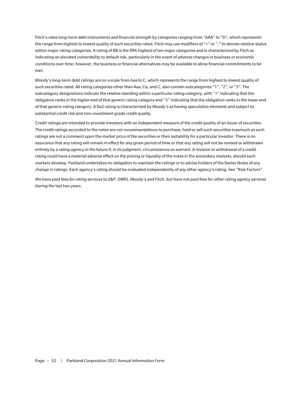Fitch's rates long-term debt instruments and financial strength by categories ranging from "AAA" to "D", which represents the range from highest to lowest quality of such securities rated. Fitch may use modifiers of "+" or "-" to denote relative status within major rating categories. A rating of BB is the fifth highest of ten major categories and is characterized by Fitch as indicating an elevated vulnerability to default risk, particularly in the event of adverse changes in business or economic conditions over time; however, the business or financial alternatives may be available to allow financial commitments to be met.

Moody's long-term debt ratings are on a scale from Aaa to C, which represents the range from highest to lowest quality of such securities rated. All rating categories other than Aaa, Ca, and C, also contain subcategories "1", "2", or "3". The subcategory designations indicate the relative standing within a particular rating category, with "1" indicating that the obligation ranks in the higher end of that generic rating category and "3" indicating that the obligation ranks in the lower end of that generic rating category. A Ba2 rating is characterized by Moody's as having speculative elements and subject to substantial credit risk and non-investment grade credit quality.

Credit ratings are intended to provide investors with an independent measure of the credit quality of an issuer of securities. The credit ratings accorded to the notes are not recommendations to purchase, hold or sell such securities inasmuch as such ratings are not a comment upon the market price of the securities or their suitability for a particular investor. There is no assurance that any rating will remain in effect for any given period of time or that any rating will not be revised or withdrawn entirely by a rating agency in the future if, in its judgment, circumstances so warrant. A revision or withdrawal of a credit rating could have a material adverse effect on the pricing or liquidity of the notes in the secondary markets, should such markets develop. Parkland undertakes no obligation to maintain the ratings or to advise holders of the Senior Notes of any change in ratings. Each agency's rating should be evaluated independently of any other agency's rating. See "Risk Factors".

We have paid fees for rating services to S&P, DBRS, Moody's and Fitch, but have not paid fees for other rating agency services during the last two years.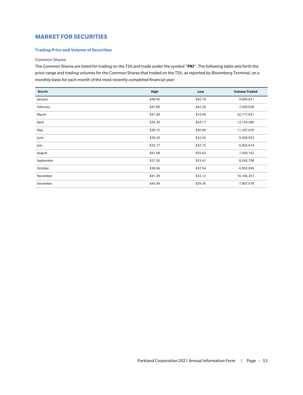# **MARKET FOR SECURITIES**

## **Trading Price and Volume of Securities**

## Common Shares

The Common Shares are listed for trading on the TSX and trade under the symbol "**PKI**". The following table sets forth the price range and trading volumes for the Common Shares that traded on the TSX, as reported by Bloomberg Terminal, on a monthly basis for each month of the most recently completed financial year:

| <b>Month</b> | High    | Low     | <b>Volume Traded</b> |
|--------------|---------|---------|----------------------|
| January      | \$48.95 | \$45.74 | 9,840,831            |
| February     | \$47.69 | \$42.20 | 7,059,038            |
| March        | \$41.44 | \$19.99 | 22,777,631           |
| April        | \$34.36 | \$24.17 | 13,154,280           |
| May          | \$38.72 | \$30.96 | 11,297,676           |
| June         | \$39.54 | \$32.42 | 9,594,933            |
| July         | \$35.77 | \$32.75 | 6,003,674            |
| August       | \$41.08 | \$35.63 | 7,200,162            |
| September    | \$37.20 | \$33.47 | 8,245,738            |
| October      | \$38.06 | \$32.54 | 6,953,056            |
| November     | \$41.39 | \$33.12 | 10,106,357           |
| December     | \$43.49 | \$39.36 | 7,907,978            |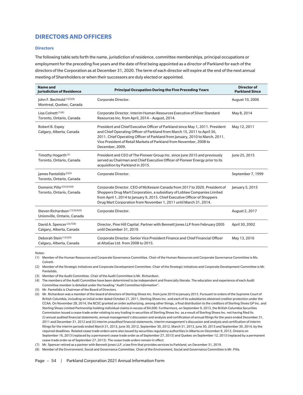# **DIRECTORS AND OFFICERS**

## **Directors**

The following table sets forth the name, jurisdiction of residence, committee memberships, principal occupations or employment for the preceding five years and the date of first being appointed as a director of Parkland for each of the directors of the Corporation as at December 31, 2020. The term of each director will expire at the end of the next annual meeting of Shareholders or when their successors are duly elected or appointed.

| <b>Name and</b><br><b>Jurisdiction of Residence</b>            | <b>Principal Occupation During the Five Preceding Years</b>                                                                                                                                                                                                                                                                          | <b>Director of</b><br><b>Parkland Since</b> |
|----------------------------------------------------------------|--------------------------------------------------------------------------------------------------------------------------------------------------------------------------------------------------------------------------------------------------------------------------------------------------------------------------------------|---------------------------------------------|
| John F. Bechtold (1)(2)(8)<br>Montreal, Quebec, Canada         | Corporate Director.                                                                                                                                                                                                                                                                                                                  | August 10, 2006                             |
| Lisa Colnett <sup>(1)(8)</sup><br>Toronto, Ontario, Canada     | Corporate Director. Interim Human Resources Executive of Silver Standard<br>Resources Inc. from April, 2014 - August, 2014.                                                                                                                                                                                                          | May 8, 2014                                 |
| Robert B. Espey<br>Calgary, Alberta, Canada                    | President and Chief Executive Officer of Parkland since May 1, 2011. President<br>and Chief Operating Officer of Parkland from March 15, 2011 to April 30,<br>2011. Chief Operating Officer of Parkland from January, 2010 to March, 2011.<br>Vice President of Retail Markets of Parkland from November, 2008 to<br>December, 2009. | May 12, 2011                                |
| Timothy Hogarth <sup>(2)</sup><br>Toronto, Ontario, Canada     | President and CEO of The Pioneer Group Inc. since June 2015 and previously<br>served as Chairman and Chief Executive Officer of Pioneer Energy prior to its<br>acquisition by Parkland in 2015.                                                                                                                                      | June 25, 2015                               |
| James Pantelidis <sup>(2)(5)</sup><br>Toronto, Ontario, Canada | Corporate Director.                                                                                                                                                                                                                                                                                                                  | September 7, 1999                           |
| Domenic Pilla (2)(3)(4)(8)<br>Toronto, Ontario, Canada         | Corporate Director. CEO of McKesson Canada from 2017 to 2020. President of<br>Shoppers Drug Mart Corporation, a subsidiary of Loblaw Companies Limited<br>from April 1, 2014 to January 9, 2015. Chief Executive Officer of Shoppers<br>Drug Mart Corporation from November 1, 2011 until March 31, 2014.                            | January 5, 2015                             |
| Steven Richardson (1)(3)(4)(6)<br>Unionville, Ontario, Canada  | Corporate Director.                                                                                                                                                                                                                                                                                                                  | August 2, 2017                              |
| David A. Spencer (2)(7)(8)<br>Calgary, Alberta, Canada         | Director, Pine Hill Capital. Partner with Bennett Jones LLP from February 2005<br>until December 31, 2019.                                                                                                                                                                                                                           | April 30, 2002                              |
| Deborah Stein (1)(3)(4)<br>Calgary, Alberta, Canada            | Corporate Director. Senior Vice President Finance and Chief Financial Officer<br>at AltaGas Ltd. from 2008 to 2015.                                                                                                                                                                                                                  | May 13, 2016                                |

Notes:

(1) Member of the Human Resources and Corporate Governance Committee. Chair of the Human Resources and Corporate Governance Committee is Ms. Colnett.

(2) Member of the Strategic Initiatives and Corporate Development Committee. Chair of the Strategic Initiatives and Corporate Development Committee is Mr. Pantelidis.

(3) Member of the Audit Committee. Chair of the Audit Committee is Mr. Richardson.

(4) The members of the Audit Committee have been determined to be independent and financially literate. The education and experience of each Audit Committee member is detailed under the heading "*Audit Committee Information*".

(5) Mr. Pantelidis is Chairman of the Board of Directors.

(6) Mr. Richardson was a member of the board of directors of Sterling Shoes Inc. from June 2010 to January 2013. Pursuant to orders of the Supreme Court of British Columbia, including an initial order dated October 21, 2011, Sterling Shoes Inc. and each of its subsidiaries obtained creditor protection under the CCAA. On November 28, 2014, the BCSC granted an order authorizing, among other things, a final distribution to the creditors of Sterling Shoes GP Inc. and Sterling Shoes Limited Partnership holding individual claims in excess of \$4,600. Furthermore, on September 9, 2013, the British Columbia Securities Commission issued a cease trade order relating to any trading in securities of Sterling Shoes Inc. as a result of Sterling Shoes Inc. not having filed its (i) annual audited financial statements, annual management's discussion and analysis and certification of annual filings for the years ended December 31, 2011 and December 31, 2012 and (ii) interim unaudited financial statements, interim management's discussion and analysis and certification of interim filings for the interim periods ended March 31, 2012, June 30, 2012, September 30, 2012, March 31, 2013, June 30, 2013 and September 30, 2014, by the required deadlines. Related cease trade orders were also issued by securities regulatory authorities in Alberta on December 9, 2013, Ontario on September 16, 2013 (replaced by a permanent cease trade order as of September 27, 2013) and Quebec on September 12, 2013 (replaced by a permanent cease trade order as of September 27, 2013). The cease trade orders remain in effect.

(7) Mr. Spencer retired as a partner with Bennett Jones LLP, a law firm that provides services to Parkland, on December 31, 2019.

(8) Member of the Environment, Social and Governance Committee. Chair of the Environment, Social and Governance Committee is Mr. Pilla.

Page - 54 | Parkland Corporation 2021 Annual Information Form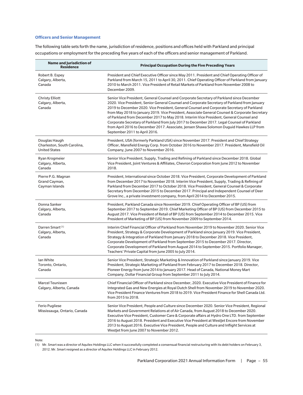## **Officers and Senior Management**

The following table sets forth the name, jurisdiction of residence, positions and offices held with Parkland and principal occupations or employment for the preceding five years of each of the officers and senior management of Parkland.

| <b>Name and Jurisdiction of</b><br><b>Residence</b>                  | <b>Principal Occupation During the Five Preceding Years</b>                                                                                                                                                                                                                                                                                                                                                                                                                                                                                                                                                                                                                                                      |
|----------------------------------------------------------------------|------------------------------------------------------------------------------------------------------------------------------------------------------------------------------------------------------------------------------------------------------------------------------------------------------------------------------------------------------------------------------------------------------------------------------------------------------------------------------------------------------------------------------------------------------------------------------------------------------------------------------------------------------------------------------------------------------------------|
| Robert B. Espey<br>Calgary, Alberta,<br>Canada                       | President and Chief Executive Officer since May 2011. President and Chief Operating Officer of<br>Parkland from March 15, 2011 to April 30, 2011. Chief Operating Officer of Parkland from January<br>2010 to March 2011. Vice President of Retail Markets of Parkland from November 2008 to<br>December 2009.                                                                                                                                                                                                                                                                                                                                                                                                   |
| <b>Christy Elliott</b><br>Calgary, Alberta,<br>Canada                | Senior Vice President, General Counsel and Corporate Secretary of Parkland since December<br>2020. Vice President, Senior General Counsel and Corporate Secretary of Parkland from January<br>2019 to December 2020. Vice President, General Counsel and Corporate Secretary of Parkland<br>from May 2018 to January 2019. Vice President, Associate General Counsel & Corporate Secretary<br>of Parkland from December 2017 to May 2018. Interim Vice President, General Counsel and<br>Corporate Secretary of Parkland from July 2017 to December 2017. Legal Counsel of Parkland<br>from April 2016 to December 2017. Associate, Jensen Shawa Solomon Duguid Hawkes LLP from<br>September 2011 to April 2016. |
| Douglas Haugh<br>Charleston, South Carolina,<br><b>United States</b> | President, USA (formerly Parkland USA) since November 2017. President and Chief Strategy<br>Officer, Mansfield Energy Corp. from October 2016 to November 2017. President, Mansfield Oil<br>Company, June 2007 to November 2016.                                                                                                                                                                                                                                                                                                                                                                                                                                                                                 |
| Ryan Krogmeier<br>Calgary, Alberta,<br>Canada                        | Senior Vice President, Supply, Trading and Refining of Parkland since December 2018. Global<br>Vice President, Joint Ventures & Affiliates, Chevron Corporation from June 2012 to November<br>2018.                                                                                                                                                                                                                                                                                                                                                                                                                                                                                                              |
| Pierre P.G. Magnan<br>Grand Cayman,<br>Cayman Islands                | President, International since October 2018. Vice President, Corporate Development of Parkland<br>from December 2017 to November 2018. Interim Vice President, Supply, Trading & Refining of<br>Parkland from December 2017 to October 2018. Vice President, General Counsel & Corporate<br>Secretary from December 2015 to December 2017. Principal and Independent Counsel of Deer<br>Grove Inc., a private investment company, from April 2014 to December 2015.                                                                                                                                                                                                                                              |
| Donna Sanker<br>Calgary, Alberta,<br>Canada                          | President, Parkland Canada since November 2019. Chief Operating Officer of BP (US) from<br>September 2017 to September 2019. Chief Marketing Officer of BP (US) from December 2015 to<br>August 2017. Vice President of Retail of BP (US) from September 2014 to December 2015. Vice<br>President of Marketing of BP (US) from November 2009 to September 2014.                                                                                                                                                                                                                                                                                                                                                  |
| Darren Smart <sup>(1)</sup><br>Calgary, Alberta,<br>Canada           | Interim Chief Financial Officer of Parkland from November 2019 to November 2020. Senior Vice<br>President, Strategy & Corporate Development of Parkland since January 2019. Vice President,<br>Strategy & Integration of Parkland from January 2018 to December 2018. Vice President,<br>Corporate Development of Parkland from September 2015 to December 2017. Director,<br>Corporate Development of Parkland from August 2014 to September 2015. Portfolio Manager,<br>Teachers' Private Capital from June 2005 to July 2014.                                                                                                                                                                                 |
| lan White<br>Toronto, Ontario,<br>Canada                             | Senior Vice President, Strategic Marketing & Innovation of Parkland since January 2019. Vice<br>President, Strategic Marketing of Parkland from February 2017 to December 2018. Director,<br>Pioneer Energy from June 2014 to January 2017. Head of Canada, National Money Mart<br>Company, Dollar Financial Group from September 2011 to July 2014.                                                                                                                                                                                                                                                                                                                                                             |
| <b>Marcel Teunissen</b><br>Calgary, Alberta, Canada                  | Chief Financial Officer of Parkland since December, 2020. Executive Vice President of Finance for<br>Integrated Gas and New Energies at Royal Dutch Shell from November 2019 to November 2020.<br>Vice President Finance Ventures from 2018 to 2019. Vice President Finance for Shell Canada Ltd.<br>from 2015 to 2018.                                                                                                                                                                                                                                                                                                                                                                                          |
| Ferio Pugliese<br>Mississauga, Ontario, Canada                       | Senior Vice President, People and Culture since December 2020. Senior Vice President, Regional<br>Markets and Government Relations at of Air Canada, from August 2018 to December 2020.<br>Executive Vice President, Customer Care & Corporate affairs at Hydro One LTD. from September<br>2016 to August 2018. President and Executive Vice President at Westlet Encore from November<br>2013 to August 2016. Executive Vice President, People and Culture and Inflight Services at<br>WestJet from June 2007 to November 2012.                                                                                                                                                                                 |

Note:

(1) Mr. Smart was a director of Aquilex Holdings LLC when it successfully completed a consensual financial restructuring with its debt holders on February 3, 2012. Mr. Smart resigned as a director of Aquilex Holdings LLC in February 2012.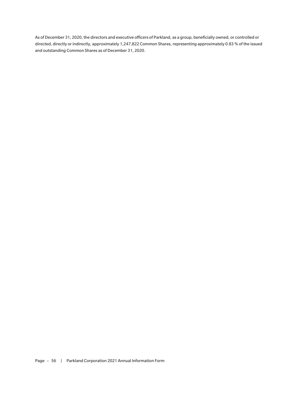As of December 31, 2020, the directors and executive officers of Parkland, as a group, beneficially owned, or controlled or directed, directly or indirectly, approximately 1,247,822 Common Shares, representing approximately 0.83 % of the issued and outstanding Common Shares as of December 31, 2020.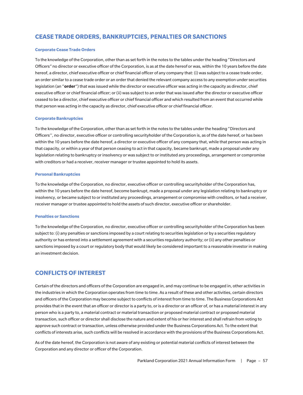# **CEASE TRADE ORDERS, BANKRUPTCIES, PENALTIES OR SANCTIONS**

## **Corporate Cease Trade Orders**

To the knowledge of the Corporation, other than as set forth in the notes to the tables under the heading "Directors and Officers" no director or executive officer of the Corporation, is as at the date hereof or was, within the 10 years before the date hereof, a director, chief executive officer or chief financial officer of any company that: (i) was subject to a cease trade order, an order similar to a cease trade order or an order that denied the relevant company access to any exemption under securities legislation (an "**order**") that was issued while the director or executive officer was acting in the capacity as director, chief executive officer or chief financial officer; or (ii) was subject to an order that was issued after the director or executive officer ceased to be a director, chief executive officer or chief financial officer and which resulted from an event that occurred while that person was acting in the capacity as director, chief executive officer or chief financial officer.

## **Corporate Bankruptcies**

To the knowledge of the Corporation, other than as set forth in the notes to the tables under the heading "Directors and Officers'', no director, executive officer or controlling securityholder of the Corporation is, as of the date hereof, or has been within the 10 years before the date hereof, a director or executive officer of any company that, while that person was acting in that capacity, or within a year of that person ceasing to act in that capacity, became bankrupt, made a proposal under any legislation relating to bankruptcy or insolvency or was subject to or instituted any proceedings, arrangement or compromise with creditors or had a receiver, receiver manager or trustee appointed to hold its assets.

## **Personal Bankruptcies**

To the knowledge of the Corporation, no director, executive officer or controlling securityholder of the Corporation has, within the 10 years before the date hereof, become bankrupt, made a proposal under any legislation relating to bankruptcy or insolvency, or became subject to or instituted any proceedings, arrangement or compromise with creditors, or had a receiver, receiver manager or trustee appointed to hold the assets of such director, executive officer or shareholder.

## **Penalties or Sanctions**

To the knowledge of the Corporation, no director, executive officer or controlling securityholder of the Corporation has been subject to: (i) any penalties or sanctions imposed by a court relating to securities legislation or by a securities regulatory authority or has entered into a settlement agreement with a securities regulatory authority; or (ii) any other penalties or sanctions imposed by a court or regulatory body that would likely be considered important to a reasonable investor in making an investment decision.

# **CONFLICTS OF INTEREST**

Certain of the directors and officers of the Corporation are engaged in, and may continue to be engaged in, other activities in the industries in which the Corporation operates from time to time. As a result of these and other activities, certain directors and officers of the Corporation may become subject to conflicts of interest from time to time. The Business Corporations Act provides that in the event that an officer or director is a party to, or is a director or an officer of, or has a material interest in any person who is a party to, a material contract or material transaction or proposed material contract or proposed material transaction, such officer or director shall disclose the nature and extent of his or her interest and shall refrain from voting to approve such contract or transaction, unless otherwise provided under the Business Corporations Act. To the extent that conflicts of interests arise, such conflicts will be resolved in accordance with the provisions of the Business Corporations Act.

As of the date hereof, the Corporation is not aware of any existing or potential material conflicts of interest between the Corporation and any director or officer of the Corporation.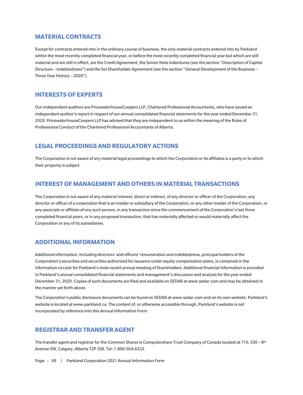# **MATERIAL CONTRACTS**

Except for contracts entered into in the ordinary course of business, the only material contracts entered into by Parkland within the most recently completed financial year, or before the most recently completed financial year but which are still material and are still in effect, are the Credit Agreement, the Senior Note Indentures (see the section "Description of Capital Structure – Indebtedness") and the Sol Shareholder Agreement (see the section "General Development of the Business – Three Year History – 2020").

# **INTERESTS OF EXPERTS**

Our independent auditors are PricewaterhouseCoopers LLP, Chartered Professional Accountants, who have issued an independent auditor's report in respect of our annual consolidated financial statements for the year ended December 31, 2020. PricewaterhouseCoopers LLP has advised that they are independent to us within the meaning of the Rules of Professional Conduct of the Chartered Professional Accountants of Alberta.

# **LEGAL PROCEEDINGS AND REGULATORY ACTIONS**

The Corporation is not aware of any material legal proceedings to which the Corporation or its affiliates is a party or to which their property is subject.

# **INTEREST OF MANAGEMENT AND OTHERS IN MATERIAL TRANSACTIONS**

The Corporation is not aware of any material interest, direct or indirect, of any director or officer of the Corporation, any director or officer of a corporation that is an insider or subsidiary of the Corporation, or any other insider of the Corporation, or any associate or affiliate of any such person, in any transaction since the commencement of the Corporation's last three completed financial years, or in any proposed transaction, that has materially affected or would materially affect the Corporation or any of its subsidiaries.

# **ADDITIONAL INFORMATION**

Additional information, including directors' and officers' remuneration and indebtedness, principal holders of the Corporation's securities and securities authorized for issuance under equity compensation plans, is contained in the information circular for Parkland's most recent annual meeting of Shareholders. Additional financial information is provided in Parkland's annual consolidated financial statements and management's discussion and analysis for the year ended December 31, 2020. Copies of such documents are filed and available on SEDAR at www.sedar.com and may be obtained in the manner set forth above.

The Corporation's public disclosure documents can be found on SEDAR at www.sedar.com and on its own website. Parkland's website is located at www.parkland.ca. The content of, or otherwise accessible through, Parkland's website is not incorporated by reference into this Annual Information Form.

# **REGISTRAR AND TRANSFER AGENT**

The transfer agent and registrar for the Common Shares is Computershare Trust Company of Canada located at 710, 530 – 8<sup>th</sup> Avenue SW, Calgary, Alberta T2P 3S8, Tel: 1-800-564-6253.

Page - 58 | Parkland Corporation 2021 Annual Information Form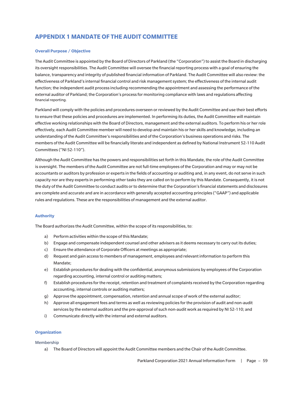# **APPENDIX 1 MANDATE OF THE AUDIT COMMITTEE**

## **Overall Purpose / Objective**

The Audit Committee is appointed by the Board of Directors of Parkland (the "Corporation") to assist the Board in discharging its oversight responsibilities. The Audit Committee will oversee the financial reporting process with a goal of ensuring the balance, transparency and integrity of published financial information of Parkland. The Audit Committee will also review: the effectiveness of Parkland's internal financial control and risk management system; the effectiveness of the internal audit function; the independent audit process including recommending the appointment and assessing the performance of the external auditor of Parkland; the Corporation's process for monitoring compliance with laws and regulations affecting financial reporting.

Parkland will comply with the policies and procedures overseen or reviewed by the Audit Committee and use their best efforts to ensure that these policies and procedures are implemented. In performing its duties, the Audit Committee will maintain effective working relationships with the Board of Directors, management and the external auditors. To perform his or her role effectively, each Audit Committee member will need to develop and maintain his or her skills and knowledge, including an understanding of the Audit Committee's responsibilities and of the Corporation's business operations and risks. The members of the Audit Committee will be financially literate and independent as defined by National Instrument 52-110 Audit Committees ("NI 52-110").

Although the Audit Committee has the powers and responsibilities set forth in this Mandate, the role of the Audit Committee is oversight. The members of the Audit Committee are not full-time employees of the Corporation and may or may not be accountants or auditors by profession or experts in the fields of accounting or auditing and, in any event, do not serve in such capacity nor are they experts in performing other tasks they are called on to perform by this Mandate. Consequently, it is not the duty of the Audit Committee to conduct audits or to determine that the Corporation's financial statements and disclosures are complete and accurate and are in accordance with generally accepted accounting principles ("GAAP") and applicable rules and regulations. These are the responsibilities of management and the external auditor.

## **Authority**

The Board authorizes the Audit Committee, within the scope of its responsibilities, to:

- a) Perform activities within the scope of this Mandate;
- b) Engage and compensate independent counsel and other advisers as it deems necessary to carry out its duties;
- c) Ensure the attendance of Corporate Officers at meetings as appropriate;
- d) Request and gain access to members of management, employees and relevant information to perform this Mandate;
- e) Establish procedures for dealing with the confidential, anonymous submissions by employees of the Corporation regarding accounting, internal control or auditing matters;
- f) Establish procedures for the receipt, retention and treatment of complaints received by the Corporation regarding accounting, internal controls or auditing matters;
- g) Approve the appointment, compensation, retention and annual scope of work of the external auditor;
- h) Approve all engagement fees and terms as well as reviewing policies for the provision of audit and non-audit services by the external auditors and the pre-approval of such non-audit work as required by NI 52-110; and
- i) Communicate directly with the internal and external auditors.

# **Organization**

## Membership

a) The Board of Directors will appoint the Audit Committee members and the Chair of the Audit Committee.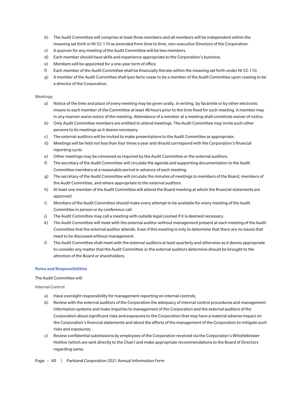- b) The Audit Committee will comprise at least three members and all members will be independent within the meaning set forth in NI 52-110 as amended from time to time, non-executive Directors of the Corporation.
- c) A quorum for any meeting of the Audit Committee will be two members.
- d) Each member should have skills and experience appropriate to the Corporation's business.
- e) Members will be appointed for a one-year term of office.
- f) Each member of the Audit Committee shall be financially literate within the meaning set forth under NI 52-110.
- g) A member of the Audit Committee shall ipso facto cease to be a member of the Audit Committee upon ceasing to be a director of the Corporation.

## Meetings

- a) Notice of the time and place of every meeting may be given orally, in writing, by facsimile or by other electronic means to each member of the Committee at least 48 hours prior to the time fixed for such meeting. A member may in any manner waive notice of the meeting. Attendance of a member at a meeting shall constitute waiver of notice.
- b) Only Audit Committee members are entitled to attend meetings. The Audit Committee may invite such other persons to its meetings as it deems necessary.
- c) The external auditors will be invited to make presentations to the Audit Committee as appropriate.
- d) Meetings will be held not less than four times a year and should correspond with the Corporation's financial reporting cycle.
- e) Other meetings may be convened as required by the Audit Committee or the external auditors.
- f) The secretary of the Audit Committee will circulate the agenda and supporting documentation to the Audit Committee members at a reasonable period in advance of each meeting.
- g) The secretary of the Audit Committee will circulate the minutes of meetings to members of the Board, members of the Audit Committee, and where appropriate to the external auditors.
- h) At least one member of the Audit Committee will attend the Board meeting at which the financial statements are approved.
- i) Members of the Audit Committee should make every attempt to be available for every meeting of the Audit Committee in person or by conference call.
- j) The Audit Committee may call a meeting with outside legal counsel if it is deemed necessary.
- k) The Audit Committee will meet with the external auditor without management present at each meeting of the Audit Committee that the external auditor attends. Even if this meeting is only to determine that there are no issues that need to be discussed without management.
- l) The Audit Committee shall meet with the external auditors at least quarterly and otherwise as it deems appropriate to consider any matter that the Audit Committee or the external auditors determine should be brought to the attention of the Board or shareholders.

## **Roles and Responsibilities**

The Audit Committee will:

## Internal Control

- a) Have oversight responsibility for management reporting on internal controls;
- b) Review with the external auditors of the Corporation the adequacy of internal control procedures and management information systems and make inquiries to management of the Corporation and the external auditors of the Corporation about significant risks and exposures to the Corporation that may have a material adverse impact on the Corporation's financial statements and about the efforts of the management of the Corporation to mitigate such risks and exposures;
- c) Review confidential submissions by employees of the Corporation received via the Corporation's Whistleblower Hotline (which are sent directly to the Chair) and make appropriate recommendations to the Board of Directors regarding same;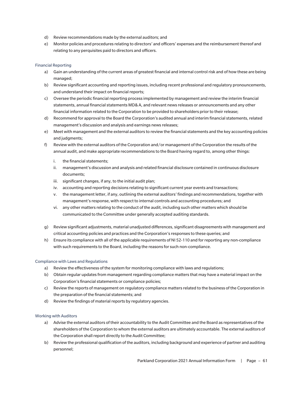- d) Review recommendations made by the external auditors; and
- e) Monitor policies and procedures relating to directors' and officers' expenses and the reimbursement thereof and relating to any perquisites paid to directors and officers.

## Financial Reporting

- a) Gain an understanding of the current areas of greatest financial and internal control risk and of how these are being managed;
- b) Review significant accounting and reporting issues, including recent professional and regulatory pronouncements, and understand their impact on financial reports;
- c) Oversee the periodic financial reporting process implemented by management and review the interim financial statements, annual financial statements MD& A, and relevant news releases or announcements and any other financial information related to the Corporation to be provided to shareholders prior to their release;
- d) Recommend for approval to the Board the Corporation's audited annual and interim financial statements, related management's discussion and analysis and earnings news releases;
- e) Meet with management and the external auditors to review the financial statements and the key accounting policies and judgments;
- f) Review with the external auditors of the Corporation and/or management of the Corporation the results of the annual audit, and make appropriate recommendations to the Board having regard to, among other things:
	- i. the financial statements;
	- ii. management's discussion and analysis and related financial disclosure contained in continuous disclosure documents;
	- iii. significant changes, if any, to the initial audit plan;
	- iv. accounting and reporting decisions relating to significant current year events and transactions;
	- v. the management letter, if any, outlining the external auditors' findings and recommendations, together with management's response, with respect to internal controls and accounting procedures; and
	- vi. any other matters relating to the conduct of the audit, including such other matters which should be communicated to the Committee under generally accepted auditing standards.
- g) Review significant adjustments, material unadjusted differences, significant disagreements with management and critical accounting policies and practices and the Corporation's responses to these queries; and
- h) Ensure its compliance with all of the applicable requirements of NI 52-110 and for reporting any non-compliance with such requirements to the Board, including the reasons for such non-compliance.

## Compliance with Laws and Regulations

- a) Review the effectiveness of the system for monitoring compliance with laws and regulations;
- b) Obtain regular updates from management regarding compliance matters that may have a material impact on the Corporation's financial statements or compliance policies;
- c) Review the reports of management on regulatory compliance matters related to the business of the Corporation in the preparation of the financial statements; and
- d) Review the findings of material reports by regulatory agencies.

## Working with Auditors

- a) Advise the external auditors of their accountability to the Audit Committee and the Board as representatives of the shareholders of the Corporation to whom the external auditors are ultimately accountable. The external auditors of the Corporation shall report directly to the Audit Committee;
- b) Review the professional qualification of the auditors, including background and experience of partner and auditing personnel;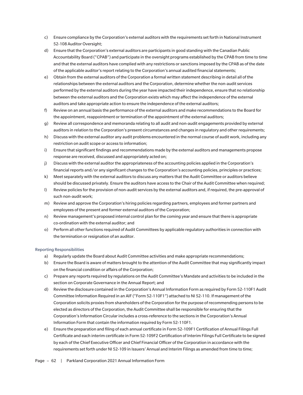- c) Ensure compliance by the Corporation's external auditors with the requirements set forth in National Instrument 52-108 Auditor Oversight;
- d) Ensure that the Corporation's external auditors are participants in good standing with the Canadian Public Accountability Board ("CPAB") and participate in the oversight programs established by the CPAB from time to time and that the external auditors have complied with any restrictions or sanctions imposed by the CPAB as of the date of the applicable auditor's report relating to the Corporation's annual audited financial statements;
- e) Obtain from the external auditors of the Corporation a formal written statement describing in detail all of the relationships between the external auditors and the Corporation, determine whether the non-audit services performed by the external auditors during the year have impacted their independence, ensure that no relationship between the external auditors and the Corporation exists which may affect the independence of the external auditors and take appropriate action to ensure the independence of the external auditors;
- f) Review on an annual basis the performance of the external auditors and make recommendations to the Board for the appointment, reappointment or termination of the appointment of the external auditors;
- g) Review all correspondence and memoranda relating to all audit and non-audit engagements provided by external auditors in relation to the Corporation's present circumstances and changes in regulatory and other requirements;
- h) Discuss with the external auditor any audit problems encountered in the normal course of audit work, including any restriction on audit scope or access to information;
- i) Ensure that significant findings and recommendations made by the external auditors and managements propose response are received, discussed and appropriately acted on;
- j) Discuss with the external auditor the appropriateness of the accounting policies applied in the Corporation's financial reports and/or any significant changes to the Corporation's accounting policies, principles or practices;
- k) Meet separately with the external auditors to discuss any matters that the Audit Committee or auditors believe should be discussed privately. Ensure the auditors have access to the Chair of the Audit Committee when required;
- l) Review policies for the provision of non-audit services by the external auditors and, if required, the pre-approval of such non-audit work;
- m) Review and approve the Corporation's hiring policies regarding partners, employees and former partners and employees of the present and former external auditors of the Corporation;
- n) Review management's proposed internal control plan for the coming year and ensure that there is appropriate co-ordination with the external auditor; and
- o) Perform all other functions required of Audit Committees by applicable regulatory authorities in connection with the termination or resignation of an auditor.

## Reporting Responsibilities

- a) Regularly update the Board about Audit Committee activities and make appropriate recommendations;
- b) Ensure the Board is aware of matters brought to the attention of the Audit Committee that may significantly impact on the financial condition or affairs of the Corporation;
- c) Prepare any reports required by regulations on the Audit Committee's Mandate and activities to be included in the section on Corporate Governance in the Annual Report; and
- d) Review the disclosure contained in the Corporation's Annual Information Form as required by Form 52-110F1 Audit Committee Information Required in an AIF ("Form 52-110F1") attached to NI 52-110. If management of the Corporation solicits proxies from shareholders of the Corporation for the purpose of recommending persons to be elected as directors of the Corporation, the Audit Committee shall be responsible for ensuring that the Corporation's Information Circular includes a cross-reference to the sections in the Corporation's Annual Information Form that contain the information required by Form 52-110F1.
- e) Ensure the preparation and filing of each annual certificate in Form 52-109F1 Certification of Annual Filings Full Certificate and each interim certificate in Form 52-109F2 Certification of Interim Filings Full Certificate to be signed by each of the Chief Executive Officer and Chief Financial Officer of the Corporation in accordance with the requirements set forth under NI 52-109 in Issuers' Annual and Interim Filings as amended from time to time;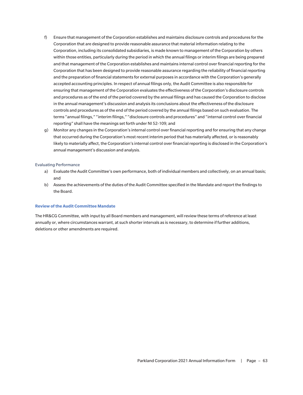- f) Ensure that management of the Corporation establishes and maintains disclosure controls and procedures for the Corporation that are designed to provide reasonable assurance that material information relating to the Corporation, including its consolidated subsidiaries, is made known to management of the Corporation by others within those entities, particularly during the period in which the annual filings or interim filings are being prepared and that management of the Corporation establishes and maintains internal control over financial reporting for the Corporation that has been designed to provide reasonable assurance regarding the reliability of financial reporting and the preparation of financial statements for external purposes in accordance with the Corporation's generally accepted accounting principles. In respect of annual filings only, the Audit Committee is also responsible for ensuring that management of the Corporation evaluates the effectiveness of the Corporation's disclosure controls and procedures as of the end of the period covered by the annual filings and has caused the Corporation to disclose in the annual management's discussion and analysis its conclusions about the effectiveness of the disclosure controls and procedures as of the end of the period covered by the annual filings based on such evaluation. The terms "annual filings," "interim filings," "disclosure controls and procedures" and "internal control over financial reporting" shall have the meanings set forth under NI 52-109; and
- g) Monitor any changes in the Corporation's internal control over financial reporting and for ensuring that any change that occurred during the Corporation's most recent interim period that has materially affected, or is reasonably likely to materially affect, the Corporation's internal control over financial reporting is disclosed in the Corporation's annual management's discussion and analysis.

## Evaluating Performance

- a) Evaluate the Audit Committee's own performance, both of individual members and collectively, on an annual basis; and
- b) Assess the achievements of the duties of the Audit Committee specified in the Mandate and report the findings to the Board.

#### **Review of the Audit Committee Mandate**

The HR&CG Committee, with input by all Board members and management, will review these terms of reference at least annually or, where circumstances warrant, at such shorter intervals as is necessary, to determine if further additions, deletions or other amendments are required.